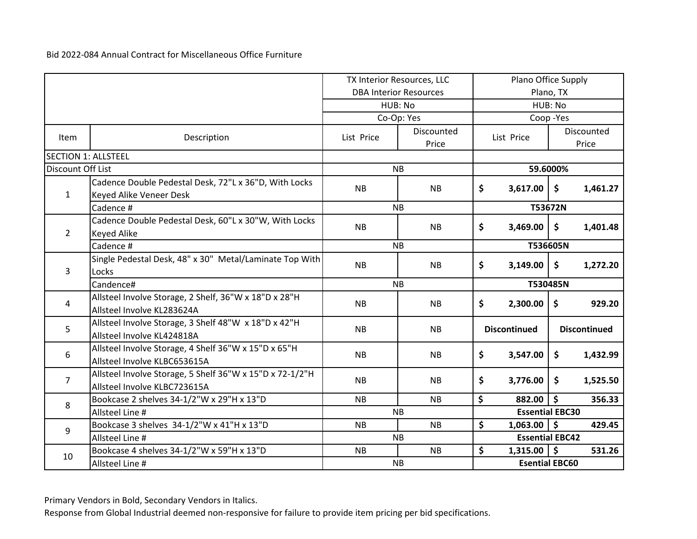|                            |                                                          |                               | TX Interior Resources, LLC | Plano Office Supply |                        |           |                     |  |
|----------------------------|----------------------------------------------------------|-------------------------------|----------------------------|---------------------|------------------------|-----------|---------------------|--|
|                            |                                                          | <b>DBA Interior Resources</b> |                            |                     |                        | Plano, TX |                     |  |
|                            |                                                          |                               | HUB: No                    |                     |                        | HUB: No   |                     |  |
|                            |                                                          |                               | Co-Op: Yes                 |                     |                        | Coop-Yes  |                     |  |
| <b>Item</b>                | Description                                              | List Price                    | Discounted                 |                     | List Price             |           | Discounted          |  |
| <b>SECTION 1: ALLSTEEL</b> |                                                          |                               | Price                      |                     |                        |           | Price               |  |
| Discount Off List          |                                                          |                               | <b>NB</b>                  |                     |                        | 59.6000%  |                     |  |
|                            |                                                          |                               |                            |                     |                        |           |                     |  |
|                            | Cadence Double Pedestal Desk, 72"L x 36"D, With Locks    | <b>NB</b>                     | <b>NB</b>                  | \$                  | 3,617.00               | \$        | 1,461.27            |  |
| $\mathbf{1}$               | Keyed Alike Veneer Desk                                  |                               |                            |                     |                        |           |                     |  |
|                            | Cadence #                                                |                               | <b>NB</b>                  |                     | T53672N                |           |                     |  |
|                            | Cadence Double Pedestal Desk, 60"L x 30"W, With Locks    | <b>NB</b>                     | <b>NB</b>                  | \$                  | 3,469.00               | \$        | 1,401.48            |  |
| $2^{\circ}$                | <b>Keyed Alike</b>                                       |                               |                            |                     |                        |           |                     |  |
|                            | Cadence #                                                |                               | <b>NB</b>                  |                     | T536605N               |           |                     |  |
|                            | Single Pedestal Desk, 48" x 30" Metal/Laminate Top With  | <b>NB</b>                     | <b>NB</b>                  | \$                  | 3,149.00               | \$        | 1,272.20            |  |
| 3                          | Locks                                                    |                               |                            |                     |                        |           |                     |  |
|                            | Candence#                                                |                               | <b>NB</b>                  |                     | T530485N               |           |                     |  |
| 4                          | Allsteel Involve Storage, 2 Shelf, 36"W x 18"D x 28"H    | <b>NB</b>                     | <b>NB</b>                  | \$                  | 2,300.00               | \$        | 929.20              |  |
|                            | Allsteel Involve KL283624A                               |                               |                            |                     |                        |           |                     |  |
|                            | Allsteel Involve Storage, 3 Shelf 48"W x 18"D x 42"H     |                               |                            |                     | <b>Discontinued</b>    |           | <b>Discontinued</b> |  |
| 5                          | Allsteel Involve KL424818A                               | <b>NB</b>                     | <b>NB</b>                  |                     |                        |           |                     |  |
|                            | Allsteel Involve Storage, 4 Shelf 36"W x 15"D x 65"H     |                               |                            |                     |                        |           |                     |  |
| 6                          | Allsteel Involve KLBC653615A                             | <b>NB</b>                     | <b>NB</b>                  | \$                  | 3,547.00               | \$        | 1,432.99            |  |
|                            | Allsteel Involve Storage, 5 Shelf 36"W x 15"D x 72-1/2"H |                               |                            |                     |                        |           |                     |  |
| $\overline{7}$             | Allsteel Involve KLBC723615A                             | <b>NB</b>                     | <b>NB</b>                  | \$                  | 3,776.00               | \$        | 1,525.50            |  |
|                            | Bookcase 2 shelves 34-1/2"W x 29"H x 13"D                | <b>NB</b>                     | <b>NB</b>                  | \$                  | 882.00                 | \$        | 356.33              |  |
| 8                          | Allsteel Line #                                          |                               | <b>NB</b>                  |                     | <b>Essential EBC30</b> |           |                     |  |
|                            | Bookcase 3 shelves 34-1/2"W x 41"H x 13"D                | <b>NB</b>                     | <b>NB</b>                  | \$                  | $1,063.00$ \$          |           | 429.45              |  |
| 9                          | Allsteel Line #                                          |                               | <b>NB</b>                  |                     | <b>Essential EBC42</b> |           |                     |  |
|                            | Bookcase 4 shelves 34-1/2"W x 59"H x 13"D                | <b>NB</b>                     | <b>NB</b>                  | \$                  | $1,315.00$   \$        |           | 531.26              |  |
| 10                         | Allsteel Line #                                          |                               | <b>NB</b>                  |                     | <b>Esential EBC60</b>  |           |                     |  |

Primary Vendors in Bold, Secondary Vendors in Italics.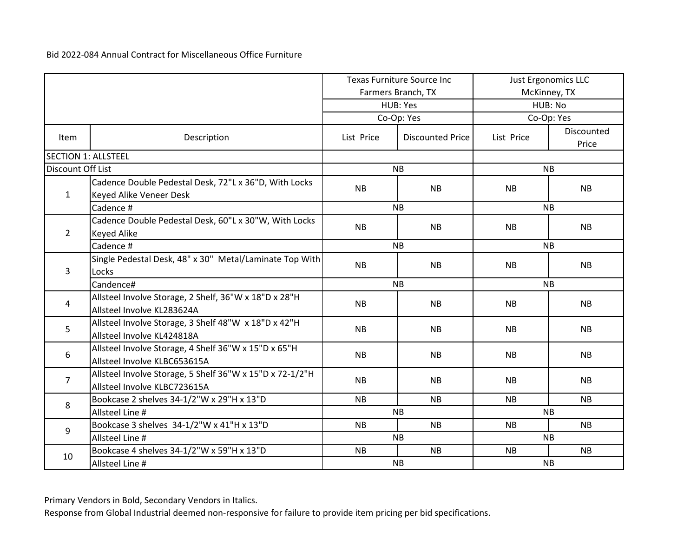|                   | <b>Texas Furniture Source Inc</b>                                                        |            |                         |            | <b>Just Ergonomics LLC</b> |
|-------------------|------------------------------------------------------------------------------------------|------------|-------------------------|------------|----------------------------|
|                   |                                                                                          |            | Farmers Branch, TX      |            | McKinney, TX               |
|                   |                                                                                          |            | HUB: Yes                |            | HUB: No                    |
|                   |                                                                                          |            | Co-Op: Yes              |            | Co-Op: Yes                 |
| <b>Item</b>       | Description                                                                              | List Price | <b>Discounted Price</b> | List Price | Discounted<br>Price        |
|                   | <b>SECTION 1: ALLSTEEL</b>                                                               |            |                         |            |                            |
| Discount Off List |                                                                                          |            | <b>NB</b>               |            | <b>NB</b>                  |
| $\mathbf{1}$      | Cadence Double Pedestal Desk, 72"L x 36"D, With Locks<br>Keyed Alike Veneer Desk         | <b>NB</b>  | <b>NB</b>               | NB         | <b>NB</b>                  |
|                   | Cadence #                                                                                |            | <b>NB</b>               |            | <b>NB</b>                  |
| $2^{\circ}$       | Cadence Double Pedestal Desk, 60"L x 30"W, With Locks<br><b>Keyed Alike</b>              | <b>NB</b>  | <b>NB</b>               | <b>NB</b>  | <b>NB</b>                  |
|                   | Cadence #                                                                                |            | <b>NB</b>               |            | <b>NB</b>                  |
|                   | Single Pedestal Desk, 48" x 30" Metal/Laminate Top With                                  | <b>NB</b>  | <b>NB</b>               | <b>NB</b>  | <b>NB</b>                  |
| 3                 | Locks                                                                                    |            |                         |            |                            |
|                   | Candence#                                                                                |            | <b>NB</b>               | <b>NB</b>  |                            |
| 4                 | Allsteel Involve Storage, 2 Shelf, 36"W x 18"D x 28"H<br>Allsteel Involve KL283624A      | <b>NB</b>  | <b>NB</b>               | <b>NB</b>  | <b>NB</b>                  |
| 5                 | Allsteel Involve Storage, 3 Shelf 48"W x 18"D x 42"H<br>Allsteel Involve KL424818A       | <b>NB</b>  | <b>NB</b>               | <b>NB</b>  | <b>NB</b>                  |
| 6                 | Allsteel Involve Storage, 4 Shelf 36"W x 15"D x 65"H<br>Allsteel Involve KLBC653615A     | <b>NB</b>  | <b>NB</b>               | <b>NB</b>  | <b>NB</b>                  |
| $\overline{7}$    | Allsteel Involve Storage, 5 Shelf 36"W x 15"D x 72-1/2"H<br>Allsteel Involve KLBC723615A | <b>NB</b>  | <b>NB</b>               | <b>NB</b>  | <b>NB</b>                  |
| 8                 | Bookcase 2 shelves 34-1/2"W x 29"H x 13"D                                                | <b>NB</b>  | <b>NB</b>               | <b>NB</b>  | <b>NB</b>                  |
|                   | Allsteel Line #                                                                          |            | <b>NB</b>               |            | <b>NB</b>                  |
| 9                 | Bookcase 3 shelves 34-1/2"W x 41"H x 13"D                                                | <b>NB</b>  | <b>NB</b>               | <b>NB</b>  | NB                         |
|                   | Allsteel Line #                                                                          |            | <b>NB</b>               |            | <b>NB</b>                  |
| 10                | Bookcase 4 shelves 34-1/2"W x 59"H x 13"D                                                | <b>NB</b>  | <b>NB</b>               | <b>NB</b>  | <b>NB</b>                  |
|                   | Allsteel Line #                                                                          |            | <b>NB</b>               |            | <b>NB</b>                  |

Primary Vendors in Bold, Secondary Vendors in Italics.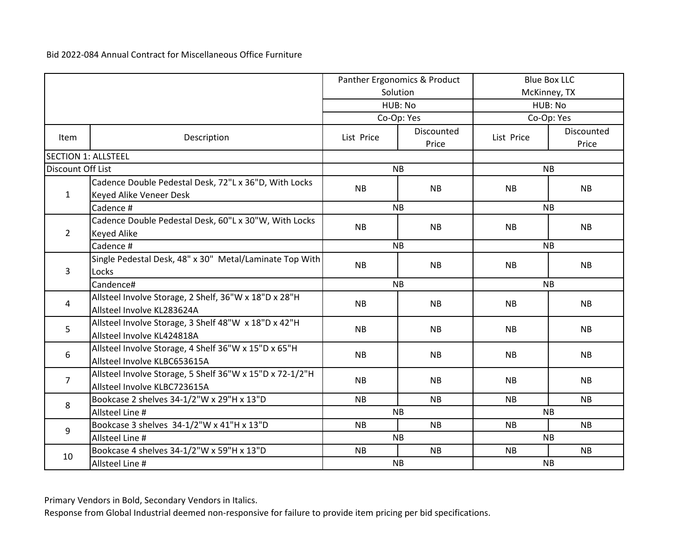| Panther Ergonomics & Product |                                                                                          |            |                     | <b>Blue Box LLC</b> |                     |  |  |
|------------------------------|------------------------------------------------------------------------------------------|------------|---------------------|---------------------|---------------------|--|--|
|                              |                                                                                          |            | Solution            |                     | McKinney, TX        |  |  |
|                              |                                                                                          |            | HUB: No             |                     | HUB: No             |  |  |
|                              |                                                                                          |            | Co-Op: Yes          |                     | Co-Op: Yes          |  |  |
| <b>Item</b>                  | Description                                                                              | List Price | Discounted<br>Price | List Price          | Discounted<br>Price |  |  |
| <b>SECTION 1: ALLSTEEL</b>   |                                                                                          |            |                     |                     |                     |  |  |
| Discount Off List            |                                                                                          |            | <b>NB</b>           |                     | <b>NB</b>           |  |  |
| $\mathbf{1}$                 | Cadence Double Pedestal Desk, 72"L x 36"D, With Locks<br>Keyed Alike Veneer Desk         | <b>NB</b>  | <b>NB</b>           | NB                  | <b>NB</b>           |  |  |
|                              | Cadence #                                                                                |            | <b>NB</b>           |                     | <b>NB</b>           |  |  |
| $\overline{2}$               | Cadence Double Pedestal Desk, 60"L x 30"W, With Locks<br><b>Keyed Alike</b>              | NB         | <b>NB</b>           | NB                  | NB                  |  |  |
|                              | Cadence #                                                                                |            | <b>NB</b>           | <b>NB</b>           |                     |  |  |
| 3                            | Single Pedestal Desk, 48" x 30" Metal/Laminate Top With<br>Locks                         | <b>NB</b>  | <b>NB</b>           | <b>NB</b>           | <b>NB</b>           |  |  |
|                              | Candence#                                                                                |            | <b>NB</b>           | NB                  |                     |  |  |
| 4                            | Allsteel Involve Storage, 2 Shelf, 36"W x 18"D x 28"H<br>Allsteel Involve KL283624A      | <b>NB</b>  | <b>NB</b>           | <b>NB</b>           | <b>NB</b>           |  |  |
| 5                            | Allsteel Involve Storage, 3 Shelf 48"W x 18"D x 42"H<br>Allsteel Involve KL424818A       | <b>NB</b>  | <b>NB</b>           | <b>NB</b>           | <b>NB</b>           |  |  |
| 6                            | Allsteel Involve Storage, 4 Shelf 36"W x 15"D x 65"H<br>Allsteel Involve KLBC653615A     | <b>NB</b>  | <b>NB</b>           | <b>NB</b>           | <b>NB</b>           |  |  |
| $\overline{7}$               | Allsteel Involve Storage, 5 Shelf 36"W x 15"D x 72-1/2"H<br>Allsteel Involve KLBC723615A | <b>NB</b>  | <b>NB</b>           | <b>NB</b>           | <b>NB</b>           |  |  |
| 8                            | Bookcase 2 shelves 34-1/2"W x 29"H x 13"D                                                | <b>NB</b>  | <b>NB</b>           | <b>NB</b>           | <b>NB</b>           |  |  |
|                              | Allsteel Line #                                                                          |            | <b>NB</b>           |                     | <b>NB</b>           |  |  |
| 9                            | Bookcase 3 shelves 34-1/2"W x 41"H x 13"D                                                | <b>NB</b>  | <b>NB</b>           | <b>NB</b>           | <b>NB</b>           |  |  |
|                              | Allsteel Line #                                                                          |            | <b>NB</b>           |                     | <b>NB</b>           |  |  |
| 10                           | Bookcase 4 shelves 34-1/2"W x 59"H x 13"D                                                | <b>NB</b>  | <b>NB</b>           | <b>NB</b>           | <b>NB</b>           |  |  |
|                              | Allsteel Line #                                                                          |            | <b>NB</b>           |                     | <b>NB</b>           |  |  |

Primary Vendors in Bold, Secondary Vendors in Italics.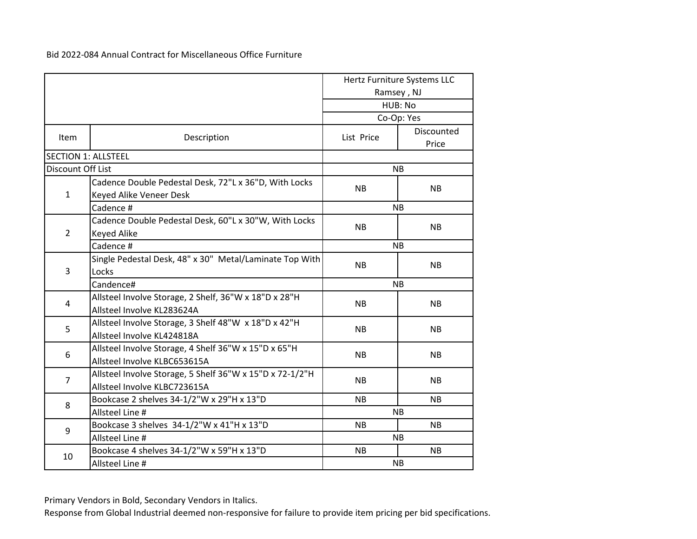|                   |                                                                                          |            | Hertz Furniture Systems LLC<br>Ramsey, NJ |  |
|-------------------|------------------------------------------------------------------------------------------|------------|-------------------------------------------|--|
|                   |                                                                                          |            | HUB: No                                   |  |
|                   |                                                                                          |            | Co-Op: Yes                                |  |
| Item              | Description                                                                              | List Price | Discounted<br>Price                       |  |
|                   | <b>SECTION 1: ALLSTEEL</b>                                                               |            |                                           |  |
| Discount Off List |                                                                                          |            | <b>NB</b>                                 |  |
| $\mathbf{1}$      | Cadence Double Pedestal Desk, 72"L x 36"D, With Locks<br>Keyed Alike Veneer Desk         | <b>NB</b>  | <b>NB</b>                                 |  |
|                   | Cadence #                                                                                |            | <b>NB</b>                                 |  |
| $\overline{2}$    | Cadence Double Pedestal Desk, 60"L x 30"W, With Locks<br>Keyed Alike                     | <b>NB</b>  | <b>NB</b>                                 |  |
|                   | Cadence #                                                                                |            | <b>NB</b>                                 |  |
| 3                 | Single Pedestal Desk, 48" x 30" Metal/Laminate Top With<br>Locks                         | <b>NB</b>  | <b>NB</b>                                 |  |
|                   | Candence#                                                                                | <b>NB</b>  |                                           |  |
| $\overline{4}$    | Allsteel Involve Storage, 2 Shelf, 36"W x 18"D x 28"H<br>Allsteel Involve KL283624A      | <b>NB</b>  | <b>NB</b>                                 |  |
| 5                 | Allsteel Involve Storage, 3 Shelf 48"W x 18"D x 42"H<br>Allsteel Involve KL424818A       | <b>NB</b>  | <b>NB</b>                                 |  |
| 6                 | Allsteel Involve Storage, 4 Shelf 36"W x 15"D x 65"H<br>Allsteel Involve KLBC653615A     | <b>NB</b>  | <b>NB</b>                                 |  |
| $\overline{7}$    | Allsteel Involve Storage, 5 Shelf 36"W x 15"D x 72-1/2"H<br>Allsteel Involve KLBC723615A | <b>NB</b>  | <b>NB</b>                                 |  |
|                   | Bookcase 2 shelves 34-1/2"W x 29"H x 13"D                                                | <b>NB</b>  | <b>NB</b>                                 |  |
| 8                 | Allsteel Line #                                                                          |            | <b>NB</b>                                 |  |
| 9                 | Bookcase 3 shelves 34-1/2"W x 41"H x 13"D                                                | NB.        | <b>NB</b>                                 |  |
|                   | Allsteel Line #                                                                          |            | <b>NB</b>                                 |  |
| 10                | Bookcase 4 shelves 34-1/2"W x 59"H x 13"D                                                | <b>NB</b>  | <b>NB</b>                                 |  |
|                   | Allsteel Line #                                                                          |            | <b>NB</b>                                 |  |

Primary Vendors in Bold, Secondary Vendors in Italics.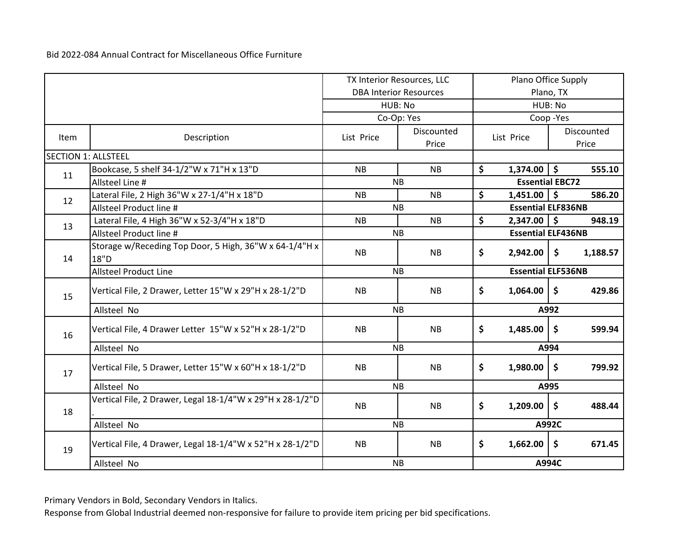|                            |                                                           | TX Interior Resources, LLC |                               | Plano Office Supply |                           |           |            |
|----------------------------|-----------------------------------------------------------|----------------------------|-------------------------------|---------------------|---------------------------|-----------|------------|
|                            |                                                           |                            | <b>DBA Interior Resources</b> |                     |                           | Plano, TX |            |
|                            |                                                           |                            | HUB: No                       |                     |                           | HUB: No   |            |
|                            |                                                           |                            | Co-Op: Yes                    |                     |                           | Coop-Yes  |            |
| Item                       | Description                                               | List Price                 | Discounted                    |                     | List Price                |           | Discounted |
|                            |                                                           |                            | Price                         |                     |                           |           | Price      |
| <b>SECTION 1: ALLSTEEL</b> |                                                           |                            |                               |                     |                           |           |            |
| 11                         | Bookcase, 5 shelf 34-1/2"W x 71"H x 13"D                  | <b>NB</b>                  | <b>NB</b>                     | \$                  | $1,374.00$   \$           |           | 555.10     |
|                            | Allsteel Line #                                           |                            | <b>NB</b>                     |                     | <b>Essential EBC72</b>    |           |            |
| 12                         | Lateral File, 2 High 36"W x 27-1/4"H x 18"D               | <b>NB</b>                  | <b>NB</b>                     | \$                  | $1,451.00$   \$           |           | 586.20     |
|                            | Allsteel Product line #                                   |                            | <b>NB</b>                     |                     | <b>Essential ELF836NB</b> |           |            |
| 13                         | Lateral File, 4 High 36"W x 52-3/4"H x 18"D               | <b>NB</b>                  | <b>NB</b>                     | \$                  | $2,347.00$ \$             |           | 948.19     |
|                            | Allsteel Product line #                                   |                            | <b>NB</b>                     |                     | <b>Essential ELF436NB</b> |           |            |
|                            | Storage w/Receding Top Door, 5 High, 36"W x 64-1/4"H x    | NB                         | <b>NB</b>                     | \$                  | 2,942.00                  | \$        | 1,188.57   |
| 14                         | 18"D                                                      |                            |                               |                     |                           |           |            |
|                            | <b>Allsteel Product Line</b>                              |                            | <b>NB</b>                     |                     | <b>Essential ELF536NB</b> |           |            |
| 15                         | Vertical File, 2 Drawer, Letter 15"W x 29"H x 28-1/2"D    | <b>NB</b>                  | <b>NB</b>                     | \$                  | 1,064.00                  | \$        | 429.86     |
|                            | Allsteel No                                               |                            | <b>NB</b>                     |                     |                           | A992      |            |
| 16                         | Vertical File, 4 Drawer Letter 15"W x 52"H x 28-1/2"D     | NB.                        | <b>NB</b>                     | \$                  | 1,485.00                  | \$        | 599.94     |
|                            | Allsteel No                                               |                            | <b>NB</b>                     |                     |                           | A994      |            |
| 17                         | Vertical File, 5 Drawer, Letter 15"W x 60"H x 18-1/2"D    | <b>NB</b>                  | <b>NB</b>                     | \$                  | 1,980.00                  | \$        | 799.92     |
|                            | Allsteel No                                               |                            | <b>NB</b>                     |                     |                           | A995      |            |
| 18                         | Vertical File, 2 Drawer, Legal 18-1/4"W x 29"H x 28-1/2"D | <b>NB</b>                  | <b>NB</b>                     | \$                  | 1,209.00                  | \$        | 488.44     |
|                            | Allsteel No                                               |                            | <b>NB</b>                     |                     |                           | A992C     |            |
| 19                         | Vertical File, 4 Drawer, Legal 18-1/4"W x 52"H x 28-1/2"D | <b>NB</b>                  | <b>NB</b>                     | \$                  | 1,662.00                  | \$        | 671.45     |
|                            | Allsteel No                                               |                            | <b>NB</b>                     |                     |                           | A994C     |            |

Primary Vendors in Bold, Secondary Vendors in Italics.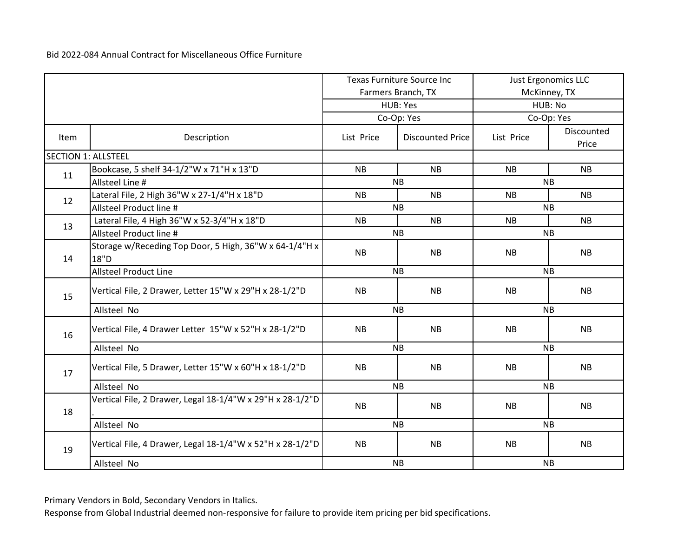|                            |                                                                | <b>Texas Furniture Source Inc</b> |                         | Just Ergonomics LLC |                     |  |
|----------------------------|----------------------------------------------------------------|-----------------------------------|-------------------------|---------------------|---------------------|--|
|                            |                                                                |                                   | Farmers Branch, TX      |                     | McKinney, TX        |  |
|                            |                                                                |                                   | HUB: Yes                |                     | HUB: No             |  |
|                            |                                                                |                                   | Co-Op: Yes              |                     | Co-Op: Yes          |  |
| Item                       | Description                                                    | List Price                        | <b>Discounted Price</b> | List Price          | Discounted<br>Price |  |
| <b>SECTION 1: ALLSTEEL</b> |                                                                |                                   |                         |                     |                     |  |
| 11                         | Bookcase, 5 shelf 34-1/2"W x 71"H x 13"D                       | <b>NB</b>                         | <b>NB</b>               | <b>NB</b>           | <b>NB</b>           |  |
|                            | Allsteel Line #                                                |                                   | <b>NB</b>               |                     | <b>NB</b>           |  |
| 12                         | Lateral File, 2 High 36"W x 27-1/4"H x 18"D                    | <b>NB</b>                         | NB.                     | NB.                 | <b>NB</b>           |  |
|                            | Allsteel Product line #                                        |                                   | <b>NB</b>               |                     | <b>NB</b>           |  |
| 13                         | Lateral File, 4 High 36"W x 52-3/4"H x 18"D                    | <b>NB</b>                         | <b>NB</b>               | <b>NB</b>           | <b>NB</b>           |  |
|                            | Allsteel Product line #                                        |                                   | <b>NB</b>               | <b>NB</b>           |                     |  |
| 14                         | Storage w/Receding Top Door, 5 High, 36"W x 64-1/4"H x<br>18"D | <b>NB</b>                         | <b>NB</b>               | <b>NB</b>           | <b>NB</b>           |  |
|                            | <b>Allsteel Product Line</b>                                   |                                   | <b>NB</b>               | <b>NB</b>           |                     |  |
| 15                         | Vertical File, 2 Drawer, Letter 15"W x 29"H x 28-1/2"D         | <b>NB</b>                         | <b>NB</b>               | <b>NB</b>           | <b>NB</b>           |  |
|                            | Allsteel No                                                    |                                   | <b>NB</b>               | <b>NB</b>           |                     |  |
| 16                         | Vertical File, 4 Drawer Letter 15"W x 52"H x 28-1/2"D          | <b>NB</b>                         | <b>NB</b>               | <b>NB</b>           | <b>NB</b>           |  |
|                            | Allsteel No                                                    |                                   | <b>NB</b>               |                     | NB                  |  |
| 17                         | Vertical File, 5 Drawer, Letter 15"W x 60"H x 18-1/2"D         | <b>NB</b>                         | <b>NB</b>               | <b>NB</b>           | <b>NB</b>           |  |
|                            | Allsteel No                                                    |                                   | <b>NB</b>               |                     | <b>NB</b>           |  |
| 18                         | Vertical File, 2 Drawer, Legal 18-1/4"W x 29"H x 28-1/2"D      | <b>NB</b>                         | <b>NB</b>               | <b>NB</b>           | <b>NB</b>           |  |
|                            | Allsteel No                                                    |                                   | <b>NB</b>               |                     | <b>NB</b>           |  |
| 19                         | Vertical File, 4 Drawer, Legal 18-1/4"W x 52"H x 28-1/2"D      | NB                                | NB                      | <b>NB</b>           | <b>NB</b>           |  |
|                            | Allsteel No                                                    |                                   | NB                      |                     | <b>NB</b>           |  |

Primary Vendors in Bold, Secondary Vendors in Italics.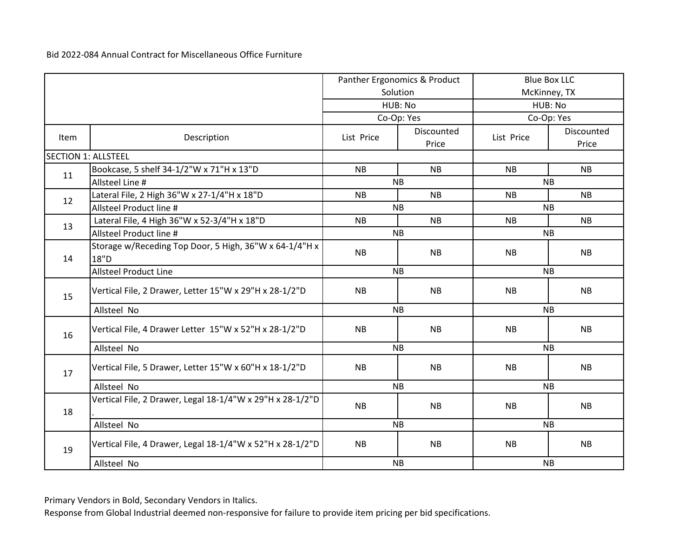|                            |                                                                | Panther Ergonomics & Product |                     | <b>Blue Box LLC</b> |                     |  |
|----------------------------|----------------------------------------------------------------|------------------------------|---------------------|---------------------|---------------------|--|
|                            |                                                                |                              | Solution            |                     | McKinney, TX        |  |
|                            |                                                                |                              | HUB: No             | HUB: No             |                     |  |
|                            |                                                                |                              | Co-Op: Yes          |                     | Co-Op: Yes          |  |
| <b>Item</b>                | Description                                                    | List Price                   | Discounted<br>Price | List Price          | Discounted<br>Price |  |
| <b>SECTION 1: ALLSTEEL</b> |                                                                |                              |                     |                     |                     |  |
| 11                         | Bookcase, 5 shelf 34-1/2"W x 71"H x 13"D                       | <b>NB</b>                    | <b>NB</b>           | <b>NB</b>           | <b>NB</b>           |  |
|                            | Allsteel Line #                                                |                              | <b>NB</b>           |                     | <b>NB</b>           |  |
| 12                         | Lateral File, 2 High 36"W x 27-1/4"H x 18"D                    | <b>NB</b>                    | <b>NB</b>           | <b>NB</b>           | <b>NB</b>           |  |
|                            | Allsteel Product line #                                        |                              | <b>NB</b>           |                     | <b>NB</b>           |  |
| 13                         | Lateral File, 4 High 36"W x 52-3/4"H x 18"D                    | <b>NB</b>                    | <b>NB</b>           | <b>NB</b>           | <b>NB</b>           |  |
|                            | Allsteel Product line #                                        |                              | NB                  | <b>NB</b>           |                     |  |
| 14                         | Storage w/Receding Top Door, 5 High, 36"W x 64-1/4"H x<br>18"D | <b>NB</b>                    | <b>NB</b>           | <b>NB</b>           | <b>NB</b>           |  |
|                            | <b>Allsteel Product Line</b>                                   |                              | <b>NB</b>           | <b>NB</b>           |                     |  |
| 15                         | Vertical File, 2 Drawer, Letter 15"W x 29"H x 28-1/2"D         | <b>NB</b>                    | <b>NB</b>           | NB                  | <b>NB</b>           |  |
|                            | Allsteel No                                                    |                              | <b>NB</b>           | <b>NB</b>           |                     |  |
| 16                         | Vertical File, 4 Drawer Letter 15"W x 52"H x 28-1/2"D          | <b>NB</b>                    | NB                  | NB                  | NB                  |  |
|                            | Allsteel No                                                    |                              | <b>NB</b>           |                     | NB                  |  |
| 17                         | Vertical File, 5 Drawer, Letter 15"W x 60"H x 18-1/2"D         | <b>NB</b>                    | <b>NB</b>           | <b>NB</b>           | <b>NB</b>           |  |
|                            | Allsteel No                                                    |                              | <b>NB</b>           |                     | <b>NB</b>           |  |
| 18                         | Vertical File, 2 Drawer, Legal 18-1/4"W x 29"H x 28-1/2"D      | <b>NB</b>                    | <b>NB</b>           | <b>NB</b>           | <b>NB</b>           |  |
|                            | Allsteel No                                                    |                              | <b>NB</b>           |                     | <b>NB</b>           |  |
| 19                         | Vertical File, 4 Drawer, Legal 18-1/4"W x 52"H x 28-1/2"D      | NB                           | NB                  | NB                  | NB                  |  |
|                            | Allsteel No                                                    |                              | NB                  |                     | <b>NB</b>           |  |

Primary Vendors in Bold, Secondary Vendors in Italics.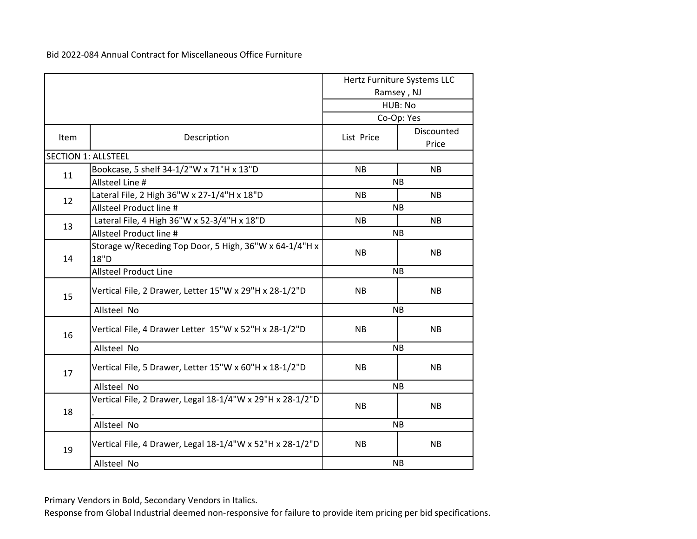|      |                                                                |            | Hertz Furniture Systems LLC |  |
|------|----------------------------------------------------------------|------------|-----------------------------|--|
|      |                                                                |            | Ramsey, NJ                  |  |
|      |                                                                |            | HUB: No                     |  |
|      |                                                                |            | Co-Op: Yes                  |  |
| Item | Description                                                    | List Price | Discounted<br>Price         |  |
|      | <b>SECTION 1: ALLSTEEL</b>                                     |            |                             |  |
|      | Bookcase, 5 shelf 34-1/2"W x 71"H x 13"D                       | <b>NB</b>  | <b>NB</b>                   |  |
| 11   | Allsteel Line #                                                |            | <b>NB</b>                   |  |
|      | Lateral File, 2 High 36"W x 27-1/4"H x 18"D                    | <b>NB</b>  | <b>NB</b>                   |  |
| 12   | Allsteel Product line #                                        |            | <b>NB</b>                   |  |
| 13   | Lateral File, 4 High 36"W x 52-3/4"H x 18"D                    | <b>NB</b>  | <b>NB</b>                   |  |
|      | Allsteel Product line #                                        |            | <b>NB</b>                   |  |
| 14   | Storage w/Receding Top Door, 5 High, 36"W x 64-1/4"H x<br>18"D | <b>NB</b>  | <b>NB</b>                   |  |
|      | <b>Allsteel Product Line</b>                                   | <b>NB</b>  |                             |  |
| 15   | Vertical File, 2 Drawer, Letter 15"W x 29"H x 28-1/2"D         | <b>NB</b>  | <b>NB</b>                   |  |
|      | Allsteel No                                                    |            | <b>NB</b>                   |  |
| 16   | Vertical File, 4 Drawer Letter 15"W x 52"H x 28-1/2"D          | <b>NB</b>  | <b>NB</b>                   |  |
|      | Allsteel No                                                    |            | <b>NB</b>                   |  |
| 17   | Vertical File, 5 Drawer, Letter 15"W x 60"H x 18-1/2"D         | <b>NB</b>  | <b>NB</b>                   |  |
|      | Allsteel No                                                    |            | <b>NB</b>                   |  |
| 18   | Vertical File, 2 Drawer, Legal 18-1/4"W x 29"H x 28-1/2"D      | <b>NB</b>  | <b>NB</b>                   |  |
|      | Allsteel No                                                    |            | <b>NB</b>                   |  |
| 19   | Vertical File, 4 Drawer, Legal 18-1/4"W x 52"H x 28-1/2"D      | <b>NB</b>  | <b>NB</b>                   |  |
|      | Allsteel No                                                    | <b>NB</b>  |                             |  |

Primary Vendors in Bold, Secondary Vendors in Italics.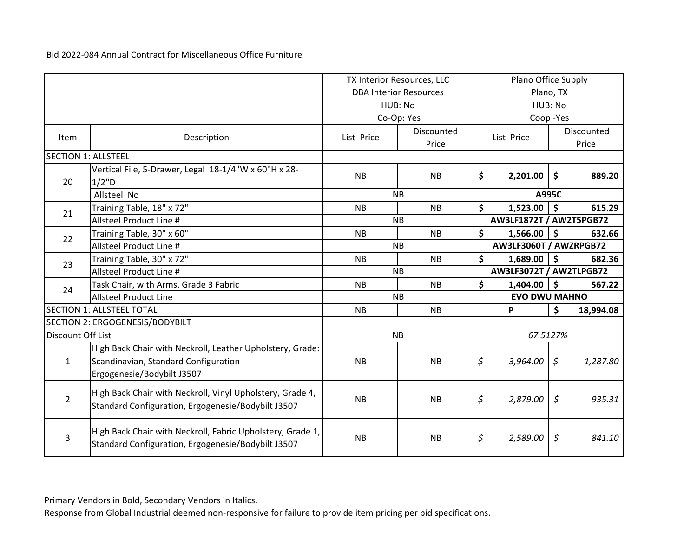|                            |                                                                                                                 | TX Interior Resources, LLC |                               |                    | Plano Office Supply     |                        |            |
|----------------------------|-----------------------------------------------------------------------------------------------------------------|----------------------------|-------------------------------|--------------------|-------------------------|------------------------|------------|
|                            |                                                                                                                 |                            | <b>DBA Interior Resources</b> | Plano, TX          |                         |                        |            |
|                            |                                                                                                                 |                            | HUB: No                       |                    |                         | HUB: No                |            |
|                            |                                                                                                                 |                            | Co-Op: Yes                    |                    |                         | Coop-Yes               |            |
| Item                       | Description                                                                                                     | List Price                 | Discounted                    |                    | List Price              |                        | Discounted |
|                            |                                                                                                                 |                            | Price                         |                    |                         |                        | Price      |
| <b>SECTION 1: ALLSTEEL</b> |                                                                                                                 |                            |                               |                    |                         |                        |            |
|                            | Vertical File, 5-Drawer, Legal 18-1/4"W x 60"H x 28-                                                            | <b>NB</b>                  | <b>NB</b>                     | \$                 |                         | \$                     | 889.20     |
| 20                         | 1/2"D                                                                                                           |                            |                               |                    | 2,201.00                |                        |            |
|                            | Allsteel No                                                                                                     |                            | <b>NB</b>                     |                    |                         | A995C                  |            |
| 21                         | Training Table, 18" x 72"                                                                                       | <b>NB</b>                  | <b>NB</b>                     | $\mathsf{\hat{S}}$ | 1,523.00                | $\ddot{\bm{\zeta}}$    | 615.29     |
|                            | Allsteel Product Line #                                                                                         |                            | <b>NB</b>                     |                    | AW3LF1872T / AW2T5PGB72 |                        |            |
| 22                         | Training Table, 30" x 60"                                                                                       | <b>NB</b>                  | <b>NB</b>                     | \$                 | $1,566.00$ \$           |                        | 632.66     |
|                            | Allsteel Product Line #                                                                                         |                            | <b>NB</b>                     |                    |                         | AW3LF3060T / AWZRPGB72 |            |
| 23                         | Training Table, 30" x 72"                                                                                       | <b>NB</b>                  | <b>NB</b>                     | \$                 | $1,689.00$ \$           |                        | 682.36     |
|                            | Allsteel Product Line #                                                                                         |                            | <b>NB</b>                     |                    | AW3LF3072T / AW2TLPGB72 |                        |            |
| 24                         | Task Chair, with Arms, Grade 3 Fabric                                                                           | <b>NB</b>                  | <b>NB</b>                     | \$                 | $1,404.00$   \$         |                        | 567.22     |
|                            | <b>Allsteel Product Line</b>                                                                                    |                            | <b>NB</b>                     |                    | <b>EVO DWU MAHNO</b>    |                        |            |
|                            | <b>SECTION 1: ALLSTEEL TOTAL</b>                                                                                | <b>NB</b>                  | <b>NB</b>                     |                    | P                       | \$                     | 18,994.08  |
|                            | SECTION 2: ERGOGENESIS/BODYBILT                                                                                 |                            |                               |                    |                         |                        |            |
| Discount Off List          |                                                                                                                 |                            | <b>NB</b>                     |                    | 67.5127%                |                        |            |
|                            | High Back Chair with Neckroll, Leather Upholstery, Grade:                                                       |                            |                               |                    |                         |                        |            |
| $\mathbf{1}$               | Scandinavian, Standard Configuration                                                                            | <b>NB</b>                  | <b>NB</b>                     | \$                 | 3,964.00                | $\varsigma$            | 1,287.80   |
|                            | Ergogenesie/Bodybilt J3507                                                                                      |                            |                               |                    |                         |                        |            |
|                            |                                                                                                                 |                            |                               |                    |                         |                        |            |
| $\overline{2}$             | High Back Chair with Neckroll, Vinyl Upholstery, Grade 4,<br>Standard Configuration, Ergogenesie/Bodybilt J3507 | <b>NB</b>                  | <b>NB</b>                     | \$                 | 2,879.00                | \$                     | 935.31     |
|                            |                                                                                                                 |                            |                               |                    |                         |                        |            |
|                            | High Back Chair with Neckroll, Fabric Upholstery, Grade 1,                                                      |                            |                               |                    |                         |                        |            |
| 3                          | Standard Configuration, Ergogenesie/Bodybilt J3507                                                              | <b>NB</b>                  | <b>NB</b>                     | \$                 | 2,589.00                | \$                     | 841.10     |
|                            |                                                                                                                 |                            |                               |                    |                         |                        |            |

Primary Vendors in Bold, Secondary Vendors in Italics.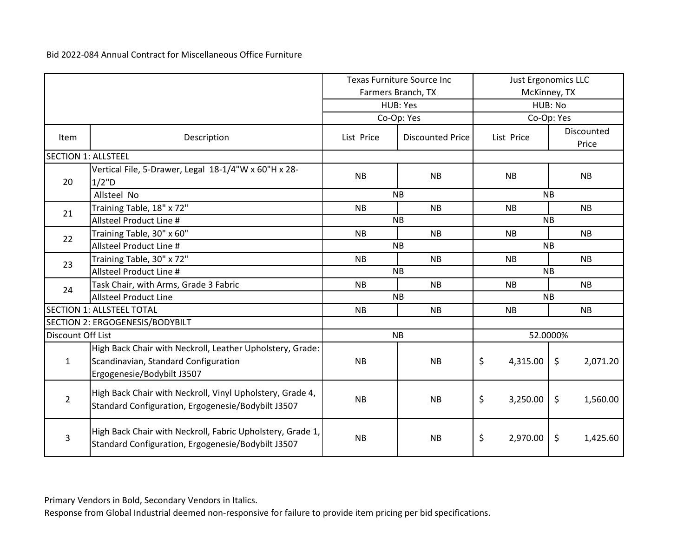|                            |                                                            |            | <b>Texas Furniture Source Inc</b> |                | Just Ergonomics LLC             |  |
|----------------------------|------------------------------------------------------------|------------|-----------------------------------|----------------|---------------------------------|--|
|                            |                                                            |            | Farmers Branch, TX                |                | McKinney, TX                    |  |
|                            |                                                            |            | HUB: Yes                          |                | HUB: No                         |  |
|                            |                                                            |            | Co-Op: Yes                        |                | Co-Op: Yes                      |  |
| Item                       | Description                                                | List Price | <b>Discounted Price</b>           | List Price     | Discounted                      |  |
|                            |                                                            |            |                                   |                | Price                           |  |
| <b>SECTION 1: ALLSTEEL</b> |                                                            |            |                                   |                |                                 |  |
|                            | Vertical File, 5-Drawer, Legal 18-1/4"W x 60"H x 28-       | <b>NB</b>  | <b>NB</b>                         | <b>NB</b>      | <b>NB</b>                       |  |
| 20                         | 1/2"D                                                      |            |                                   |                |                                 |  |
|                            | Allsteel No                                                |            | <b>NB</b>                         |                | <b>NB</b>                       |  |
| 21                         | Training Table, 18" x 72"                                  | <b>NB</b>  | <b>NB</b>                         | <b>NB</b>      | <b>NB</b>                       |  |
|                            | Allsteel Product Line #                                    |            | <b>NB</b>                         |                | <b>NB</b>                       |  |
| 22                         | Training Table, 30" x 60"                                  | <b>NB</b>  | <b>NB</b>                         | <b>NB</b>      | <b>NB</b>                       |  |
|                            | Allsteel Product Line #                                    |            | <b>NB</b>                         | <b>NB</b>      |                                 |  |
| 23                         | Training Table, 30" x 72"                                  | <b>NB</b>  | <b>NB</b>                         | <b>NB</b>      | <b>NB</b>                       |  |
|                            | Allsteel Product Line #                                    |            | <b>NB</b>                         | <b>NB</b>      |                                 |  |
| 24                         | Task Chair, with Arms, Grade 3 Fabric                      | <b>NB</b>  | <b>NB</b>                         | <b>NB</b>      | <b>NB</b>                       |  |
|                            | <b>Allsteel Product Line</b>                               |            | <b>NB</b>                         | <b>NB</b>      |                                 |  |
|                            | <b>SECTION 1: ALLSTEEL TOTAL</b>                           | <b>NB</b>  | <b>NB</b>                         | <b>NB</b>      | <b>NB</b>                       |  |
|                            | SECTION 2: ERGOGENESIS/BODYBILT                            |            |                                   |                |                                 |  |
| Discount Off List          |                                                            |            | <b>NB</b>                         |                | 52.0000%                        |  |
|                            | High Back Chair with Neckroll, Leather Upholstery, Grade:  |            |                                   |                |                                 |  |
| $\mathbf{1}$               | Scandinavian, Standard Configuration                       | <b>NB</b>  | <b>NB</b>                         | \$<br>4,315.00 | $\ddot{\mathsf{S}}$<br>2,071.20 |  |
|                            | Ergogenesie/Bodybilt J3507                                 |            |                                   |                |                                 |  |
|                            | High Back Chair with Neckroll, Vinyl Upholstery, Grade 4,  |            |                                   |                |                                 |  |
| $\overline{2}$             | Standard Configuration, Ergogenesie/Bodybilt J3507         | <b>NB</b>  | <b>NB</b>                         | \$<br>3,250.00 | $\zeta$<br>1,560.00             |  |
|                            |                                                            |            |                                   |                |                                 |  |
|                            | High Back Chair with Neckroll, Fabric Upholstery, Grade 1, |            |                                   |                |                                 |  |
| 3                          | Standard Configuration, Ergogenesie/Bodybilt J3507         | <b>NB</b>  | NB                                | \$<br>2,970.00 | $\zeta$<br>1,425.60             |  |
|                            |                                                            |            |                                   |                |                                 |  |

Primary Vendors in Bold, Secondary Vendors in Italics.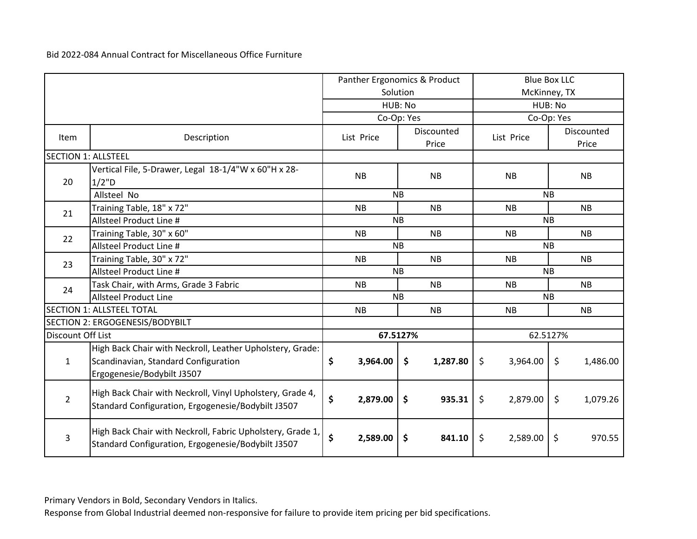|                            |                                                                                                                 |                | Panther Ergonomics & Product |                | <b>Blue Box LLC</b> |  |
|----------------------------|-----------------------------------------------------------------------------------------------------------------|----------------|------------------------------|----------------|---------------------|--|
|                            |                                                                                                                 |                | Solution                     | McKinney, TX   |                     |  |
|                            |                                                                                                                 |                | HUB: No                      |                | HUB: No             |  |
|                            |                                                                                                                 |                | Co-Op: Yes                   |                | Co-Op: Yes          |  |
| Item                       | Description                                                                                                     | List Price     | Discounted                   | List Price     | Discounted          |  |
|                            |                                                                                                                 |                | Price                        |                | Price               |  |
| <b>SECTION 1: ALLSTEEL</b> |                                                                                                                 |                |                              |                |                     |  |
|                            | Vertical File, 5-Drawer, Legal 18-1/4"W x 60"H x 28-                                                            | <b>NB</b>      | <b>NB</b>                    | <b>NB</b>      | <b>NB</b>           |  |
| 20                         | 1/2"D                                                                                                           |                |                              |                |                     |  |
|                            | Allsteel No                                                                                                     |                | <b>NB</b>                    |                | <b>NB</b>           |  |
| 21                         | Training Table, 18" x 72"                                                                                       | <b>NB</b>      | <b>NB</b>                    | <b>NB</b>      | <b>NB</b>           |  |
|                            | Allsteel Product Line #                                                                                         |                | <b>NB</b>                    |                | <b>NB</b>           |  |
| 22                         | Training Table, 30" x 60"                                                                                       | <b>NB</b>      | <b>NB</b>                    | <b>NB</b>      | <b>NB</b>           |  |
|                            | Allsteel Product Line #                                                                                         |                | <b>NB</b>                    | <b>NB</b>      |                     |  |
| 23                         | Training Table, 30" x 72"                                                                                       | <b>NB</b>      | <b>NB</b>                    | <b>NB</b>      | <b>NB</b>           |  |
|                            | Allsteel Product Line #                                                                                         | <b>NB</b>      |                              | <b>NB</b>      |                     |  |
| 24                         | Task Chair, with Arms, Grade 3 Fabric                                                                           | <b>NB</b>      | <b>NB</b>                    | <b>NB</b>      | <b>NB</b>           |  |
|                            | <b>Allsteel Product Line</b>                                                                                    |                | <b>NB</b>                    | <b>NB</b>      |                     |  |
|                            | <b>SECTION 1: ALLSTEEL TOTAL</b>                                                                                | <b>NB</b>      | <b>NB</b>                    | <b>NB</b>      | <b>NB</b>           |  |
|                            | SECTION 2: ERGOGENESIS/BODYBILT                                                                                 |                |                              |                |                     |  |
| Discount Off List          |                                                                                                                 |                | 67.5127%                     |                | 62.5127%            |  |
|                            | High Back Chair with Neckroll, Leather Upholstery, Grade:                                                       |                |                              |                |                     |  |
| $\mathbf{1}$               | Scandinavian, Standard Configuration                                                                            | \$<br>3,964.00 | \$<br>1,287.80               | \$<br>3,964.00 | \$<br>1,486.00      |  |
|                            | Ergogenesie/Bodybilt J3507                                                                                      |                |                              |                |                     |  |
|                            |                                                                                                                 |                |                              |                |                     |  |
| $\overline{2}$             | High Back Chair with Neckroll, Vinyl Upholstery, Grade 4,<br>Standard Configuration, Ergogenesie/Bodybilt J3507 | \$<br>2,879.00 | \$<br>935.31                 | \$<br>2,879.00 | \$<br>1,079.26      |  |
|                            |                                                                                                                 |                |                              |                |                     |  |
|                            | High Back Chair with Neckroll, Fabric Upholstery, Grade 1,                                                      |                |                              |                |                     |  |
| 3                          | Standard Configuration, Ergogenesie/Bodybilt J3507                                                              | \$<br>2,589.00 | 841.10<br>\$                 | \$<br>2,589.00 | \$<br>970.55        |  |

Primary Vendors in Bold, Secondary Vendors in Italics.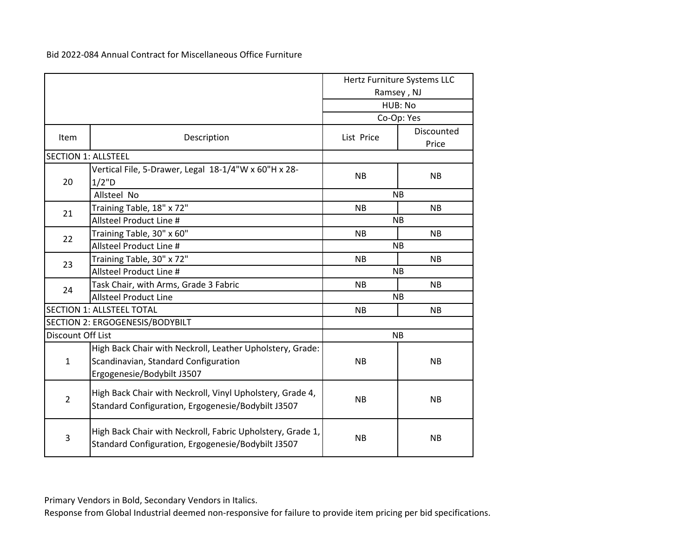|                            |                                                                                                                                 |            | Hertz Furniture Systems LLC<br>Ramsey, NJ<br>HUB: No |  |  |
|----------------------------|---------------------------------------------------------------------------------------------------------------------------------|------------|------------------------------------------------------|--|--|
|                            |                                                                                                                                 |            | Co-Op: Yes                                           |  |  |
| Item                       | Description                                                                                                                     | List Price | Discounted<br>Price                                  |  |  |
| <b>SECTION 1: ALLSTEEL</b> |                                                                                                                                 |            |                                                      |  |  |
| 20                         | Vertical File, 5-Drawer, Legal 18-1/4"W x 60"H x 28-<br>1/2"D                                                                   | <b>NB</b>  | <b>NB</b>                                            |  |  |
|                            | Allsteel No                                                                                                                     |            | <b>NB</b>                                            |  |  |
| 21                         | Training Table, 18" x 72"                                                                                                       | <b>NB</b>  | <b>NB</b>                                            |  |  |
|                            | Allsteel Product Line #                                                                                                         |            | <b>NB</b>                                            |  |  |
| 22                         | Training Table, 30" x 60"                                                                                                       | <b>NB</b>  | <b>NB</b>                                            |  |  |
|                            | Allsteel Product Line #                                                                                                         |            | <b>NB</b>                                            |  |  |
| 23                         | Training Table, 30" x 72"                                                                                                       | <b>NB</b>  | <b>NB</b>                                            |  |  |
|                            | Allsteel Product Line #                                                                                                         |            | <b>NB</b>                                            |  |  |
| 24                         | Task Chair, with Arms, Grade 3 Fabric                                                                                           | <b>NB</b>  | <b>NB</b>                                            |  |  |
|                            | <b>Allsteel Product Line</b>                                                                                                    |            | <b>NB</b>                                            |  |  |
|                            | <b>SECTION 1: ALLSTEEL TOTAL</b>                                                                                                | <b>NB</b>  | <b>NB</b>                                            |  |  |
|                            | SECTION 2: ERGOGENESIS/BODYBILT                                                                                                 |            |                                                      |  |  |
| Discount Off List          |                                                                                                                                 |            | <b>NB</b>                                            |  |  |
| $\mathbf{1}$               | High Back Chair with Neckroll, Leather Upholstery, Grade:<br>Scandinavian, Standard Configuration<br>Ergogenesie/Bodybilt J3507 | <b>NB</b>  | <b>NB</b>                                            |  |  |
| $\overline{2}$             | High Back Chair with Neckroll, Vinyl Upholstery, Grade 4,<br>Standard Configuration, Ergogenesie/Bodybilt J3507                 | <b>NB</b>  | <b>NB</b>                                            |  |  |
| 3                          | High Back Chair with Neckroll, Fabric Upholstery, Grade 1,<br>Standard Configuration, Ergogenesie/Bodybilt J3507                | <b>NB</b>  | <b>NB</b>                                            |  |  |

Primary Vendors in Bold, Secondary Vendors in Italics.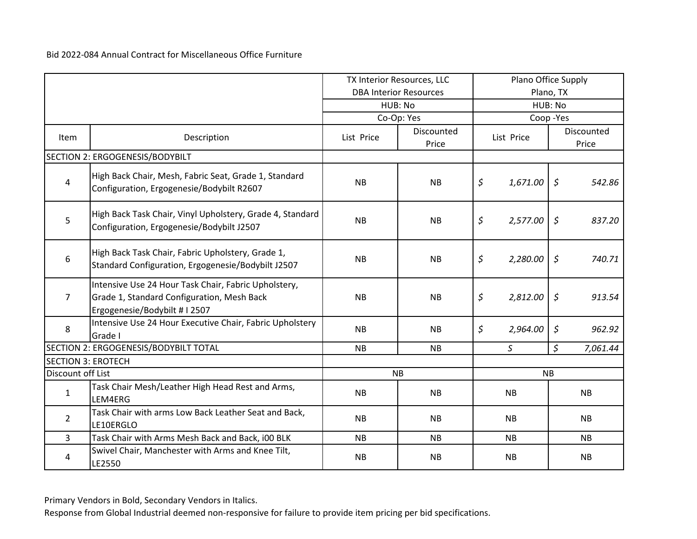|                           |                                                                                                                                     | TX Interior Resources, LLC |                               | Plano Office Supply |               |                      |           |
|---------------------------|-------------------------------------------------------------------------------------------------------------------------------------|----------------------------|-------------------------------|---------------------|---------------|----------------------|-----------|
|                           |                                                                                                                                     |                            | <b>DBA Interior Resources</b> | Plano, TX           |               |                      |           |
|                           |                                                                                                                                     |                            | HUB: No                       | HUB: No             |               |                      |           |
|                           |                                                                                                                                     |                            | Co-Op: Yes                    |                     | Coop-Yes      |                      |           |
| Item                      | Description                                                                                                                         | List Price                 | Discounted<br>Price           | List Price          |               | Discounted           |           |
|                           | SECTION 2: ERGOGENESIS/BODYBILT                                                                                                     |                            |                               |                     |               |                      |           |
| $\overline{4}$            | High Back Chair, Mesh, Fabric Seat, Grade 1, Standard<br>Configuration, Ergogenesie/Bodybilt R2607                                  | <b>NB</b>                  | <b>NB</b>                     | \$                  | 1,671.00      | $\zeta$              | 542.86    |
| 5                         | High Back Task Chair, Vinyl Upholstery, Grade 4, Standard<br>Configuration, Ergogenesie/Bodybilt J2507                              | <b>NB</b>                  | <b>NB</b>                     | \$                  | 2,577.00      | $\varsigma$          | 837.20    |
| 6                         | High Back Task Chair, Fabric Upholstery, Grade 1,<br>Standard Configuration, Ergogenesie/Bodybilt J2507                             | <b>NB</b>                  | <b>NB</b>                     | \$<br>2,280.00      |               | \$                   | 740.71    |
| $\overline{7}$            | Intensive Use 24 Hour Task Chair, Fabric Upholstery,<br>Grade 1, Standard Configuration, Mesh Back<br>Ergogenesie/Bodybilt # I 2507 | <b>NB</b>                  | <b>NB</b>                     | \$                  | 2,812.00      | $\zeta$              | 913.54    |
| 8                         | Intensive Use 24 Hour Executive Chair, Fabric Upholstery<br>Grade I                                                                 | <b>NB</b>                  | <b>NB</b>                     | \$                  | 2,964.00      | \$                   | 962.92    |
|                           | SECTION 2: ERGOGENESIS/BODYBILT TOTAL                                                                                               | <b>NB</b>                  | <b>NB</b>                     |                     | $\mathcal{S}$ | $\boldsymbol{\zeta}$ | 7,061.44  |
| <b>SECTION 3: EROTECH</b> |                                                                                                                                     |                            |                               |                     |               |                      |           |
| Discount off List         |                                                                                                                                     |                            | <b>NB</b>                     |                     | <b>NB</b>     |                      |           |
| $\mathbf{1}$              | Task Chair Mesh/Leather High Head Rest and Arms,<br>LEM4ERG                                                                         | <b>NB</b>                  | <b>NB</b>                     |                     | <b>NB</b>     |                      | <b>NB</b> |
| $\overline{2}$            | Task Chair with arms Low Back Leather Seat and Back,<br>LE10ERGLO                                                                   | <b>NB</b>                  | <b>NB</b>                     |                     | <b>NB</b>     |                      | <b>NB</b> |
| $\overline{3}$            | Task Chair with Arms Mesh Back and Back, i00 BLK                                                                                    | <b>NB</b>                  | <b>NB</b>                     |                     | <b>NB</b>     |                      | <b>NB</b> |
| 4                         | Swivel Chair, Manchester with Arms and Knee Tilt,<br>LE2550                                                                         | <b>NB</b>                  | <b>NB</b>                     |                     | <b>NB</b>     |                      | <b>NB</b> |

Primary Vendors in Bold, Secondary Vendors in Italics.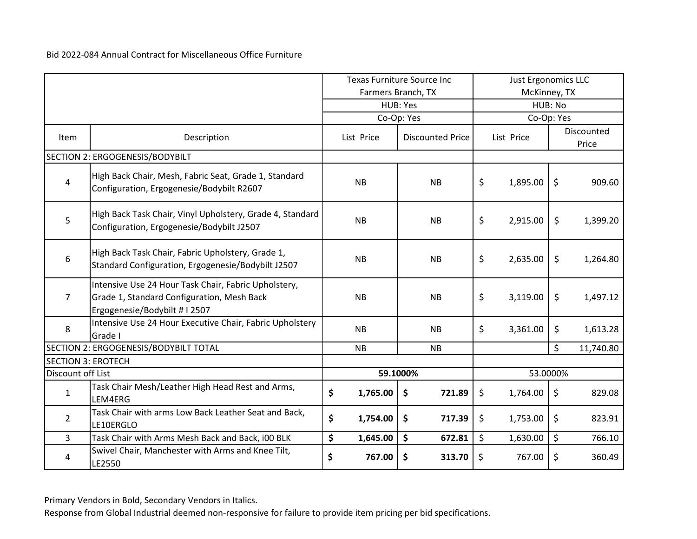|                           |                                                                                                                                     | <b>Texas Furniture Source Inc</b><br>Farmers Branch, TX |                               | <b>Just Ergonomics LLC</b><br>McKinney, TX |            |         |           |  |                     |
|---------------------------|-------------------------------------------------------------------------------------------------------------------------------------|---------------------------------------------------------|-------------------------------|--------------------------------------------|------------|---------|-----------|--|---------------------|
|                           |                                                                                                                                     |                                                         | HUB: Yes                      | HUB: No                                    |            |         |           |  |                     |
|                           |                                                                                                                                     |                                                         | Co-Op: Yes                    | Co-Op: Yes                                 |            |         |           |  |                     |
| Item                      | Description                                                                                                                         | List Price                                              | <b>Discounted Price</b>       |                                            | List Price |         |           |  | Discounted<br>Price |
|                           | SECTION 2: ERGOGENESIS/BODYBILT                                                                                                     |                                                         |                               |                                            |            |         |           |  |                     |
| $\overline{4}$            | High Back Chair, Mesh, Fabric Seat, Grade 1, Standard<br>Configuration, Ergogenesie/Bodybilt R2607                                  | <b>NB</b>                                               | <b>NB</b>                     | \$                                         | 1,895.00   | \$      | 909.60    |  |                     |
| 5                         | High Back Task Chair, Vinyl Upholstery, Grade 4, Standard<br>Configuration, Ergogenesie/Bodybilt J2507                              | <b>NB</b>                                               | <b>NB</b>                     | \$                                         | 2,915.00   | $\zeta$ | 1,399.20  |  |                     |
| 6                         | High Back Task Chair, Fabric Upholstery, Grade 1,<br>Standard Configuration, Ergogenesie/Bodybilt J2507                             | NB                                                      | <b>NB</b>                     | \$                                         | 2,635.00   | \$      | 1,264.80  |  |                     |
| $\overline{7}$            | Intensive Use 24 Hour Task Chair, Fabric Upholstery,<br>Grade 1, Standard Configuration, Mesh Back<br>Ergogenesie/Bodybilt # I 2507 | <b>NB</b>                                               | <b>NB</b>                     | \$                                         | 3,119.00   | \$      | 1,497.12  |  |                     |
| 8                         | Intensive Use 24 Hour Executive Chair, Fabric Upholstery<br>Grade I                                                                 | <b>NB</b>                                               | <b>NB</b>                     | \$                                         | 3,361.00   | \$      | 1,613.28  |  |                     |
|                           | SECTION 2: ERGOGENESIS/BODYBILT TOTAL                                                                                               | <b>NB</b>                                               | <b>NB</b>                     |                                            |            | \$      | 11,740.80 |  |                     |
| <b>SECTION 3: EROTECH</b> |                                                                                                                                     |                                                         |                               |                                            |            |         |           |  |                     |
| Discount off List         |                                                                                                                                     |                                                         | 59.1000%                      |                                            | 53.0000%   |         |           |  |                     |
| $\mathbf{1}$              | Task Chair Mesh/Leather High Head Rest and Arms,<br>LEM4ERG                                                                         | \$<br>1,765.00                                          | $\frac{1}{2}$<br>721.89       | \$                                         | 1,764.00   | \$      | 829.08    |  |                     |
| $\overline{2}$            | Task Chair with arms Low Back Leather Seat and Back,<br>LE10ERGLO                                                                   | \$<br>1,754.00                                          | \$<br>717.39                  | \$                                         | 1,753.00   | \$      | 823.91    |  |                     |
| $\overline{3}$            | Task Chair with Arms Mesh Back and Back, i00 BLK                                                                                    | \$<br>1,645.00                                          | $\ddot{\bm{\zeta}}$<br>672.81 | \$                                         | 1,630.00   | \$      | 766.10    |  |                     |
| 4                         | Swivel Chair, Manchester with Arms and Knee Tilt,<br>LE2550                                                                         | \$<br>767.00                                            | \$<br>313.70                  | \$                                         | 767.00     | \$      | 360.49    |  |                     |

Primary Vendors in Bold, Secondary Vendors in Italics.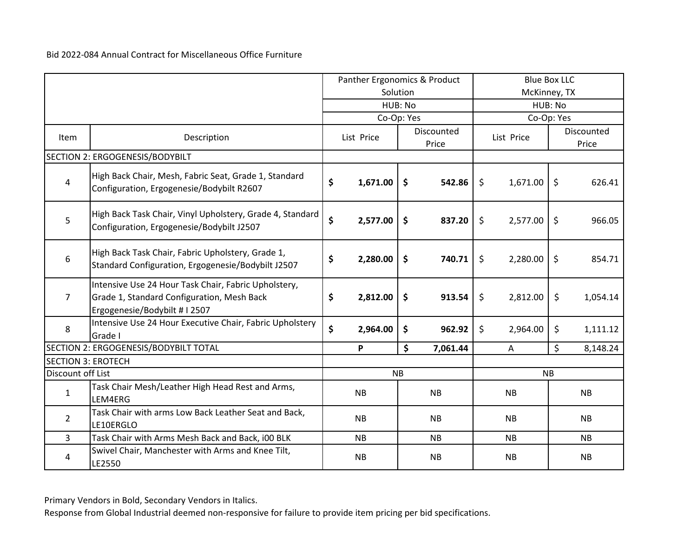|                           |                                                                                                                                     | Panther Ergonomics & Product |                        | <b>Blue Box LLC</b> |           |              |            |                    |                     |
|---------------------------|-------------------------------------------------------------------------------------------------------------------------------------|------------------------------|------------------------|---------------------|-----------|--------------|------------|--------------------|---------------------|
|                           |                                                                                                                                     |                              |                        | Solution            |           | McKinney, TX |            |                    |                     |
|                           |                                                                                                                                     |                              |                        | HUB: No             |           | HUB: No      |            |                    |                     |
|                           |                                                                                                                                     |                              | Co-Op: Yes             |                     |           |              | Co-Op: Yes |                    |                     |
| Item                      | Description                                                                                                                         |                              | List Price             | Discounted<br>Price |           |              | List Price |                    | Discounted<br>Price |
|                           | SECTION 2: ERGOGENESIS/BODYBILT                                                                                                     |                              |                        |                     |           |              |            |                    |                     |
| 4                         | High Back Chair, Mesh, Fabric Seat, Grade 1, Standard<br>Configuration, Ergogenesie/Bodybilt R2607                                  | \$                           | 1,671.00               | $\ddot{\bm{\zeta}}$ | 542.86    | \$           | 1,671.00   | $\ddot{\varsigma}$ | 626.41              |
| 5                         | High Back Task Chair, Vinyl Upholstery, Grade 4, Standard<br>Configuration, Ergogenesie/Bodybilt J2507                              | \$                           | 2,577.00               | $\ddot{\bm{\zeta}}$ | 837.20    | \$           | 2,577.00   | $\zeta$            | 966.05              |
| 6                         | High Back Task Chair, Fabric Upholstery, Grade 1,<br>Standard Configuration, Ergogenesie/Bodybilt J2507                             | \$                           | 2,280.00               | $\mathsf{\$}$       | 740.71    | \$           | 2,280.00   | \$                 | 854.71              |
| $\overline{7}$            | Intensive Use 24 Hour Task Chair, Fabric Upholstery,<br>Grade 1, Standard Configuration, Mesh Back<br>Ergogenesie/Bodybilt # I 2507 | \$                           | 2,812.00               | $\mathsf{\$}$       | 913.54    | \$           | 2,812.00   | \$                 | 1,054.14            |
| 8                         | Intensive Use 24 Hour Executive Chair, Fabric Upholstery<br>Grade I                                                                 | $\mathsf{\hat{S}}$           | 2,964.00               | \$                  | 962.92    | \$           | 2,964.00   | \$                 | 1,111.12            |
|                           | SECTION 2: ERGOGENESIS/BODYBILT TOTAL                                                                                               |                              | P                      | \$                  | 7,061.44  |              | A          | \$                 | 8,148.24            |
| <b>SECTION 3: EROTECH</b> |                                                                                                                                     |                              |                        |                     |           |              |            |                    |                     |
| Discount off List         |                                                                                                                                     |                              | NB                     |                     |           |              |            | <b>NB</b>          |                     |
| $\mathbf{1}$              | Task Chair Mesh/Leather High Head Rest and Arms,<br>LEM4ERG                                                                         |                              | <b>NB</b>              | <b>NB</b>           |           |              | <b>NB</b>  |                    | <b>NB</b>           |
| $\overline{2}$            | Task Chair with arms Low Back Leather Seat and Back,<br>LE10ERGLO                                                                   | <b>NB</b>                    |                        | <b>NB</b>           |           | <b>NB</b>    |            | <b>NB</b>          |                     |
| $\overline{3}$            | Task Chair with Arms Mesh Back and Back, i00 BLK                                                                                    |                              | <b>NB</b>              |                     | <b>NB</b> | <b>NB</b>    |            | <b>NB</b>          |                     |
| 4                         | Swivel Chair, Manchester with Arms and Knee Tilt,<br>LE2550                                                                         |                              | <b>NB</b><br><b>NB</b> |                     | <b>NB</b> |              |            | NB                 |                     |

Primary Vendors in Bold, Secondary Vendors in Italics.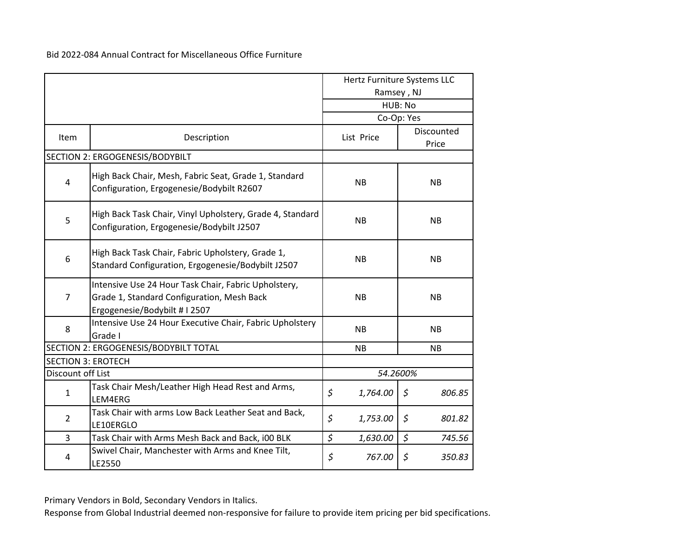|                           |                                                                                                                                   | Hertz Furniture Systems LLC |                     |  |  |  |  |
|---------------------------|-----------------------------------------------------------------------------------------------------------------------------------|-----------------------------|---------------------|--|--|--|--|
|                           |                                                                                                                                   | Ramsey, NJ                  |                     |  |  |  |  |
|                           |                                                                                                                                   |                             | HUB: No             |  |  |  |  |
|                           |                                                                                                                                   |                             | Co-Op: Yes          |  |  |  |  |
| Item                      | Description                                                                                                                       | List Price                  | Discounted<br>Price |  |  |  |  |
|                           | SECTION 2: ERGOGENESIS/BODYBILT                                                                                                   |                             |                     |  |  |  |  |
| 4                         | High Back Chair, Mesh, Fabric Seat, Grade 1, Standard<br>Configuration, Ergogenesie/Bodybilt R2607                                | <b>NB</b>                   | <b>NB</b>           |  |  |  |  |
| 5                         | High Back Task Chair, Vinyl Upholstery, Grade 4, Standard<br>Configuration, Ergogenesie/Bodybilt J2507                            | <b>NB</b>                   | <b>NB</b>           |  |  |  |  |
| 6                         | High Back Task Chair, Fabric Upholstery, Grade 1,<br>Standard Configuration, Ergogenesie/Bodybilt J2507                           | <b>NB</b>                   | <b>NB</b>           |  |  |  |  |
| $\overline{7}$            | Intensive Use 24 Hour Task Chair, Fabric Upholstery,<br>Grade 1, Standard Configuration, Mesh Back<br>Ergogenesie/Bodybilt #12507 | <b>NB</b>                   | <b>NB</b>           |  |  |  |  |
| 8                         | Intensive Use 24 Hour Executive Chair, Fabric Upholstery<br>Grade I                                                               | <b>NB</b>                   | <b>NB</b>           |  |  |  |  |
|                           | SECTION 2: ERGOGENESIS/BODYBILT TOTAL                                                                                             | <b>NB</b>                   | <b>NB</b>           |  |  |  |  |
| <b>SECTION 3: EROTECH</b> |                                                                                                                                   |                             |                     |  |  |  |  |
| Discount off List         |                                                                                                                                   |                             | 54.2600%            |  |  |  |  |
| $\mathbf{1}$              | Task Chair Mesh/Leather High Head Rest and Arms,<br>LEM4ERG                                                                       | \$<br>1,764.00              | \$<br>806.85        |  |  |  |  |
| $\overline{2}$            | Task Chair with arms Low Back Leather Seat and Back,<br>LE10ERGLO                                                                 | \$<br>1,753.00              | \$<br>801.82        |  |  |  |  |
| 3                         | Task Chair with Arms Mesh Back and Back, i00 BLK                                                                                  | \$<br>1,630.00              | $\zeta$<br>745.56   |  |  |  |  |
| 4                         | Swivel Chair, Manchester with Arms and Knee Tilt,<br>LE2550                                                                       | \$<br>767.00                | \$<br>350.83        |  |  |  |  |

Primary Vendors in Bold, Secondary Vendors in Italics.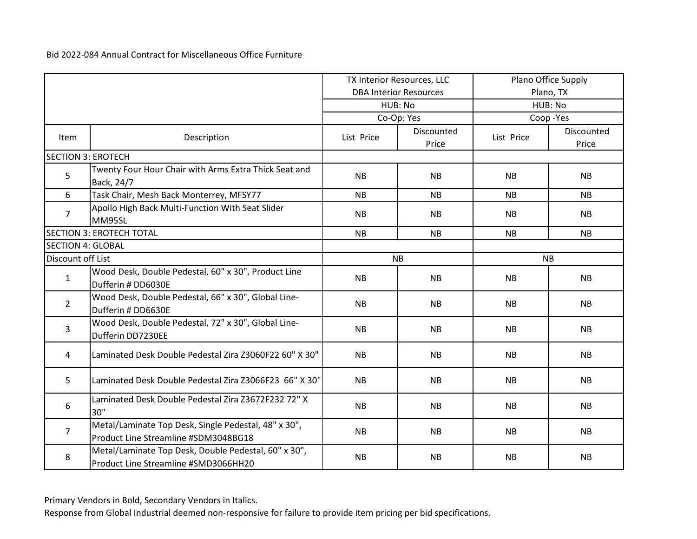|                           |                                                                                              | TX Interior Resources, LLC |                               | Plano Office Supply |                     |  |  |
|---------------------------|----------------------------------------------------------------------------------------------|----------------------------|-------------------------------|---------------------|---------------------|--|--|
|                           |                                                                                              |                            | <b>DBA Interior Resources</b> | Plano, TX           |                     |  |  |
|                           |                                                                                              |                            | HUB: No                       |                     | HUB: No             |  |  |
|                           |                                                                                              |                            | Co-Op: Yes                    |                     | Coop-Yes            |  |  |
| Item                      | Description                                                                                  | List Price                 | Discounted<br>Price           | List Price          | Discounted<br>Price |  |  |
| <b>SECTION 3: EROTECH</b> |                                                                                              |                            |                               |                     |                     |  |  |
| 5                         | Twenty Four Hour Chair with Arms Extra Thick Seat and<br>Back, 24/7                          | <b>NB</b>                  | <b>NB</b>                     | <b>NB</b>           | <b>NB</b>           |  |  |
| 6                         | Task Chair, Mesh Back Monterrey, MFSY77                                                      | <b>NB</b>                  | <b>NB</b>                     | <b>NB</b>           | <b>NB</b>           |  |  |
| $\overline{7}$            | Apollo High Back Multi-Function With Seat Slider<br>MM95SL                                   | <b>NB</b>                  | <b>NB</b>                     | <b>NB</b>           | <b>NB</b>           |  |  |
|                           | <b>SECTION 3: EROTECH TOTAL</b>                                                              | <b>NB</b>                  | <b>NB</b>                     | <b>NB</b>           | <b>NB</b>           |  |  |
| <b>SECTION 4: GLOBAL</b>  |                                                                                              |                            |                               |                     |                     |  |  |
| Discount off List         |                                                                                              |                            | <b>NB</b>                     | <b>NB</b>           |                     |  |  |
| $\mathbf{1}$              | Wood Desk, Double Pedestal, 60" x 30", Product Line<br>Dufferin # DD6030E                    | <b>NB</b>                  | <b>NB</b>                     | <b>NB</b>           | <b>NB</b>           |  |  |
| $\overline{2}$            | Wood Desk, Double Pedestal, 66" x 30", Global Line-<br>Dufferin # DD6630E                    | <b>NB</b>                  | <b>NB</b>                     | <b>NB</b>           | <b>NB</b>           |  |  |
| 3                         | Wood Desk, Double Pedestal, 72" x 30", Global Line-<br>Dufferin DD7230EE                     | <b>NB</b>                  | <b>NB</b>                     | <b>NB</b>           | <b>NB</b>           |  |  |
| 4                         | Laminated Desk Double Pedestal Zira Z3060F22 60" X 30"                                       | <b>NB</b>                  | <b>NB</b>                     | <b>NB</b>           | <b>NB</b>           |  |  |
| 5                         | Laminated Desk Double Pedestal Zira Z3066F23 66" X 30"                                       | <b>NB</b>                  | <b>NB</b>                     | <b>NB</b>           | <b>NB</b>           |  |  |
| 6                         | Laminated Desk Double Pedestal Zira Z3672F232 72" X<br>30"                                   | <b>NB</b>                  | <b>NB</b>                     | <b>NB</b>           | <b>NB</b>           |  |  |
| $\overline{7}$            | Metal/Laminate Top Desk, Single Pedestal, 48" x 30",<br>Product Line Streamline #SDM3048BG18 | NB                         | <b>NB</b>                     | <b>NB</b>           | <b>NB</b>           |  |  |
| 8                         | Metal/Laminate Top Desk, Double Pedestal, 60" x 30",<br>Product Line Streamline #SMD3066HH20 | <b>NB</b>                  | <b>NB</b>                     | <b>NB</b>           | <b>NB</b>           |  |  |

Primary Vendors in Bold, Secondary Vendors in Italics.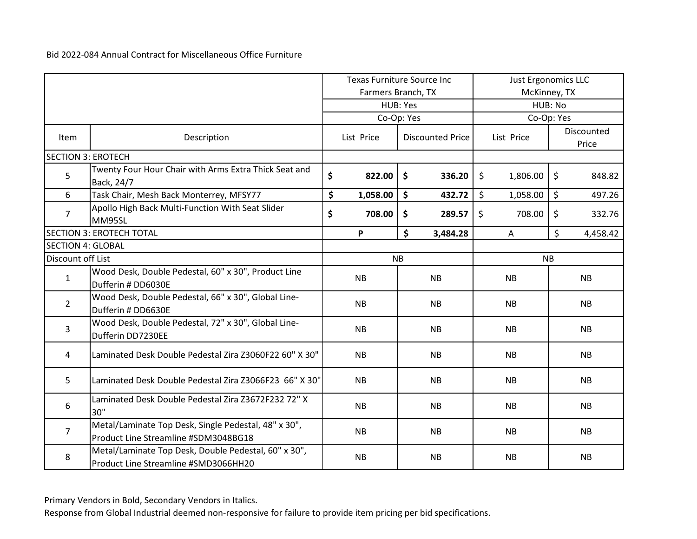|                           |                                                                                              | <b>Texas Furniture Source Inc</b> |                    |    |                         | <b>Just Ergonomics LLC</b> |            |           |                     |
|---------------------------|----------------------------------------------------------------------------------------------|-----------------------------------|--------------------|----|-------------------------|----------------------------|------------|-----------|---------------------|
|                           |                                                                                              |                                   | Farmers Branch, TX |    |                         | McKinney, TX               |            |           |                     |
|                           |                                                                                              |                                   | HUB: Yes           |    |                         | HUB: No                    |            |           |                     |
|                           |                                                                                              |                                   | Co-Op: Yes         |    |                         |                            | Co-Op: Yes |           |                     |
| Item                      | Description                                                                                  |                                   | List Price         |    | <b>Discounted Price</b> |                            | List Price |           | Discounted<br>Price |
| <b>SECTION 3: EROTECH</b> |                                                                                              |                                   |                    |    |                         |                            |            |           |                     |
| 5                         | Twenty Four Hour Chair with Arms Extra Thick Seat and<br>Back, 24/7                          | \$                                | 822.00             | \$ | 336.20                  | \$                         | 1,806.00   | \$        | 848.82              |
| 6                         | Task Chair, Mesh Back Monterrey, MFSY77                                                      | \$                                | 1,058.00           | \$ | 432.72                  | \$                         | 1,058.00   | \$        | 497.26              |
| $\overline{7}$            | Apollo High Back Multi-Function With Seat Slider<br>MM95SL                                   | \$                                | 708.00             | \$ | 289.57                  | \$                         | 708.00     | \$        | 332.76              |
|                           | <b>SECTION 3: EROTECH TOTAL</b>                                                              |                                   | P                  | \$ | 3,484.28                |                            | A          | \$        | 4,458.42            |
| <b>SECTION 4: GLOBAL</b>  |                                                                                              |                                   |                    |    |                         |                            |            |           |                     |
| Discount off List         |                                                                                              |                                   | <b>NB</b>          |    |                         |                            | <b>NB</b>  |           |                     |
| $\mathbf{1}$              | Wood Desk, Double Pedestal, 60" x 30", Product Line<br>Dufferin # DD6030E                    |                                   | <b>NB</b>          |    | <b>NB</b>               |                            | <b>NB</b>  |           | <b>NB</b>           |
| $\overline{2}$            | Wood Desk, Double Pedestal, 66" x 30", Global Line-<br>Dufferin # DD6630E                    |                                   | <b>NB</b>          |    | <b>NB</b>               |                            | <b>NB</b>  | <b>NB</b> |                     |
| 3                         | Wood Desk, Double Pedestal, 72" x 30", Global Line-<br>Dufferin DD7230EE                     |                                   | <b>NB</b>          |    | <b>NB</b>               |                            | <b>NB</b>  |           | <b>NB</b>           |
| 4                         | Laminated Desk Double Pedestal Zira Z3060F22 60" X 30"                                       |                                   | <b>NB</b>          |    | <b>NB</b>               |                            | <b>NB</b>  |           | <b>NB</b>           |
| 5                         | Laminated Desk Double Pedestal Zira Z3066F23 66" X 30"                                       |                                   | <b>NB</b>          |    | <b>NB</b>               |                            | <b>NB</b>  |           | <b>NB</b>           |
| 6                         | Laminated Desk Double Pedestal Zira Z3672F232 72" X<br>30"                                   |                                   | <b>NB</b>          |    | <b>NB</b>               |                            | <b>NB</b>  |           | <b>NB</b>           |
| $\overline{7}$            | Metal/Laminate Top Desk, Single Pedestal, 48" x 30",<br>Product Line Streamline #SDM3048BG18 |                                   | <b>NB</b>          |    | <b>NB</b>               |                            | <b>NB</b>  |           | <b>NB</b>           |
| 8                         | Metal/Laminate Top Desk, Double Pedestal, 60" x 30",<br>Product Line Streamline #SMD3066HH20 |                                   | <b>NB</b>          |    | <b>NB</b>               |                            | <b>NB</b>  |           | <b>NB</b>           |

Primary Vendors in Bold, Secondary Vendors in Italics.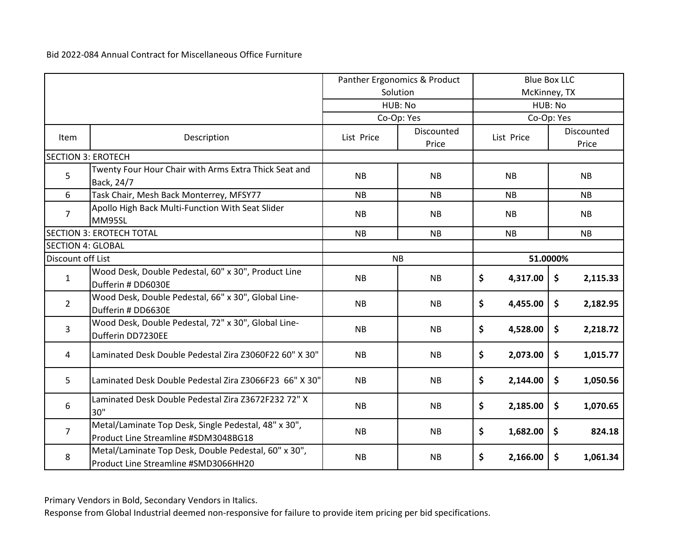|                           |                                                                                              | Panther Ergonomics & Product |                     | <b>Blue Box LLC</b> |                     |  |  |
|---------------------------|----------------------------------------------------------------------------------------------|------------------------------|---------------------|---------------------|---------------------|--|--|
|                           |                                                                                              |                              | Solution            | McKinney, TX        |                     |  |  |
|                           |                                                                                              |                              | HUB: No             |                     | HUB: No             |  |  |
|                           |                                                                                              |                              | Co-Op: Yes          |                     | Co-Op: Yes          |  |  |
| <b>Item</b>               | Description                                                                                  | List Price                   | Discounted<br>Price | List Price          | Discounted<br>Price |  |  |
| <b>SECTION 3: EROTECH</b> |                                                                                              |                              |                     |                     |                     |  |  |
| 5                         | Twenty Four Hour Chair with Arms Extra Thick Seat and<br>Back, 24/7                          | <b>NB</b>                    | <b>NB</b>           | <b>NB</b>           | <b>NB</b>           |  |  |
| 6                         | Task Chair, Mesh Back Monterrey, MFSY77                                                      | <b>NB</b>                    | <b>NB</b>           | <b>NB</b>           | <b>NB</b>           |  |  |
| $\overline{7}$            | Apollo High Back Multi-Function With Seat Slider<br>MM95SL                                   | <b>NB</b>                    | <b>NB</b>           | <b>NB</b>           | <b>NB</b>           |  |  |
|                           | <b>SECTION 3: EROTECH TOTAL</b>                                                              | <b>NB</b>                    | <b>NB</b>           | NB                  | <b>NB</b>           |  |  |
| <b>SECTION 4: GLOBAL</b>  |                                                                                              |                              |                     |                     |                     |  |  |
| Discount off List         |                                                                                              |                              | <b>NB</b>           | 51.0000%            |                     |  |  |
| $\mathbf{1}$              | Wood Desk, Double Pedestal, 60" x 30", Product Line<br>Dufferin # DD6030E                    | <b>NB</b>                    | <b>NB</b>           | \$<br>4,317.00      | \$<br>2,115.33      |  |  |
| $\overline{2}$            | Wood Desk, Double Pedestal, 66" x 30", Global Line-<br>Dufferin # DD6630E                    | <b>NB</b>                    | <b>NB</b>           | \$<br>4,455.00      | \$<br>2,182.95      |  |  |
| 3                         | Wood Desk, Double Pedestal, 72" x 30", Global Line-<br>Dufferin DD7230EE                     | <b>NB</b>                    | <b>NB</b>           | \$<br>4,528.00      | \$<br>2,218.72      |  |  |
| 4                         | Laminated Desk Double Pedestal Zira Z3060F22 60" X 30"                                       | <b>NB</b>                    | <b>NB</b>           | \$<br>2,073.00      | 1,015.77<br>\$      |  |  |
| 5                         | Laminated Desk Double Pedestal Zira Z3066F23 66" X 30"                                       | <b>NB</b>                    | <b>NB</b>           | \$<br>2,144.00      | \$<br>1,050.56      |  |  |
| 6                         | Laminated Desk Double Pedestal Zira Z3672F232 72" X<br>30"                                   | <b>NB</b>                    | <b>NB</b>           | \$<br>2,185.00      | \$<br>1,070.65      |  |  |
| $\overline{7}$            | Metal/Laminate Top Desk, Single Pedestal, 48" x 30",<br>Product Line Streamline #SDM3048BG18 | <b>NB</b>                    | <b>NB</b>           | \$<br>1,682.00      | \$<br>824.18        |  |  |
| 8                         | Metal/Laminate Top Desk, Double Pedestal, 60" x 30",<br>Product Line Streamline #SMD3066HH20 | <b>NB</b>                    | <b>NB</b>           | \$<br>2,166.00      | \$<br>1,061.34      |  |  |

Primary Vendors in Bold, Secondary Vendors in Italics.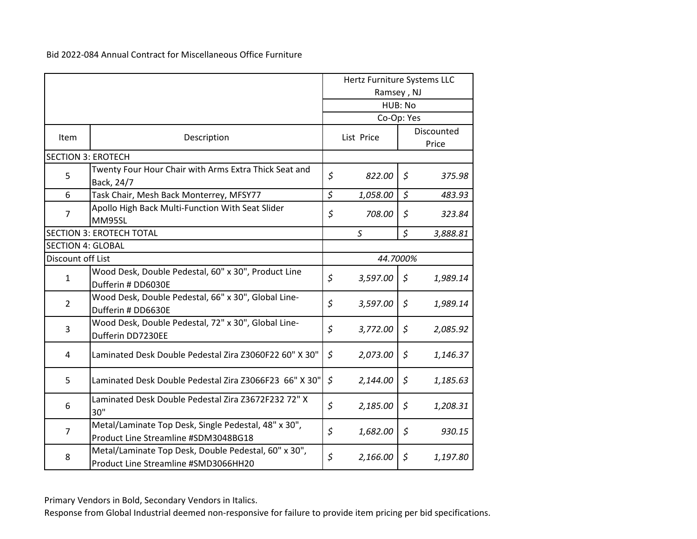|                           |                                                                                              |            | Hertz Furniture Systems LLC |             |                     |  |
|---------------------------|----------------------------------------------------------------------------------------------|------------|-----------------------------|-------------|---------------------|--|
|                           |                                                                                              | Ramsey, NJ |                             |             |                     |  |
|                           |                                                                                              |            |                             | HUB: No     |                     |  |
|                           |                                                                                              |            | Co-Op: Yes                  |             |                     |  |
| Item                      | Description                                                                                  |            | List Price                  |             | Discounted<br>Price |  |
| <b>SECTION 3: EROTECH</b> |                                                                                              |            |                             |             |                     |  |
| 5                         | Twenty Four Hour Chair with Arms Extra Thick Seat and<br>Back, 24/7                          | \$         | 822.00                      | \$          | 375.98              |  |
| 6                         | Task Chair, Mesh Back Monterrey, MFSY77                                                      | \$         | 1,058.00                    | \$          | 483.93              |  |
| $\overline{7}$            | Apollo High Back Multi-Function With Seat Slider<br><b>MM95SL</b>                            | \$         | 708.00                      | \$          | 323.84              |  |
|                           | <b>SECTION 3: EROTECH TOTAL</b>                                                              |            | S                           | $\varsigma$ | 3,888.81            |  |
| <b>SECTION 4: GLOBAL</b>  |                                                                                              |            |                             |             |                     |  |
| Discount off List         |                                                                                              |            | 44.7000%                    |             |                     |  |
| $\mathbf{1}$              | Wood Desk, Double Pedestal, 60" x 30", Product Line<br>Dufferin # DD6030E                    | \$         | 3,597.00                    | \$          | 1,989.14            |  |
| $\overline{2}$            | Wood Desk, Double Pedestal, 66" x 30", Global Line-<br>Dufferin # DD6630E                    | \$         | 3,597.00                    | $\zeta$     | 1,989.14            |  |
| 3                         | Wood Desk, Double Pedestal, 72" x 30", Global Line-<br>Dufferin DD7230EE                     | \$         | 3,772.00                    | \$          | 2,085.92            |  |
| 4                         | Laminated Desk Double Pedestal Zira Z3060F22 60" X 30"                                       | \$         | 2,073.00                    | \$          | 1,146.37            |  |
| 5                         | Laminated Desk Double Pedestal Zira Z3066F23 66" X 30"                                       | $\zeta$    | 2,144.00                    | $\zeta$     | 1,185.63            |  |
| 6                         | Laminated Desk Double Pedestal Zira Z3672F232 72" X<br>30"                                   | \$         | 2,185.00                    | \$          | 1,208.31            |  |
| $\overline{7}$            | Metal/Laminate Top Desk, Single Pedestal, 48" x 30",<br>Product Line Streamline #SDM3048BG18 | \$         | 1,682.00                    | \$          | 930.15              |  |
| 8                         | Metal/Laminate Top Desk, Double Pedestal, 60" x 30",<br>Product Line Streamline #SMD3066HH20 | \$         | 2,166.00                    | \$          | 1,197.80            |  |

Primary Vendors in Bold, Secondary Vendors in Italics.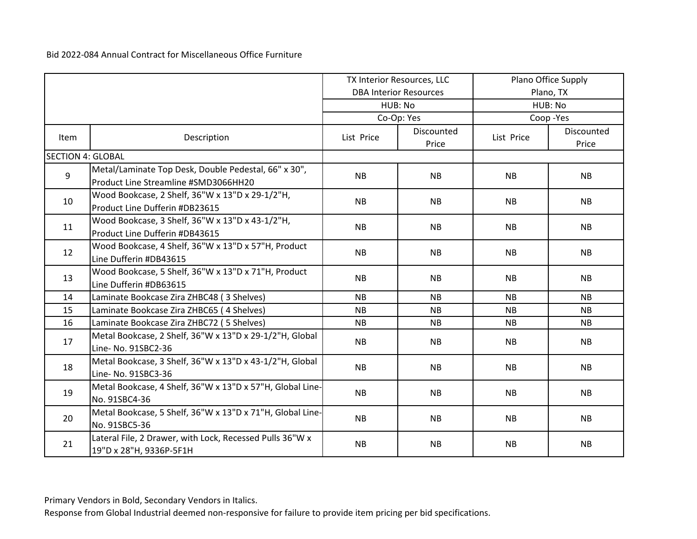|                          |                                                                                              | TX Interior Resources, LLC |                               | Plano Office Supply |                     |  |
|--------------------------|----------------------------------------------------------------------------------------------|----------------------------|-------------------------------|---------------------|---------------------|--|
|                          |                                                                                              |                            | <b>DBA Interior Resources</b> | Plano, TX           |                     |  |
|                          |                                                                                              |                            | HUB: No                       |                     | HUB: No             |  |
|                          |                                                                                              |                            | Co-Op: Yes                    |                     | Coop-Yes            |  |
| Item                     | Description                                                                                  | List Price                 | Discounted<br>Price           | List Price          | Discounted<br>Price |  |
| <b>SECTION 4: GLOBAL</b> |                                                                                              |                            |                               |                     |                     |  |
| 9                        | Metal/Laminate Top Desk, Double Pedestal, 66" x 30",<br>Product Line Streamline #SMD3066HH20 | <b>NB</b>                  | <b>NB</b>                     | <b>NB</b>           | <b>NB</b>           |  |
| 10                       | Wood Bookcase, 2 Shelf, 36"W x 13"D x 29-1/2"H,<br>Product Line Dufferin #DB23615            | <b>NB</b>                  | <b>NB</b>                     | <b>NB</b>           | <b>NB</b>           |  |
| 11                       | Wood Bookcase, 3 Shelf, 36"W x 13"D x 43-1/2"H,<br>Product Line Dufferin #DB43615            | <b>NB</b>                  | <b>NB</b>                     | <b>NB</b>           | <b>NB</b>           |  |
| 12                       | Wood Bookcase, 4 Shelf, 36"W x 13"D x 57"H, Product<br>Line Dufferin #DB43615                | <b>NB</b>                  | <b>NB</b>                     | <b>NB</b>           | <b>NB</b>           |  |
| 13                       | Wood Bookcase, 5 Shelf, 36"W x 13"D x 71"H, Product<br>Line Dufferin #DB63615                | <b>NB</b>                  | <b>NB</b>                     | <b>NB</b>           | <b>NB</b>           |  |
| 14                       | Laminate Bookcase Zira ZHBC48 (3 Shelves)                                                    | <b>NB</b>                  | <b>NB</b>                     | <b>NB</b>           | <b>NB</b>           |  |
| 15                       | Laminate Bookcase Zira ZHBC65 (4 Shelves)                                                    | <b>NB</b>                  | <b>NB</b>                     | <b>NB</b>           | <b>NB</b>           |  |
| 16                       | Laminate Bookcase Zira ZHBC72 (5 Shelves)                                                    | <b>NB</b>                  | <b>NB</b>                     | <b>NB</b>           | <b>NB</b>           |  |
| 17                       | Metal Bookcase, 2 Shelf, 36"W x 13"D x 29-1/2"H, Global<br>Line- No. 91SBC2-36               | <b>NB</b>                  | <b>NB</b>                     | <b>NB</b>           | <b>NB</b>           |  |
| 18                       | Metal Bookcase, 3 Shelf, 36"W x 13"D x 43-1/2"H, Global<br>Line-No. 91SBC3-36                | <b>NB</b>                  | <b>NB</b>                     | <b>NB</b>           | <b>NB</b>           |  |
| 19                       | Metal Bookcase, 4 Shelf, 36"W x 13"D x 57"H, Global Line-<br>No. 91SBC4-36                   | <b>NB</b>                  | <b>NB</b>                     | <b>NB</b>           | <b>NB</b>           |  |
| 20                       | Metal Bookcase, 5 Shelf, 36"W x 13"D x 71"H, Global Line-<br>No. 91SBC5-36                   | <b>NB</b>                  | <b>NB</b>                     | <b>NB</b>           | <b>NB</b>           |  |
| 21                       | Lateral File, 2 Drawer, with Lock, Recessed Pulls 36"W x<br>19"D x 28"H, 9336P-5F1H          | <b>NB</b>                  | <b>NB</b>                     | <b>NB</b>           | <b>NB</b>           |  |

Primary Vendors in Bold, Secondary Vendors in Italics.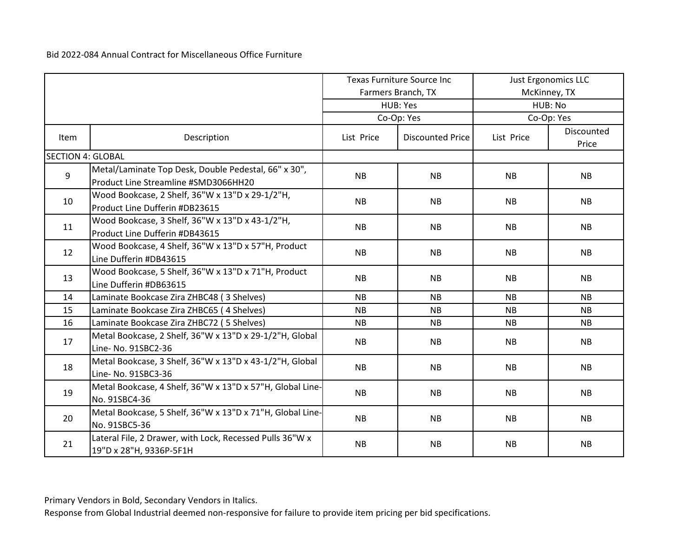|                          |                                                                                              | <b>Texas Furniture Source Inc</b><br>Farmers Branch, TX |                         | <b>Just Ergonomics LLC</b><br>McKinney, TX |            |  |
|--------------------------|----------------------------------------------------------------------------------------------|---------------------------------------------------------|-------------------------|--------------------------------------------|------------|--|
|                          |                                                                                              |                                                         | HUB: Yes                |                                            | HUB: No    |  |
|                          |                                                                                              |                                                         | Co-Op: Yes              |                                            | Co-Op: Yes |  |
|                          |                                                                                              |                                                         |                         |                                            | Discounted |  |
| Item                     | Description                                                                                  | List Price                                              | <b>Discounted Price</b> | List Price                                 | Price      |  |
| <b>SECTION 4: GLOBAL</b> |                                                                                              |                                                         |                         |                                            |            |  |
| 9                        | Metal/Laminate Top Desk, Double Pedestal, 66" x 30",<br>Product Line Streamline #SMD3066HH20 | <b>NB</b>                                               | <b>NB</b>               | <b>NB</b>                                  | <b>NB</b>  |  |
| 10                       | Wood Bookcase, 2 Shelf, 36"W x 13"D x 29-1/2"H,<br>Product Line Dufferin #DB23615            | <b>NB</b>                                               | <b>NB</b>               | NB.                                        | <b>NB</b>  |  |
| 11                       | Wood Bookcase, 3 Shelf, 36"W x 13"D x 43-1/2"H,<br>Product Line Dufferin #DB43615            | <b>NB</b>                                               | <b>NB</b>               | <b>NB</b>                                  | <b>NB</b>  |  |
| 12                       | Wood Bookcase, 4 Shelf, 36"W x 13"D x 57"H, Product<br>Line Dufferin #DB43615                | <b>NB</b>                                               | <b>NB</b>               | <b>NB</b>                                  | <b>NB</b>  |  |
| 13                       | Wood Bookcase, 5 Shelf, 36"W x 13"D x 71"H, Product<br>Line Dufferin #DB63615                | <b>NB</b>                                               | <b>NB</b>               | <b>NB</b>                                  | <b>NB</b>  |  |
| 14                       | Laminate Bookcase Zira ZHBC48 (3 Shelves)                                                    | <b>NB</b>                                               | <b>NB</b>               | <b>NB</b>                                  | <b>NB</b>  |  |
| 15                       | Laminate Bookcase Zira ZHBC65 (4 Shelves)                                                    | <b>NB</b>                                               | <b>NB</b>               | <b>NB</b>                                  | <b>NB</b>  |  |
| 16                       | Laminate Bookcase Zira ZHBC72 (5 Shelves)                                                    | <b>NB</b>                                               | <b>NB</b>               | <b>NB</b>                                  | <b>NB</b>  |  |
| 17                       | Metal Bookcase, 2 Shelf, 36"W x 13"D x 29-1/2"H, Global<br>Line- No. 91SBC2-36               | <b>NB</b>                                               | <b>NB</b>               | <b>NB</b>                                  | <b>NB</b>  |  |
| 18                       | Metal Bookcase, 3 Shelf, 36"W x 13"D x 43-1/2"H, Global<br>Line- No. 91SBC3-36               | <b>NB</b>                                               | <b>NB</b>               | <b>NB</b>                                  | <b>NB</b>  |  |
| 19                       | Metal Bookcase, 4 Shelf, 36"W x 13"D x 57"H, Global Line-<br>No. 91SBC4-36                   | <b>NB</b>                                               | <b>NB</b>               | <b>NB</b>                                  | <b>NB</b>  |  |
| 20                       | Metal Bookcase, 5 Shelf, 36"W x 13"D x 71"H, Global Line-<br>No. 91SBC5-36                   | <b>NB</b>                                               | <b>NB</b>               | <b>NB</b>                                  | <b>NB</b>  |  |
| 21                       | Lateral File, 2 Drawer, with Lock, Recessed Pulls 36"W x<br>19"D x 28"H, 9336P-5F1H          | <b>NB</b>                                               | <b>NB</b>               | <b>NB</b>                                  | <b>NB</b>  |  |

Primary Vendors in Bold, Secondary Vendors in Italics.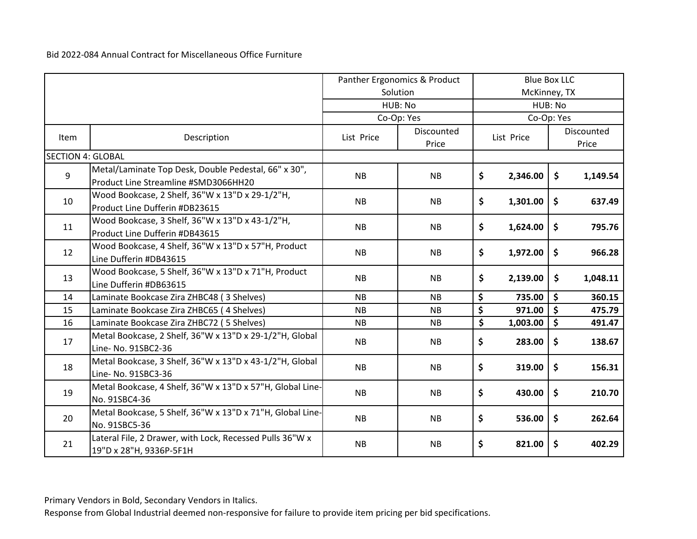|                          |                                                                                              | Panther Ergonomics & Product<br>Solution |                     | <b>Blue Box LLC</b><br>McKinney, TX |            |    |          |  |  |  |                     |
|--------------------------|----------------------------------------------------------------------------------------------|------------------------------------------|---------------------|-------------------------------------|------------|----|----------|--|--|--|---------------------|
|                          |                                                                                              |                                          | HUB: No             | HUB: No                             |            |    |          |  |  |  |                     |
|                          |                                                                                              |                                          | Co-Op: Yes          | Co-Op: Yes                          |            |    |          |  |  |  |                     |
| Item                     | Description                                                                                  | List Price                               | Discounted<br>Price |                                     | List Price |    |          |  |  |  | Discounted<br>Price |
| <b>SECTION 4: GLOBAL</b> |                                                                                              |                                          |                     |                                     |            |    |          |  |  |  |                     |
| 9                        | Metal/Laminate Top Desk, Double Pedestal, 66" x 30",<br>Product Line Streamline #SMD3066HH20 | <b>NB</b>                                | <b>NB</b>           | \$                                  | 2,346.00   | \$ | 1,149.54 |  |  |  |                     |
| 10                       | Wood Bookcase, 2 Shelf, 36"W x 13"D x 29-1/2"H,<br>Product Line Dufferin #DB23615            | <b>NB</b>                                | <b>NB</b>           | \$                                  | 1,301.00   | \$ | 637.49   |  |  |  |                     |
| 11                       | Wood Bookcase, 3 Shelf, 36"W x 13"D x 43-1/2"H,<br>Product Line Dufferin #DB43615            | <b>NB</b>                                | <b>NB</b>           | \$                                  | 1,624.00   | \$ | 795.76   |  |  |  |                     |
| 12                       | Wood Bookcase, 4 Shelf, 36"W x 13"D x 57"H, Product<br>Line Dufferin #DB43615                | <b>NB</b>                                | <b>NB</b>           | \$                                  | 1,972.00   | \$ | 966.28   |  |  |  |                     |
| 13                       | Wood Bookcase, 5 Shelf, 36"W x 13"D x 71"H, Product<br>Line Dufferin #DB63615                | <b>NB</b>                                | <b>NB</b>           | \$                                  | 2,139.00   | \$ | 1,048.11 |  |  |  |                     |
| 14                       | Laminate Bookcase Zira ZHBC48 (3 Shelves)                                                    | NB                                       | <b>NB</b>           | \$                                  | 735.00     | \$ | 360.15   |  |  |  |                     |
| 15                       | Laminate Bookcase Zira ZHBC65 (4 Shelves)                                                    | NB                                       | <b>NB</b>           | \$                                  | 971.00     | \$ | 475.79   |  |  |  |                     |
| 16                       | Laminate Bookcase Zira ZHBC72 (5 Shelves)                                                    | <b>NB</b>                                | <b>NB</b>           | \$                                  | 1,003.00   | \$ | 491.47   |  |  |  |                     |
| 17                       | Metal Bookcase, 2 Shelf, 36"W x 13"D x 29-1/2"H, Global<br>Line- No. 91SBC2-36               | <b>NB</b>                                | <b>NB</b>           | \$                                  | 283.00     | \$ | 138.67   |  |  |  |                     |
| 18                       | Metal Bookcase, 3 Shelf, 36"W x 13"D x 43-1/2"H, Global<br>Line-No. 91SBC3-36                | <b>NB</b>                                | <b>NB</b>           | \$                                  | 319.00     | \$ | 156.31   |  |  |  |                     |
| 19                       | Metal Bookcase, 4 Shelf, 36"W x 13"D x 57"H, Global Line-<br>No. 91SBC4-36                   | <b>NB</b>                                | <b>NB</b>           | \$                                  | 430.00     | \$ | 210.70   |  |  |  |                     |
| 20                       | Metal Bookcase, 5 Shelf, 36"W x 13"D x 71"H, Global Line-<br>No. 91SBC5-36                   | <b>NB</b>                                | <b>NB</b>           | \$                                  | 536.00     | \$ | 262.64   |  |  |  |                     |
| 21                       | Lateral File, 2 Drawer, with Lock, Recessed Pulls 36"W x<br>19"D x 28"H, 9336P-5F1H          | <b>NB</b>                                | <b>NB</b>           | \$                                  | 821.00     | \$ | 402.29   |  |  |  |                     |

Primary Vendors in Bold, Secondary Vendors in Italics.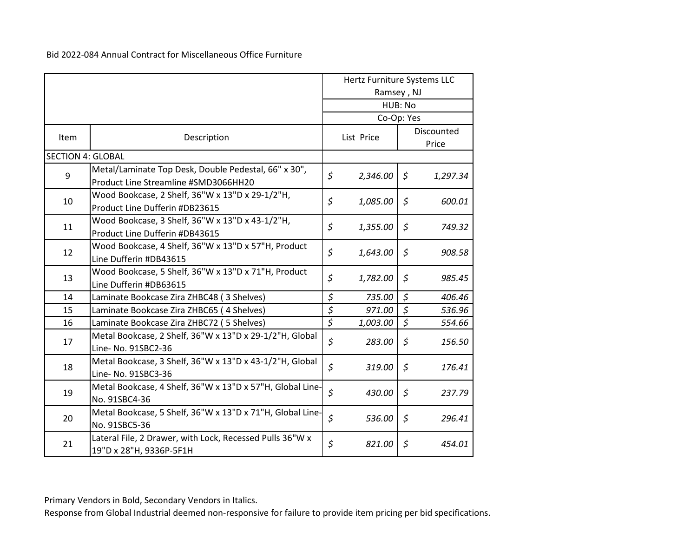| Hertz Furniture Systems LLC<br>Ramsey, NJ |                                                                                              |                          |            |             |                     |
|-------------------------------------------|----------------------------------------------------------------------------------------------|--------------------------|------------|-------------|---------------------|
|                                           |                                                                                              |                          |            | HUB: No     |                     |
|                                           |                                                                                              |                          | Co-Op: Yes |             |                     |
| Item                                      | Description                                                                                  |                          | List Price |             | Discounted<br>Price |
| <b>SECTION 4: GLOBAL</b>                  |                                                                                              |                          |            |             |                     |
| 9                                         | Metal/Laminate Top Desk, Double Pedestal, 66" x 30",<br>Product Line Streamline #SMD3066HH20 | \$                       | 2,346.00   | \$          | 1,297.34            |
| 10                                        | Wood Bookcase, 2 Shelf, 36"W x 13"D x 29-1/2"H,<br>Product Line Dufferin #DB23615            | \$                       | 1,085.00   | \$          | 600.01              |
| 11                                        | Wood Bookcase, 3 Shelf, 36"W x 13"D x 43-1/2"H,<br>Product Line Dufferin #DB43615            | \$                       | 1,355.00   | $\zeta$     | 749.32              |
| 12                                        | Wood Bookcase, 4 Shelf, 36"W x 13"D x 57"H, Product<br>Line Dufferin #DB43615                | \$                       | 1,643.00   | \$          | 908.58              |
| 13                                        | Wood Bookcase, 5 Shelf, 36"W x 13"D x 71"H, Product<br>Line Dufferin #DB63615                | \$                       | 1,782.00   | \$          | 985.45              |
| 14                                        | Laminate Bookcase Zira ZHBC48 (3 Shelves)                                                    | \$                       | 735.00     | $\zeta$     | 406.46              |
| 15                                        | Laminate Bookcase Zira ZHBC65 (4 Shelves)                                                    | \$                       | 971.00     | $\zeta$     | 536.96              |
| 16                                        | Laminate Bookcase Zira ZHBC72 (5 Shelves)                                                    | $\overline{\mathcal{S}}$ | 1,003.00   | $\zeta$     | 554.66              |
| 17                                        | Metal Bookcase, 2 Shelf, 36"W x 13"D x 29-1/2"H, Global<br>Line- No. 91SBC2-36               | \$                       | 283.00     | \$          | 156.50              |
| 18                                        | Metal Bookcase, 3 Shelf, 36"W x 13"D x 43-1/2"H, Global<br>Line- No. 91SBC3-36               | \$                       | 319.00     | $\varsigma$ | 176.41              |
| 19                                        | Metal Bookcase, 4 Shelf, 36"W x 13"D x 57"H, Global Line-<br>No. 91SBC4-36                   | \$                       | 430.00     | \$          | 237.79              |
| 20                                        | Metal Bookcase, 5 Shelf, 36"W x 13"D x 71"H, Global Line-<br>No. 91SBC5-36                   | $\mathsf{S}$             | 536.00     | \$          | 296.41              |
| 21                                        | Lateral File, 2 Drawer, with Lock, Recessed Pulls 36"W x<br>19"D x 28"H, 9336P-5F1H          | \$                       | 821.00     | \$          | 454.01              |

Primary Vendors in Bold, Secondary Vendors in Italics.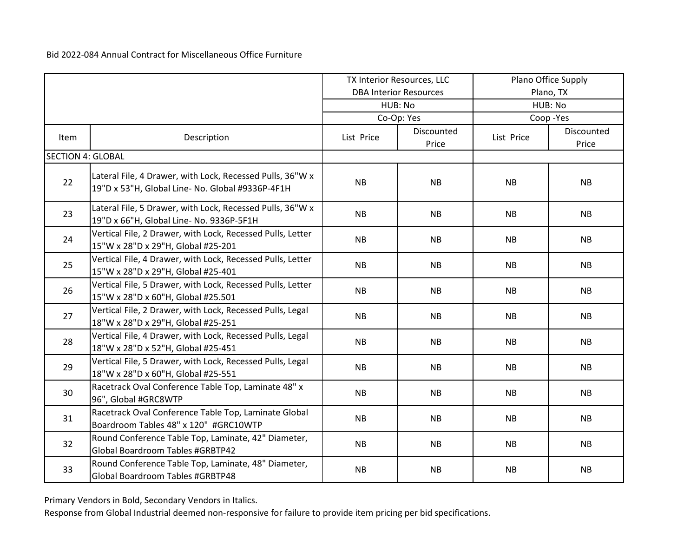|                          |                                                                                                               | TX Interior Resources, LLC |                               | Plano Office Supply |                     |  |
|--------------------------|---------------------------------------------------------------------------------------------------------------|----------------------------|-------------------------------|---------------------|---------------------|--|
|                          |                                                                                                               |                            | <b>DBA Interior Resources</b> |                     | Plano, TX           |  |
|                          |                                                                                                               |                            | HUB: No                       |                     | HUB: No             |  |
|                          |                                                                                                               |                            | Co-Op: Yes                    |                     | Coop-Yes            |  |
| Item                     | Description                                                                                                   | List Price                 | Discounted<br>Price           | List Price          | Discounted<br>Price |  |
| <b>SECTION 4: GLOBAL</b> |                                                                                                               |                            |                               |                     |                     |  |
| 22                       | Lateral File, 4 Drawer, with Lock, Recessed Pulls, 36"W x<br>19"D x 53"H, Global Line- No. Global #9336P-4F1H | <b>NB</b>                  | <b>NB</b>                     | NB                  | <b>NB</b>           |  |
| 23                       | Lateral File, 5 Drawer, with Lock, Recessed Pulls, 36"W x<br>19"D x 66"H, Global Line- No. 9336P-5F1H         | NB                         | NB                            | <b>NB</b>           | <b>NB</b>           |  |
| 24                       | Vertical File, 2 Drawer, with Lock, Recessed Pulls, Letter<br>15"W x 28"D x 29"H, Global #25-201              | <b>NB</b>                  | <b>NB</b>                     | <b>NB</b>           | <b>NB</b>           |  |
| 25                       | Vertical File, 4 Drawer, with Lock, Recessed Pulls, Letter<br>15"W x 28"D x 29"H, Global #25-401              | <b>NB</b>                  | <b>NB</b>                     | <b>NB</b>           | <b>NB</b>           |  |
| 26                       | Vertical File, 5 Drawer, with Lock, Recessed Pulls, Letter<br>15"W x 28"D x 60"H, Global #25.501              | NB                         | <b>NB</b>                     | <b>NB</b>           | <b>NB</b>           |  |
| 27                       | Vertical File, 2 Drawer, with Lock, Recessed Pulls, Legal<br>18"W x 28"D x 29"H, Global #25-251               | <b>NB</b>                  | <b>NB</b>                     | <b>NB</b>           | <b>NB</b>           |  |
| 28                       | Vertical File, 4 Drawer, with Lock, Recessed Pulls, Legal<br>18"W x 28"D x 52"H, Global #25-451               | <b>NB</b>                  | <b>NB</b>                     | <b>NB</b>           | <b>NB</b>           |  |
| 29                       | Vertical File, 5 Drawer, with Lock, Recessed Pulls, Legal<br>18"W x 28"D x 60"H, Global #25-551               | <b>NB</b>                  | <b>NB</b>                     | <b>NB</b>           | <b>NB</b>           |  |
| 30                       | Racetrack Oval Conference Table Top, Laminate 48" x<br>96", Global #GRC8WTP                                   | NB                         | NB                            | <b>NB</b>           | <b>NB</b>           |  |
| 31                       | Racetrack Oval Conference Table Top, Laminate Global<br>Boardroom Tables 48" x 120" #GRC10WTP                 | <b>NB</b>                  | NB                            | <b>NB</b>           | <b>NB</b>           |  |
| 32                       | Round Conference Table Top, Laminate, 42" Diameter,<br>Global Boardroom Tables #GRBTP42                       | NB                         | <b>NB</b>                     | <b>NB</b>           | <b>NB</b>           |  |
| 33                       | Round Conference Table Top, Laminate, 48" Diameter,<br>Global Boardroom Tables #GRBTP48                       | <b>NB</b>                  | NB                            | NB                  | <b>NB</b>           |  |

Primary Vendors in Bold, Secondary Vendors in Italics.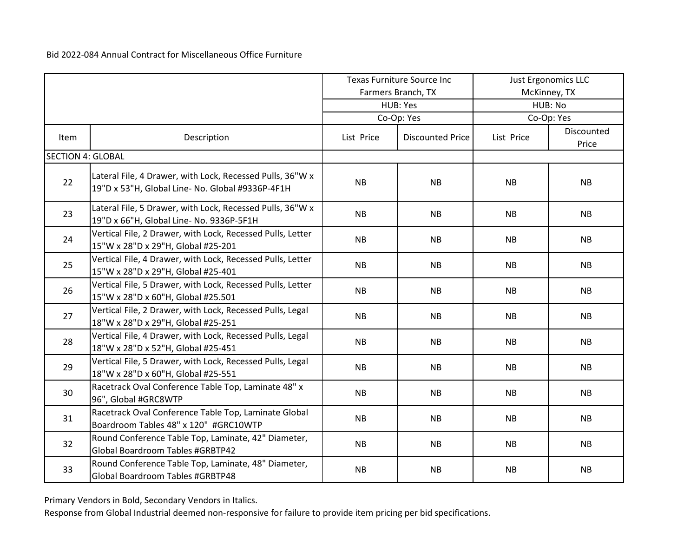|                          |                                                                                                               | Texas Furniture Source Inc |                         | <b>Just Ergonomics LLC</b> |                     |  |
|--------------------------|---------------------------------------------------------------------------------------------------------------|----------------------------|-------------------------|----------------------------|---------------------|--|
|                          |                                                                                                               |                            | Farmers Branch, TX      |                            | McKinney, TX        |  |
|                          |                                                                                                               |                            | HUB: Yes                |                            | HUB: No             |  |
|                          |                                                                                                               |                            | Co-Op: Yes              |                            | Co-Op: Yes          |  |
| Item                     | Description                                                                                                   | List Price                 | <b>Discounted Price</b> | List Price                 | Discounted<br>Price |  |
| <b>SECTION 4: GLOBAL</b> |                                                                                                               |                            |                         |                            |                     |  |
| 22                       | Lateral File, 4 Drawer, with Lock, Recessed Pulls, 36"W x<br>19"D x 53"H, Global Line- No. Global #9336P-4F1H | <b>NB</b>                  | <b>NB</b>               | NB                         | <b>NB</b>           |  |
| 23                       | Lateral File, 5 Drawer, with Lock, Recessed Pulls, 36"W x<br>19"D x 66"H, Global Line- No. 9336P-5F1H         | <b>NB</b>                  | <b>NB</b>               | <b>NB</b>                  | <b>NB</b>           |  |
| 24                       | Vertical File, 2 Drawer, with Lock, Recessed Pulls, Letter<br>15"W x 28"D x 29"H, Global #25-201              | NB                         | <b>NB</b>               | NB                         | NB                  |  |
| 25                       | Vertical File, 4 Drawer, with Lock, Recessed Pulls, Letter<br>15"W x 28"D x 29"H, Global #25-401              | <b>NB</b>                  | NB                      | <b>NB</b>                  | <b>NB</b>           |  |
| 26                       | Vertical File, 5 Drawer, with Lock, Recessed Pulls, Letter<br>15"W x 28"D x 60"H, Global #25.501              | NB                         | <b>NB</b>               | NB                         | NB                  |  |
| 27                       | Vertical File, 2 Drawer, with Lock, Recessed Pulls, Legal<br>18"W x 28"D x 29"H, Global #25-251               | <b>NB</b>                  | <b>NB</b>               | <b>NB</b>                  | NB                  |  |
| 28                       | Vertical File, 4 Drawer, with Lock, Recessed Pulls, Legal<br>18"W x 28"D x 52"H, Global #25-451               | <b>NB</b>                  | <b>NB</b>               | NB                         | <b>NB</b>           |  |
| 29                       | Vertical File, 5 Drawer, with Lock, Recessed Pulls, Legal<br>18"W x 28"D x 60"H, Global #25-551               | <b>NB</b>                  | <b>NB</b>               | <b>NB</b>                  | <b>NB</b>           |  |
| 30                       | Racetrack Oval Conference Table Top, Laminate 48" x<br>96", Global #GRC8WTP                                   | <b>NB</b>                  | <b>NB</b>               | NB                         | NB                  |  |
| 31                       | Racetrack Oval Conference Table Top, Laminate Global<br>Boardroom Tables 48" x 120" #GRC10WTP                 | <b>NB</b>                  | <b>NB</b>               | NB                         | NB                  |  |
| 32                       | Round Conference Table Top, Laminate, 42" Diameter,<br>Global Boardroom Tables #GRBTP42                       | <b>NB</b>                  | <b>NB</b>               | <b>NB</b>                  | <b>NB</b>           |  |
| 33                       | Round Conference Table Top, Laminate, 48" Diameter,<br>Global Boardroom Tables #GRBTP48                       | <b>NB</b>                  | <b>NB</b>               | NB                         | NB                  |  |

Primary Vendors in Bold, Secondary Vendors in Italics.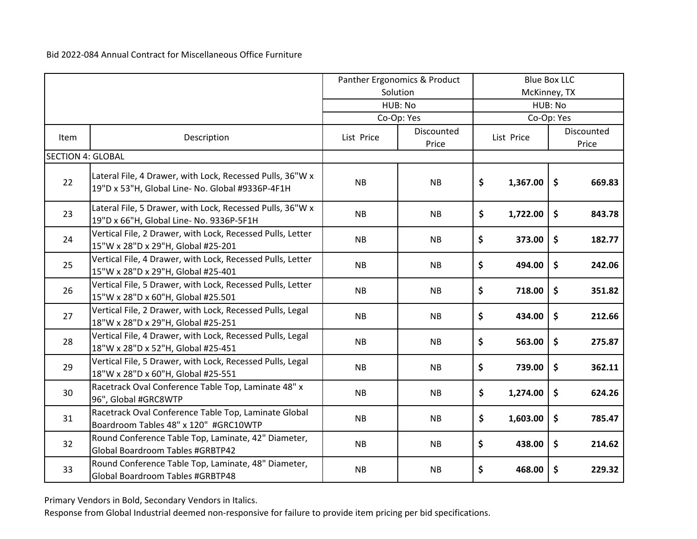|                          |                                                                                                               | Panther Ergonomics & Product |            | <b>Blue Box LLC</b> |            |                     |            |  |            |
|--------------------------|---------------------------------------------------------------------------------------------------------------|------------------------------|------------|---------------------|------------|---------------------|------------|--|------------|
|                          |                                                                                                               |                              | Solution   | McKinney, TX        |            |                     |            |  |            |
|                          |                                                                                                               |                              | HUB: No    | HUB: No             |            |                     |            |  |            |
|                          |                                                                                                               |                              | Co-Op: Yes |                     |            |                     | Co-Op: Yes |  |            |
| Item                     | Description                                                                                                   | List Price                   | Discounted |                     | List Price |                     |            |  | Discounted |
|                          |                                                                                                               |                              | Price      |                     |            |                     | Price      |  |            |
| <b>SECTION 4: GLOBAL</b> |                                                                                                               |                              |            |                     |            |                     |            |  |            |
| 22                       | Lateral File, 4 Drawer, with Lock, Recessed Pulls, 36"W x<br>19"D x 53"H, Global Line- No. Global #9336P-4F1H | <b>NB</b>                    | <b>NB</b>  | \$                  | 1,367.00   | $\ddot{\bm{\zeta}}$ | 669.83     |  |            |
| 23                       | Lateral File, 5 Drawer, with Lock, Recessed Pulls, 36"W x<br>19"D x 66"H, Global Line- No. 9336P-5F1H         | <b>NB</b>                    | <b>NB</b>  | \$                  | 1,722.00   | \$                  | 843.78     |  |            |
| 24                       | Vertical File, 2 Drawer, with Lock, Recessed Pulls, Letter<br>15"W x 28"D x 29"H, Global #25-201              | <b>NB</b>                    | NB         | \$                  | 373.00     | \$                  | 182.77     |  |            |
| 25                       | Vertical File, 4 Drawer, with Lock, Recessed Pulls, Letter<br>15"W x 28"D x 29"H, Global #25-401              | <b>NB</b>                    | NB         | \$                  | 494.00     | \$                  | 242.06     |  |            |
| 26                       | Vertical File, 5 Drawer, with Lock, Recessed Pulls, Letter<br>15"W x 28"D x 60"H, Global #25.501              | <b>NB</b>                    | <b>NB</b>  | \$                  | 718.00     | \$                  | 351.82     |  |            |
| 27                       | Vertical File, 2 Drawer, with Lock, Recessed Pulls, Legal<br>18"W x 28"D x 29"H, Global #25-251               | <b>NB</b>                    | <b>NB</b>  | \$                  | 434.00     | \$                  | 212.66     |  |            |
| 28                       | Vertical File, 4 Drawer, with Lock, Recessed Pulls, Legal<br>18"W x 28"D x 52"H, Global #25-451               | <b>NB</b>                    | NB         | \$                  | 563.00     | \$                  | 275.87     |  |            |
| 29                       | Vertical File, 5 Drawer, with Lock, Recessed Pulls, Legal<br>18"W x 28"D x 60"H, Global #25-551               | NB                           | <b>NB</b>  | \$                  | 739.00     | \$                  | 362.11     |  |            |
| 30                       | Racetrack Oval Conference Table Top, Laminate 48" x<br>96", Global #GRC8WTP                                   | <b>NB</b>                    | <b>NB</b>  | \$                  | 1,274.00   | \$                  | 624.26     |  |            |
| 31                       | Racetrack Oval Conference Table Top, Laminate Global<br>Boardroom Tables 48" x 120" #GRC10WTP                 | <b>NB</b>                    | <b>NB</b>  | \$                  | 1,603.00   | \$                  | 785.47     |  |            |
| 32                       | Round Conference Table Top, Laminate, 42" Diameter,<br>Global Boardroom Tables #GRBTP42                       | NB                           | NB         | \$                  | 438.00     | \$                  | 214.62     |  |            |
| 33                       | Round Conference Table Top, Laminate, 48" Diameter,<br>Global Boardroom Tables #GRBTP48                       | <b>NB</b>                    | <b>NB</b>  | \$                  | 468.00     | \$                  | 229.32     |  |            |

Primary Vendors in Bold, Secondary Vendors in Italics.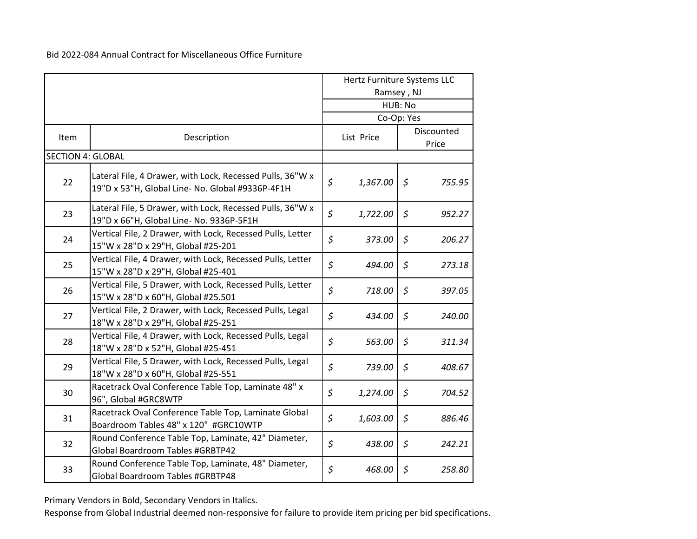|                          |                                                                                                               | Hertz Furniture Systems LLC<br>Ramsey, NJ |          |                      |                     |
|--------------------------|---------------------------------------------------------------------------------------------------------------|-------------------------------------------|----------|----------------------|---------------------|
|                          |                                                                                                               | HUB: No                                   |          |                      |                     |
| Item                     | Description                                                                                                   | Co-Op: Yes<br>List Price                  |          |                      | Discounted<br>Price |
| <b>SECTION 4: GLOBAL</b> |                                                                                                               |                                           |          |                      |                     |
| 22                       | Lateral File, 4 Drawer, with Lock, Recessed Pulls, 36"W x<br>19"D x 53"H, Global Line- No. Global #9336P-4F1H | \$                                        | 1,367.00 | $\zeta$              | 755.95              |
| 23                       | Lateral File, 5 Drawer, with Lock, Recessed Pulls, 36"W x<br>19"D x 66"H, Global Line- No. 9336P-5F1H         | \$                                        | 1,722.00 | $\zeta$              | 952.27              |
| 24                       | Vertical File, 2 Drawer, with Lock, Recessed Pulls, Letter<br>15"W x 28"D x 29"H, Global #25-201              | $\zeta$                                   | 373.00   | \$                   | 206.27              |
| 25                       | Vertical File, 4 Drawer, with Lock, Recessed Pulls, Letter<br>15"W x 28"D x 29"H, Global #25-401              | $\zeta$                                   | 494.00   | \$                   | 273.18              |
| 26                       | Vertical File, 5 Drawer, with Lock, Recessed Pulls, Letter<br>15"W x 28"D x 60"H, Global #25.501              | $\zeta$                                   | 718.00   | $\varsigma$          | 397.05              |
| 27                       | Vertical File, 2 Drawer, with Lock, Recessed Pulls, Legal<br>18"W x 28"D x 29"H, Global #25-251               | \$                                        | 434.00   | \$                   | 240.00              |
| 28                       | Vertical File, 4 Drawer, with Lock, Recessed Pulls, Legal<br>18"W x 28"D x 52"H, Global #25-451               | $\zeta$                                   | 563.00   | $\varsigma$          | 311.34              |
| 29                       | Vertical File, 5 Drawer, with Lock, Recessed Pulls, Legal<br>18"W x 28"D x 60"H, Global #25-551               | $\zeta$                                   | 739.00   | $\boldsymbol{\zeta}$ | 408.67              |
| 30                       | Racetrack Oval Conference Table Top, Laminate 48" x<br>96", Global #GRC8WTP                                   | \$                                        | 1,274.00 | \$                   | 704.52              |
| 31                       | Racetrack Oval Conference Table Top, Laminate Global<br>Boardroom Tables 48" x 120" #GRC10WTP                 | \$                                        | 1,603.00 | $\zeta$              | 886.46              |
| 32                       | Round Conference Table Top, Laminate, 42" Diameter,<br><b>Global Boardroom Tables #GRBTP42</b>                | $\zeta$                                   | 438.00   | \$                   | 242.21              |
| 33                       | Round Conference Table Top, Laminate, 48" Diameter,<br>Global Boardroom Tables #GRBTP48                       | \$                                        | 468.00   | \$                   | 258.80              |

Primary Vendors in Bold, Secondary Vendors in Italics.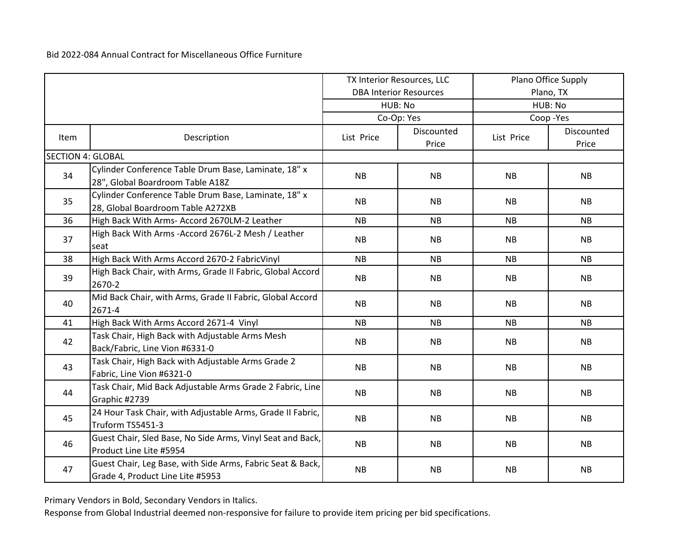|                          |                                                                                                | TX Interior Resources, LLC |                               | Plano Office Supply |                     |  |  |
|--------------------------|------------------------------------------------------------------------------------------------|----------------------------|-------------------------------|---------------------|---------------------|--|--|
|                          |                                                                                                |                            | <b>DBA Interior Resources</b> |                     | Plano, TX           |  |  |
|                          |                                                                                                |                            | HUB: No                       |                     | HUB: No             |  |  |
|                          |                                                                                                |                            | Co-Op: Yes                    |                     | Coop-Yes            |  |  |
| Item                     | Description                                                                                    | List Price                 | Discounted<br>Price           | List Price          | Discounted<br>Price |  |  |
| <b>SECTION 4: GLOBAL</b> |                                                                                                |                            |                               |                     |                     |  |  |
| 34                       | Cylinder Conference Table Drum Base, Laminate, 18" x<br>28", Global Boardroom Table A18Z       | <b>NB</b>                  | <b>NB</b>                     | <b>NB</b>           | <b>NB</b>           |  |  |
| 35                       | Cylinder Conference Table Drum Base, Laminate, 18" x<br>28, Global Boardroom Table A272XB      | <b>NB</b>                  | <b>NB</b>                     | <b>NB</b>           | <b>NB</b>           |  |  |
| 36                       | High Back With Arms- Accord 2670LM-2 Leather                                                   | <b>NB</b>                  | <b>NB</b>                     | <b>NB</b>           | <b>NB</b>           |  |  |
| 37                       | High Back With Arms - Accord 2676L-2 Mesh / Leather<br>seat                                    | <b>NB</b>                  | <b>NB</b>                     | <b>NB</b>           | <b>NB</b>           |  |  |
| 38                       | High Back With Arms Accord 2670-2 FabricVinyl                                                  | <b>NB</b>                  | <b>NB</b>                     | <b>NB</b>           | NB                  |  |  |
| 39                       | High Back Chair, with Arms, Grade II Fabric, Global Accord<br>2670-2                           | NB                         | <b>NB</b>                     | <b>NB</b>           | <b>NB</b>           |  |  |
| 40                       | Mid Back Chair, with Arms, Grade II Fabric, Global Accord<br>2671-4                            | <b>NB</b>                  | <b>NB</b>                     | <b>NB</b>           | <b>NB</b>           |  |  |
| 41                       | High Back With Arms Accord 2671-4 Vinyl                                                        | <b>NB</b>                  | <b>NB</b>                     | <b>NB</b>           | <b>NB</b>           |  |  |
| 42                       | Task Chair, High Back with Adjustable Arms Mesh<br>Back/Fabric, Line Vion #6331-0              | <b>NB</b>                  | <b>NB</b>                     | <b>NB</b>           | <b>NB</b>           |  |  |
| 43                       | Task Chair, High Back with Adjustable Arms Grade 2<br>Fabric, Line Vion #6321-0                | <b>NB</b>                  | <b>NB</b>                     | <b>NB</b>           | <b>NB</b>           |  |  |
| 44                       | Task Chair, Mid Back Adjustable Arms Grade 2 Fabric, Line<br>Graphic #2739                     | <b>NB</b>                  | <b>NB</b>                     | <b>NB</b>           | <b>NB</b>           |  |  |
| 45                       | 24 Hour Task Chair, with Adjustable Arms, Grade II Fabric,<br>Truform TS5451-3                 | <b>NB</b>                  | NB                            | NB                  | <b>NB</b>           |  |  |
| 46                       | Guest Chair, Sled Base, No Side Arms, Vinyl Seat and Back,<br>Product Line Lite #5954          | <b>NB</b>                  | <b>NB</b>                     | <b>NB</b>           | <b>NB</b>           |  |  |
| 47                       | Guest Chair, Leg Base, with Side Arms, Fabric Seat & Back,<br>Grade 4, Product Line Lite #5953 | <b>NB</b>                  | <b>NB</b>                     | <b>NB</b>           | <b>NB</b>           |  |  |

Primary Vendors in Bold, Secondary Vendors in Italics.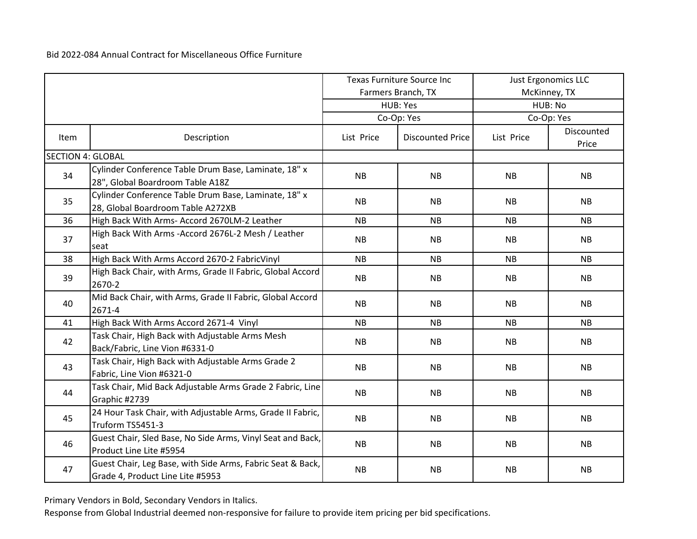|                          |                                                                                                | <b>Texas Furniture Source Inc</b> |                         | <b>Just Ergonomics LLC</b> |                     |  |
|--------------------------|------------------------------------------------------------------------------------------------|-----------------------------------|-------------------------|----------------------------|---------------------|--|
|                          |                                                                                                |                                   | Farmers Branch, TX      |                            | McKinney, TX        |  |
|                          |                                                                                                |                                   | HUB: Yes                |                            | HUB: No             |  |
|                          |                                                                                                |                                   | Co-Op: Yes              |                            | Co-Op: Yes          |  |
| Item                     | Description                                                                                    | List Price                        | <b>Discounted Price</b> | List Price                 | Discounted<br>Price |  |
| <b>SECTION 4: GLOBAL</b> |                                                                                                |                                   |                         |                            |                     |  |
| 34                       | Cylinder Conference Table Drum Base, Laminate, 18" x<br>28", Global Boardroom Table A18Z       | <b>NB</b>                         | <b>NB</b>               | <b>NB</b>                  | <b>NB</b>           |  |
| 35                       | Cylinder Conference Table Drum Base, Laminate, 18" x<br>28, Global Boardroom Table A272XB      | <b>NB</b>                         | <b>NB</b>               | <b>NB</b>                  | <b>NB</b>           |  |
| 36                       | High Back With Arms- Accord 2670LM-2 Leather                                                   | <b>NB</b>                         | <b>NB</b>               | <b>NB</b>                  | <b>NB</b>           |  |
| 37                       | High Back With Arms - Accord 2676L-2 Mesh / Leather<br>seat                                    | <b>NB</b>                         | <b>NB</b>               | <b>NB</b>                  | <b>NB</b>           |  |
| 38                       | High Back With Arms Accord 2670-2 FabricVinyl                                                  | <b>NB</b>                         | <b>NB</b>               | <b>NB</b>                  | <b>NB</b>           |  |
| 39                       | High Back Chair, with Arms, Grade II Fabric, Global Accord<br>2670-2                           | <b>NB</b>                         | <b>NB</b>               | <b>NB</b>                  | <b>NB</b>           |  |
| 40                       | Mid Back Chair, with Arms, Grade II Fabric, Global Accord<br>2671-4                            | <b>NB</b>                         | <b>NB</b>               | <b>NB</b>                  | <b>NB</b>           |  |
| 41                       | High Back With Arms Accord 2671-4 Vinyl                                                        | <b>NB</b>                         | <b>NB</b>               | <b>NB</b>                  | <b>NB</b>           |  |
| 42                       | Task Chair, High Back with Adjustable Arms Mesh<br>Back/Fabric, Line Vion #6331-0              | <b>NB</b>                         | <b>NB</b>               | <b>NB</b>                  | <b>NB</b>           |  |
| 43                       | Task Chair, High Back with Adjustable Arms Grade 2<br>Fabric, Line Vion #6321-0                | <b>NB</b>                         | <b>NB</b>               | <b>NB</b>                  | NB                  |  |
| 44                       | Task Chair, Mid Back Adjustable Arms Grade 2 Fabric, Line<br>Graphic #2739                     | <b>NB</b>                         | <b>NB</b>               | NB                         | NB                  |  |
| 45                       | 24 Hour Task Chair, with Adjustable Arms, Grade II Fabric,<br>Truform TS5451-3                 | <b>NB</b>                         | <b>NB</b>               | NB                         | NB                  |  |
| 46                       | Guest Chair, Sled Base, No Side Arms, Vinyl Seat and Back,<br>Product Line Lite #5954          | <b>NB</b>                         | <b>NB</b>               | <b>NB</b>                  | <b>NB</b>           |  |
| 47                       | Guest Chair, Leg Base, with Side Arms, Fabric Seat & Back,<br>Grade 4, Product Line Lite #5953 | <b>NB</b>                         | <b>NB</b>               | <b>NB</b>                  | NB                  |  |

Primary Vendors in Bold, Secondary Vendors in Italics.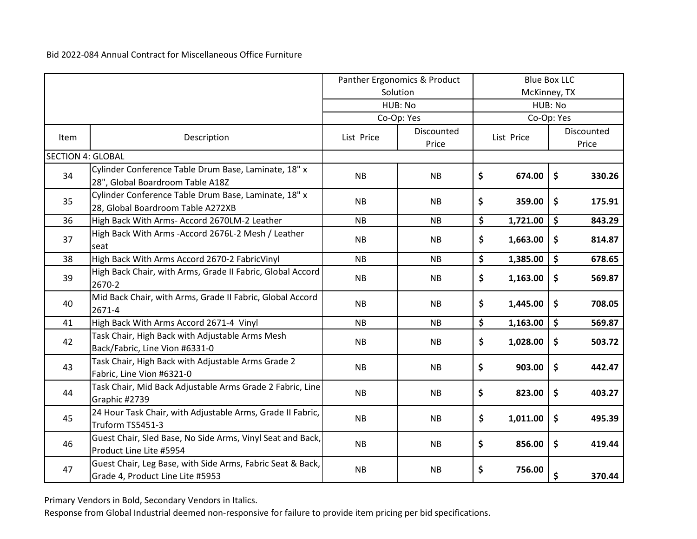|                          |                                                                                                |            | Panther Ergonomics & Product |              |            | <b>Blue Box LLC</b> |                     |
|--------------------------|------------------------------------------------------------------------------------------------|------------|------------------------------|--------------|------------|---------------------|---------------------|
|                          |                                                                                                |            | Solution                     | McKinney, TX |            |                     |                     |
|                          |                                                                                                |            | HUB: No                      | HUB: No      |            |                     |                     |
|                          |                                                                                                |            | Co-Op: Yes                   |              |            | Co-Op: Yes          |                     |
| Item                     | Description                                                                                    | List Price | Discounted<br>Price          |              | List Price |                     | Discounted<br>Price |
| <b>SECTION 4: GLOBAL</b> |                                                                                                |            |                              |              |            |                     |                     |
| 34                       | Cylinder Conference Table Drum Base, Laminate, 18" x<br>28", Global Boardroom Table A18Z       | <b>NB</b>  | <b>NB</b>                    | \$           | 674.00     | \$                  | 330.26              |
| 35                       | Cylinder Conference Table Drum Base, Laminate, 18" x<br>28, Global Boardroom Table A272XB      | <b>NB</b>  | <b>NB</b>                    | \$           | 359.00     | \$                  | 175.91              |
| 36                       | High Back With Arms- Accord 2670LM-2 Leather                                                   | <b>NB</b>  | <b>NB</b>                    | \$           | 1,721.00   | \$                  | 843.29              |
| 37                       | High Back With Arms - Accord 2676L-2 Mesh / Leather<br>seat                                    | <b>NB</b>  | <b>NB</b>                    | \$           | 1,663.00   | \$                  | 814.87              |
| 38                       | High Back With Arms Accord 2670-2 FabricVinyl                                                  | <b>NB</b>  | <b>NB</b>                    | \$           | 1,385.00   | \$                  | 678.65              |
| 39                       | High Back Chair, with Arms, Grade II Fabric, Global Accord<br>2670-2                           | <b>NB</b>  | <b>NB</b>                    | \$           | 1,163.00   | \$                  | 569.87              |
| 40                       | Mid Back Chair, with Arms, Grade II Fabric, Global Accord<br>2671-4                            | <b>NB</b>  | <b>NB</b>                    | \$           | 1,445.00   | \$                  | 708.05              |
| 41                       | High Back With Arms Accord 2671-4 Vinyl                                                        | NB         | NB                           | \$           | 1,163.00   | \$                  | 569.87              |
| 42                       | Task Chair, High Back with Adjustable Arms Mesh<br>Back/Fabric, Line Vion #6331-0              | <b>NB</b>  | <b>NB</b>                    | \$           | 1,028.00   | \$                  | 503.72              |
| 43                       | Task Chair, High Back with Adjustable Arms Grade 2<br>Fabric, Line Vion #6321-0                | <b>NB</b>  | <b>NB</b>                    | \$           | 903.00     | \$                  | 442.47              |
| 44                       | Task Chair, Mid Back Adjustable Arms Grade 2 Fabric, Line<br>Graphic #2739                     | <b>NB</b>  | <b>NB</b>                    | \$           | 823.00     | \$                  | 403.27              |
| 45                       | 24 Hour Task Chair, with Adjustable Arms, Grade II Fabric,<br>Truform TS5451-3                 | <b>NB</b>  | <b>NB</b>                    | \$           | 1,011.00   | \$                  | 495.39              |
| 46                       | Guest Chair, Sled Base, No Side Arms, Vinyl Seat and Back,<br>Product Line Lite #5954          | <b>NB</b>  | <b>NB</b>                    | \$           | 856.00     | \$                  | 419.44              |
| 47                       | Guest Chair, Leg Base, with Side Arms, Fabric Seat & Back,<br>Grade 4, Product Line Lite #5953 | <b>NB</b>  | <b>NB</b>                    | \$           | 756.00     | \$                  | 370.44              |

Primary Vendors in Bold, Secondary Vendors in Italics.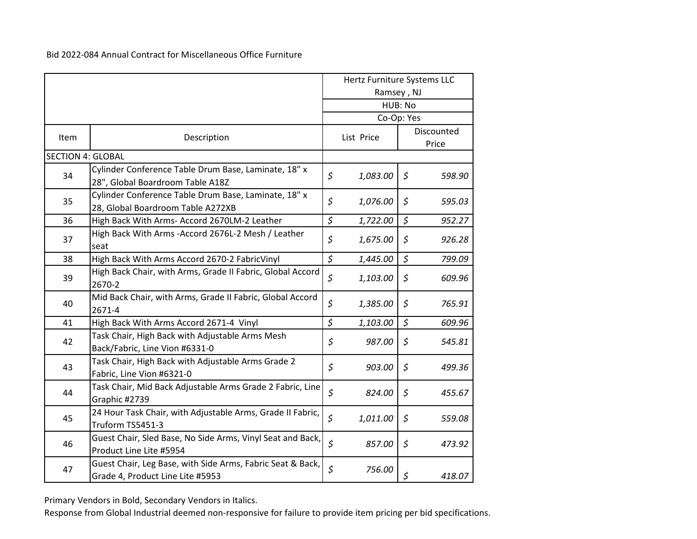|                          |                                                                                                |              | Hertz Furniture Systems LLC |             |        |  |                     |  |
|--------------------------|------------------------------------------------------------------------------------------------|--------------|-----------------------------|-------------|--------|--|---------------------|--|
|                          |                                                                                                |              | Ramsey, NJ                  |             |        |  |                     |  |
|                          |                                                                                                |              |                             | HUB: No     |        |  |                     |  |
|                          |                                                                                                |              |                             | Co-Op: Yes  |        |  |                     |  |
| Item                     | Description                                                                                    |              | List Price                  |             |        |  | Discounted<br>Price |  |
| <b>SECTION 4: GLOBAL</b> |                                                                                                |              |                             |             |        |  |                     |  |
|                          | Cylinder Conference Table Drum Base, Laminate, 18" x                                           |              |                             |             |        |  |                     |  |
| 34                       | 28", Global Boardroom Table A18Z                                                               | $\zeta$      | 1,083.00                    | $\zeta$     | 598.90 |  |                     |  |
|                          | Cylinder Conference Table Drum Base, Laminate, 18" x                                           |              |                             |             |        |  |                     |  |
| 35                       | 28, Global Boardroom Table A272XB                                                              | $\zeta$      | 1,076.00                    | $\varsigma$ | 595.03 |  |                     |  |
| 36                       | High Back With Arms- Accord 2670LM-2 Leather                                                   | \$           | 1,722.00                    | \$          | 952.27 |  |                     |  |
|                          |                                                                                                |              |                             |             |        |  |                     |  |
| 37                       | High Back With Arms - Accord 2676L-2 Mesh / Leather<br>seat                                    | \$           | 1,675.00                    | \$          | 926.28 |  |                     |  |
| 38                       | High Back With Arms Accord 2670-2 FabricVinyl                                                  | \$           | 1,445.00                    | \$          | 799.09 |  |                     |  |
| 39                       | High Back Chair, with Arms, Grade II Fabric, Global Accord<br>2670-2                           | \$           | 1,103.00                    | \$          | 609.96 |  |                     |  |
| 40                       | Mid Back Chair, with Arms, Grade II Fabric, Global Accord<br>2671-4                            | \$           | 1,385.00                    | $\zeta$     | 765.91 |  |                     |  |
| 41                       | High Back With Arms Accord 2671-4 Vinyl                                                        | $\zeta$      | 1,103.00                    | \$          | 609.96 |  |                     |  |
| 42                       | Task Chair, High Back with Adjustable Arms Mesh<br>Back/Fabric, Line Vion #6331-0              | \$           | 987.00                      | $\varsigma$ | 545.81 |  |                     |  |
| 43                       | Task Chair, High Back with Adjustable Arms Grade 2<br>Fabric, Line Vion #6321-0                | \$           | 903.00                      | $\zeta$     | 499.36 |  |                     |  |
| 44                       | Task Chair, Mid Back Adjustable Arms Grade 2 Fabric, Line<br>Graphic #2739                     | $\zeta$      | 824.00                      | \$          | 455.67 |  |                     |  |
| 45                       | 24 Hour Task Chair, with Adjustable Arms, Grade II Fabric,<br>Truform TS5451-3                 | $\zeta$      | 1,011.00                    | \$          | 559.08 |  |                     |  |
| 46                       | Guest Chair, Sled Base, No Side Arms, Vinyl Seat and Back,<br>Product Line Lite #5954          | $\zeta$      | 857.00                      | \$          | 473.92 |  |                     |  |
| 47                       | Guest Chair, Leg Base, with Side Arms, Fabric Seat & Back,<br>Grade 4, Product Line Lite #5953 | $\mathsf{S}$ | 756.00                      | \$          | 418.07 |  |                     |  |

Primary Vendors in Bold, Secondary Vendors in Italics.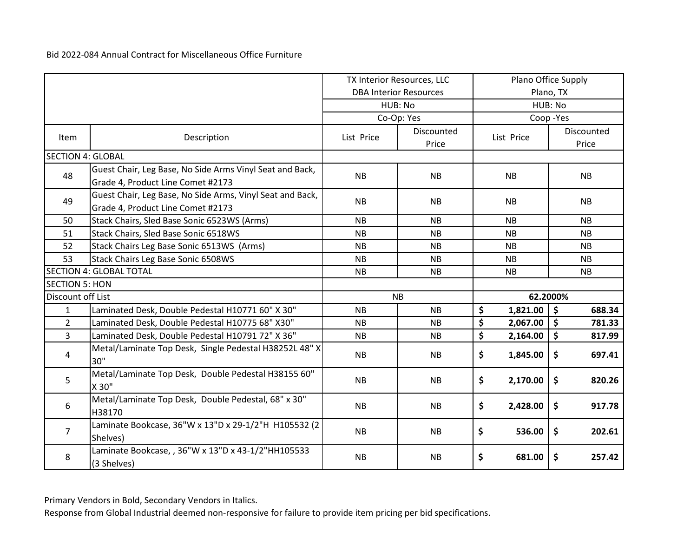|                          |                                                                                                |            | TX Interior Resources, LLC    | Plano Office Supply |                                |  |  |
|--------------------------|------------------------------------------------------------------------------------------------|------------|-------------------------------|---------------------|--------------------------------|--|--|
|                          |                                                                                                |            | <b>DBA Interior Resources</b> |                     | Plano, TX                      |  |  |
|                          |                                                                                                |            | HUB: No                       |                     | HUB: No                        |  |  |
|                          |                                                                                                |            | Co-Op: Yes                    |                     | Coop-Yes                       |  |  |
| Item                     | Description                                                                                    | List Price | Discounted<br>Price           | List Price          | Discounted<br>Price            |  |  |
| <b>SECTION 4: GLOBAL</b> |                                                                                                |            |                               |                     |                                |  |  |
| 48                       | Guest Chair, Leg Base, No Side Arms Vinyl Seat and Back,<br>Grade 4, Product Line Comet #2173  | <b>NB</b>  | <b>NB</b>                     | NB                  | <b>NB</b>                      |  |  |
| 49                       | Guest Chair, Leg Base, No Side Arms, Vinyl Seat and Back,<br>Grade 4, Product Line Comet #2173 | <b>NB</b>  | <b>NB</b>                     | <b>NB</b>           | <b>NB</b>                      |  |  |
| 50                       | Stack Chairs, Sled Base Sonic 6523WS (Arms)                                                    | <b>NB</b>  | <b>NB</b>                     | <b>NB</b>           | <b>NB</b>                      |  |  |
| 51                       | Stack Chairs, Sled Base Sonic 6518WS                                                           | <b>NB</b>  | <b>NB</b>                     | <b>NB</b>           | <b>NB</b>                      |  |  |
| 52                       | Stack Chairs Leg Base Sonic 6513WS (Arms)                                                      | <b>NB</b>  | <b>NB</b>                     | <b>NB</b>           | <b>NB</b>                      |  |  |
| 53                       | Stack Chairs Leg Base Sonic 6508WS                                                             | <b>NB</b>  | <b>NB</b>                     | <b>NB</b>           | <b>NB</b>                      |  |  |
|                          | <b>SECTION 4: GLOBAL TOTAL</b>                                                                 | <b>NB</b>  | <b>NB</b>                     | <b>NB</b>           | <b>NB</b>                      |  |  |
| <b>SECTION 5: HON</b>    |                                                                                                |            |                               |                     |                                |  |  |
| Discount off List        |                                                                                                | <b>NB</b>  |                               |                     | 62.2000%                       |  |  |
| $\mathbf{1}$             | Laminated Desk, Double Pedestal H10771 60" X 30"                                               | <b>NB</b>  | <b>NB</b>                     | \$<br>1,821.00      | $\boldsymbol{\zeta}$<br>688.34 |  |  |
| $\overline{2}$           | Laminated Desk, Double Pedestal H10775 68" X30"                                                | <b>NB</b>  | <b>NB</b>                     | \$<br>2,067.00      | \$<br>781.33                   |  |  |
| $\overline{3}$           | Laminated Desk, Double Pedestal H10791 72" X 36"                                               | <b>NB</b>  | <b>NB</b>                     | \$<br>2,164.00      | \$<br>817.99                   |  |  |
| 4                        | Metal/Laminate Top Desk, Single Pedestal H38252L 48" X<br>30"                                  | <b>NB</b>  | <b>NB</b>                     | \$<br>1,845.00      | \$<br>697.41                   |  |  |
| 5                        | Metal/Laminate Top Desk, Double Pedestal H38155 60"<br>X 30"                                   | <b>NB</b>  | <b>NB</b>                     | \$<br>2,170.00      | \$<br>820.26                   |  |  |
| 6                        | Metal/Laminate Top Desk, Double Pedestal, 68" x 30"<br>H38170                                  | <b>NB</b>  | <b>NB</b>                     | \$<br>2,428.00      | \$<br>917.78                   |  |  |
| $\overline{7}$           | Laminate Bookcase, 36"W x 13"D x 29-1/2"H H105532 (2<br>Shelves)                               | <b>NB</b>  | <b>NB</b>                     | \$<br>536.00        | \$<br>202.61                   |  |  |
| 8                        | Laminate Bookcase, , 36"W x 13"D x 43-1/2"HH105533<br>(3 Shelves)                              | <b>NB</b>  | <b>NB</b>                     | \$<br>681.00        | \$<br>257.42                   |  |  |

Primary Vendors in Bold, Secondary Vendors in Italics.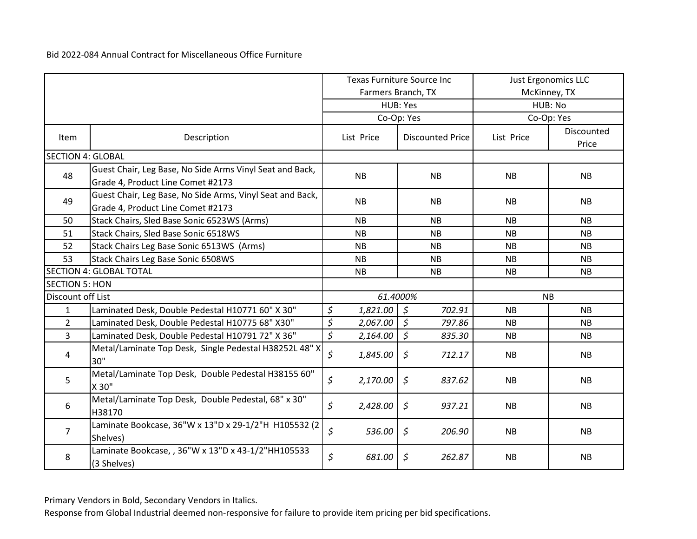|                          |                                                                                                | <b>Texas Furniture Source Inc</b> |                                    | <b>Just Ergonomics LLC</b> |                     |  |
|--------------------------|------------------------------------------------------------------------------------------------|-----------------------------------|------------------------------------|----------------------------|---------------------|--|
|                          |                                                                                                |                                   | Farmers Branch, TX                 |                            | McKinney, TX        |  |
|                          |                                                                                                |                                   | HUB: Yes                           |                            | HUB: No             |  |
|                          |                                                                                                |                                   | Co-Op: Yes                         |                            | Co-Op: Yes          |  |
| Item                     | Description                                                                                    | List Price                        | <b>Discounted Price</b>            | List Price                 | Discounted<br>Price |  |
| <b>SECTION 4: GLOBAL</b> |                                                                                                |                                   |                                    |                            |                     |  |
| 48                       | Guest Chair, Leg Base, No Side Arms Vinyl Seat and Back,<br>Grade 4, Product Line Comet #2173  | <b>NB</b>                         | <b>NB</b>                          | <b>NB</b>                  | <b>NB</b>           |  |
| 49                       | Guest Chair, Leg Base, No Side Arms, Vinyl Seat and Back,<br>Grade 4, Product Line Comet #2173 | <b>NB</b>                         | <b>NB</b>                          | <b>NB</b>                  | <b>NB</b>           |  |
| 50                       | Stack Chairs, Sled Base Sonic 6523WS (Arms)                                                    | <b>NB</b>                         | <b>NB</b>                          | <b>NB</b>                  | <b>NB</b>           |  |
| 51                       | Stack Chairs, Sled Base Sonic 6518WS                                                           | <b>NB</b>                         | <b>NB</b>                          | <b>NB</b>                  | <b>NB</b>           |  |
| 52                       | Stack Chairs Leg Base Sonic 6513WS (Arms)                                                      | <b>NB</b>                         | <b>NB</b>                          | <b>NB</b>                  | <b>NB</b>           |  |
| 53                       | Stack Chairs Leg Base Sonic 6508WS                                                             | <b>NB</b>                         | <b>NB</b>                          | <b>NB</b>                  | <b>NB</b>           |  |
|                          | <b>SECTION 4: GLOBAL TOTAL</b>                                                                 | <b>NB</b>                         | <b>NB</b>                          | <b>NB</b>                  | <b>NB</b>           |  |
| <b>SECTION 5: HON</b>    |                                                                                                |                                   |                                    |                            |                     |  |
| Discount off List        |                                                                                                |                                   | 61.4000%                           |                            | <b>NB</b>           |  |
| $\mathbf{1}$             | Laminated Desk, Double Pedestal H10771 60" X 30"                                               | \$<br>1,821.00                    | $\overline{\phantom{a}}$<br>702.91 | <b>NB</b>                  | <b>NB</b>           |  |
| $\overline{2}$           | Laminated Desk, Double Pedestal H10775 68" X30"                                                | \$<br>2,067.00                    | $\sqrt{5}$<br>797.86               | <b>NB</b>                  | NB                  |  |
| $\overline{3}$           | Laminated Desk, Double Pedestal H10791 72" X 36"                                               | \$<br>2,164.00                    | $\zeta$<br>835.30                  | <b>NB</b>                  | <b>NB</b>           |  |
| 4                        | Metal/Laminate Top Desk, Single Pedestal H38252L 48" X<br>30"                                  | \$<br>1,845.00                    | $\mathfrak{S}$<br>712.17           | <b>NB</b>                  | <b>NB</b>           |  |
| 5                        | Metal/Laminate Top Desk, Double Pedestal H38155 60"<br>X 30"                                   | \$<br>2,170.00                    | $\zeta$<br>837.62                  | <b>NB</b>                  | <b>NB</b>           |  |
| 6                        | Metal/Laminate Top Desk, Double Pedestal, 68" x 30"<br>H38170                                  | $\zeta$<br>2,428.00               | $\zeta$<br>937.21                  | <b>NB</b>                  | <b>NB</b>           |  |
| $\overline{7}$           | Laminate Bookcase, 36"W x 13"D x 29-1/2"H H105532 (2<br>Shelves)                               | \$<br>536.00                      | $\varsigma$<br>206.90              | <b>NB</b>                  | NB                  |  |
| 8                        | Laminate Bookcase, , 36"W x 13"D x 43-1/2"HH105533<br>(3 Shelves)                              | \$<br>681.00                      | $\varsigma$<br>262.87              | <b>NB</b>                  | <b>NB</b>           |  |

Primary Vendors in Bold, Secondary Vendors in Italics.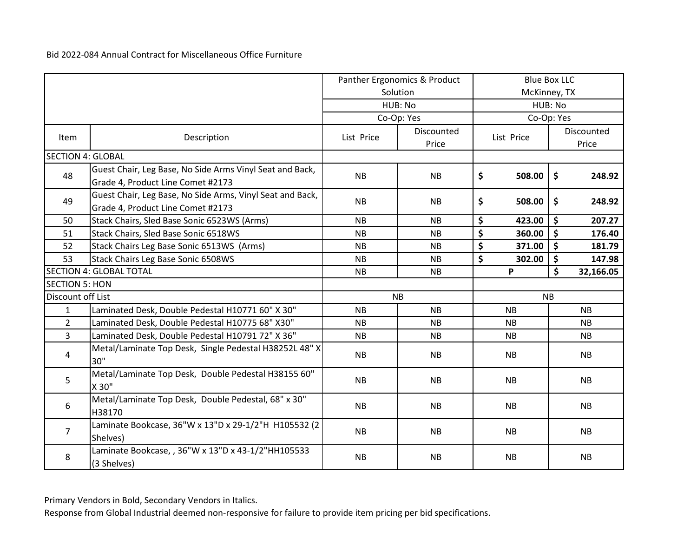|                          |                                                                                                | Panther Ergonomics & Product |                     | <b>Blue Box LLC</b> |              |            |                     |
|--------------------------|------------------------------------------------------------------------------------------------|------------------------------|---------------------|---------------------|--------------|------------|---------------------|
|                          |                                                                                                |                              | Solution            |                     | McKinney, TX |            |                     |
|                          |                                                                                                |                              | HUB: No             | HUB: No             |              |            |                     |
|                          |                                                                                                |                              | Co-Op: Yes          |                     |              | Co-Op: Yes |                     |
| Item                     | Description                                                                                    | List Price                   | Discounted<br>Price | List Price          |              |            | Discounted<br>Price |
| <b>SECTION 4: GLOBAL</b> |                                                                                                |                              |                     |                     |              |            |                     |
| 48                       | Guest Chair, Leg Base, No Side Arms Vinyl Seat and Back,<br>Grade 4, Product Line Comet #2173  | <b>NB</b>                    | <b>NB</b>           | \$                  | 508.00       | \$         | 248.92              |
| 49                       | Guest Chair, Leg Base, No Side Arms, Vinyl Seat and Back,<br>Grade 4, Product Line Comet #2173 | <b>NB</b>                    | <b>NB</b>           | \$                  | 508.00       | \$         | 248.92              |
| 50                       | Stack Chairs, Sled Base Sonic 6523WS (Arms)                                                    | <b>NB</b>                    | <b>NB</b>           | \$                  | 423.00       | \$         | 207.27              |
| 51                       | Stack Chairs, Sled Base Sonic 6518WS                                                           | <b>NB</b>                    | <b>NB</b>           | \$                  | 360.00       | \$         | 176.40              |
| 52                       | Stack Chairs Leg Base Sonic 6513WS (Arms)                                                      | <b>NB</b>                    | <b>NB</b>           | \$                  | 371.00       | \$         | 181.79              |
| 53                       | Stack Chairs Leg Base Sonic 6508WS                                                             | <b>NB</b>                    | <b>NB</b>           | \$                  | 302.00       | \$         | 147.98              |
|                          | <b>SECTION 4: GLOBAL TOTAL</b>                                                                 | NB                           | <b>NB</b>           |                     | P            | \$         | 32,166.05           |
| <b>SECTION 5: HON</b>    |                                                                                                |                              |                     |                     |              |            |                     |
| Discount off List        |                                                                                                |                              | <b>NB</b>           |                     | <b>NB</b>    |            |                     |
| $\mathbf{1}$             | Laminated Desk, Double Pedestal H10771 60" X 30"                                               | <b>NB</b>                    | <b>NB</b>           |                     | <b>NB</b>    |            | <b>NB</b>           |
| $\overline{2}$           | Laminated Desk, Double Pedestal H10775 68" X30"                                                | <b>NB</b>                    | <b>NB</b>           |                     | <b>NB</b>    |            | <b>NB</b>           |
| $\overline{3}$           | Laminated Desk, Double Pedestal H10791 72" X 36"                                               | NB                           | NB                  |                     | NB           |            | NB                  |
| 4                        | Metal/Laminate Top Desk, Single Pedestal H38252L 48" X<br>30"                                  | <b>NB</b>                    | <b>NB</b>           |                     | <b>NB</b>    |            | <b>NB</b>           |
| 5                        | Metal/Laminate Top Desk, Double Pedestal H38155 60"<br>X 30"                                   | <b>NB</b>                    | <b>NB</b>           |                     | <b>NB</b>    |            | <b>NB</b>           |
| 6                        | Metal/Laminate Top Desk, Double Pedestal, 68" x 30"<br>H38170                                  | <b>NB</b>                    | <b>NB</b>           |                     | <b>NB</b>    |            | <b>NB</b>           |
| $\overline{7}$           | Laminate Bookcase, 36"W x 13"D x 29-1/2"H H105532 (2<br>Shelves)                               | <b>NB</b>                    | <b>NB</b>           |                     | <b>NB</b>    |            | <b>NB</b>           |
| 8                        | Laminate Bookcase, , 36"W x 13"D x 43-1/2"HH105533<br>(3 Shelves)                              | <b>NB</b>                    | <b>NB</b>           |                     | <b>NB</b>    |            | <b>NB</b>           |

Primary Vendors in Bold, Secondary Vendors in Italics.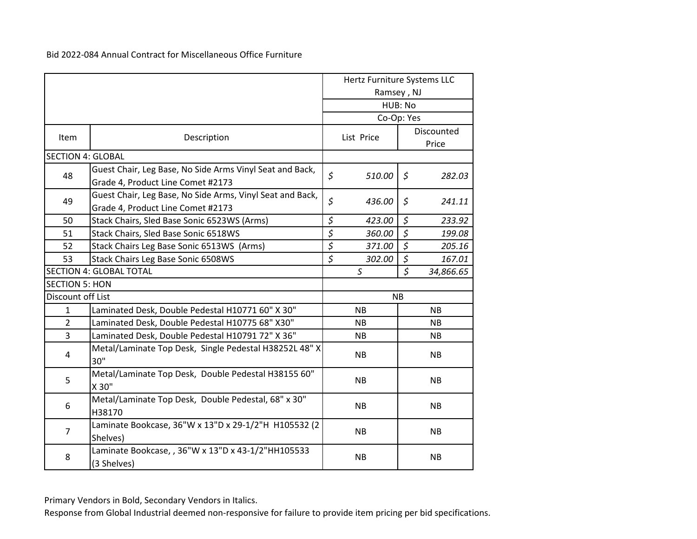|                          |                                                                                                | Hertz Furniture Systems LLC |                 |            |           |  |
|--------------------------|------------------------------------------------------------------------------------------------|-----------------------------|-----------------|------------|-----------|--|
|                          |                                                                                                |                             | Ramsey, NJ      |            |           |  |
|                          |                                                                                                |                             |                 | HUB: No    |           |  |
|                          |                                                                                                |                             | Co-Op: Yes      |            |           |  |
| Item                     | Description                                                                                    |                             | List Price      | Discounted |           |  |
| <b>SECTION 4: GLOBAL</b> |                                                                                                |                             |                 | Price      |           |  |
|                          |                                                                                                |                             |                 |            |           |  |
| 48                       | Guest Chair, Leg Base, No Side Arms Vinyl Seat and Back,<br>Grade 4, Product Line Comet #2173  | $\zeta$                     | 510.00          | $\zeta$    | 282.03    |  |
| 49                       | Guest Chair, Leg Base, No Side Arms, Vinyl Seat and Back,<br>Grade 4, Product Line Comet #2173 | $\zeta$                     | 436.00          | \$         | 241.11    |  |
| 50                       | Stack Chairs, Sled Base Sonic 6523WS (Arms)                                                    | $\boldsymbol{\zeta}$        | 423.00          | $\zeta$    | 233.92    |  |
| 51                       | Stack Chairs, Sled Base Sonic 6518WS                                                           | $\zeta$                     | 360.00          | $\zeta$    | 199.08    |  |
| 52                       | Stack Chairs Leg Base Sonic 6513WS (Arms)                                                      | $\zeta$                     | 371.00          | $\zeta$    | 205.16    |  |
| 53                       | Stack Chairs Leg Base Sonic 6508WS                                                             | \$                          | 302.00          | \$         | 167.01    |  |
|                          | <b>SECTION 4: GLOBAL TOTAL</b>                                                                 |                             | $\mathsf S$     | $\zeta$    | 34,866.65 |  |
| <b>SECTION 5: HON</b>    |                                                                                                |                             |                 |            |           |  |
| Discount off List        |                                                                                                |                             |                 | <b>NB</b>  |           |  |
| $\mathbf{1}$             | Laminated Desk, Double Pedestal H10771 60" X 30"                                               |                             | <b>NB</b>       |            | <b>NB</b> |  |
| $\overline{2}$           | Laminated Desk, Double Pedestal H10775 68" X30"                                                |                             | <b>NB</b>       |            | <b>NB</b> |  |
| $\overline{3}$           | Laminated Desk, Double Pedestal H10791 72" X 36"                                               |                             | <b>NB</b>       |            | <b>NB</b> |  |
| 4                        | Metal/Laminate Top Desk, Single Pedestal H38252L 48" X<br>30"                                  |                             | <b>NB</b>       |            | <b>NB</b> |  |
| 5                        | Metal/Laminate Top Desk, Double Pedestal H38155 60"<br>X 30"                                   |                             | <b>NB</b>       |            | <b>NB</b> |  |
| 6                        | Metal/Laminate Top Desk, Double Pedestal, 68" x 30"<br>H38170                                  |                             | NB<br><b>NB</b> |            |           |  |
| $\overline{7}$           | Laminate Bookcase, 36"W x 13"D x 29-1/2"H H105532 (2<br>Shelves)                               |                             | <b>NB</b>       |            | <b>NB</b> |  |
| 8                        | Laminate Bookcase, , 36"W x 13"D x 43-1/2"HH105533<br>(3 Shelves)                              |                             | <b>NB</b>       |            | <b>NB</b> |  |

Primary Vendors in Bold, Secondary Vendors in Italics.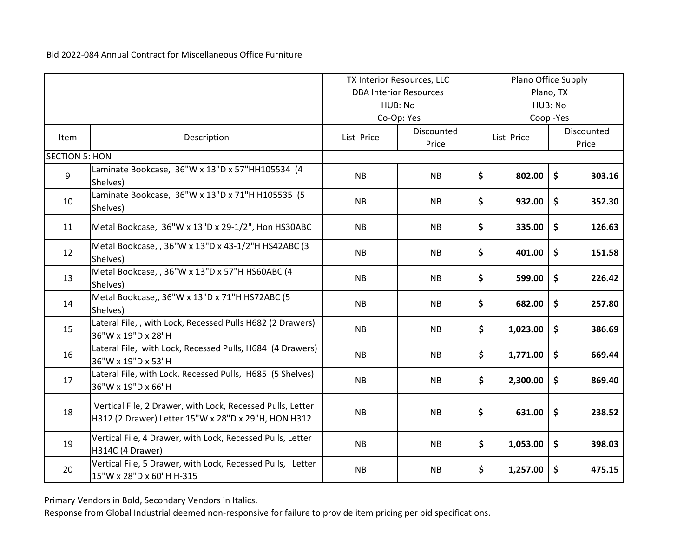|                       |                                                                                                                   |            | TX Interior Resources, LLC    |         | Plano Office Supply |               |                     |
|-----------------------|-------------------------------------------------------------------------------------------------------------------|------------|-------------------------------|---------|---------------------|---------------|---------------------|
|                       |                                                                                                                   |            | <b>DBA Interior Resources</b> |         |                     | Plano, TX     |                     |
|                       |                                                                                                                   |            | HUB: No                       | HUB: No |                     |               |                     |
|                       |                                                                                                                   |            | Co-Op: Yes                    |         |                     | Coop-Yes      |                     |
| <b>Item</b>           | Description                                                                                                       | List Price | Discounted<br>Price           |         | List Price          |               | Discounted<br>Price |
| <b>SECTION 5: HON</b> |                                                                                                                   |            |                               |         |                     |               |                     |
| 9                     | Laminate Bookcase, 36"W x 13"D x 57"HH105534 (4<br>Shelves)                                                       | <b>NB</b>  | <b>NB</b>                     | \$      | 802.00              | \$            | 303.16              |
| 10                    | Laminate Bookcase, 36"W x 13"D x 71"H H105535 (5<br>Shelves)                                                      | <b>NB</b>  | <b>NB</b>                     | \$      | 932.00              | \$            | 352.30              |
| 11                    | Metal Bookcase, 36"W x 13"D x 29-1/2", Hon HS30ABC                                                                | <b>NB</b>  | <b>NB</b>                     | \$      | 335.00              | \$            | 126.63              |
| 12                    | Metal Bookcase, , 36"W x 13"D x 43-1/2"H HS42ABC (3<br>Shelves)                                                   | <b>NB</b>  | <b>NB</b>                     | \$      | 401.00              | \$            | 151.58              |
| 13                    | Metal Bookcase, , 36"W x 13"D x 57"H HS60ABC (4<br>Shelves)                                                       | <b>NB</b>  | <b>NB</b>                     | \$      | 599.00              | \$            | 226.42              |
| 14                    | Metal Bookcase,, 36"W x 13"D x 71"H HS72ABC (5<br>Shelves)                                                        | <b>NB</b>  | <b>NB</b>                     | \$      | 682.00              | \$            | 257.80              |
| 15                    | Lateral File,, with Lock, Recessed Pulls H682 (2 Drawers)<br>36"W x 19"D x 28"H                                   | <b>NB</b>  | <b>NB</b>                     | \$      | 1,023.00            | \$            | 386.69              |
| 16                    | Lateral File, with Lock, Recessed Pulls, H684 (4 Drawers)<br>36"W x 19"D x 53"H                                   | NB         | <b>NB</b>                     | \$      | 1,771.00            | \$            | 669.44              |
| 17                    | Lateral File, with Lock, Recessed Pulls, H685 (5 Shelves)<br>36"W x 19"D x 66"H                                   | NB         | <b>NB</b>                     | \$      | 2,300.00            | \$            | 869.40              |
| 18                    | Vertical File, 2 Drawer, with Lock, Recessed Pulls, Letter<br>H312 (2 Drawer) Letter 15"W x 28"D x 29"H, HON H312 | <b>NB</b>  | <b>NB</b>                     | \$      | 631.00              | $\frac{1}{2}$ | 238.52              |
| 19                    | Vertical File, 4 Drawer, with Lock, Recessed Pulls, Letter<br>H314C (4 Drawer)                                    | <b>NB</b>  | <b>NB</b>                     | \$      | 1,053.00            | \$            | 398.03              |
| 20                    | Vertical File, 5 Drawer, with Lock, Recessed Pulls, Letter<br>15"W x 28"D x 60"H H-315                            | <b>NB</b>  | <b>NB</b>                     | \$      | 1,257.00            | \$            | 475.15              |

Primary Vendors in Bold, Secondary Vendors in Italics.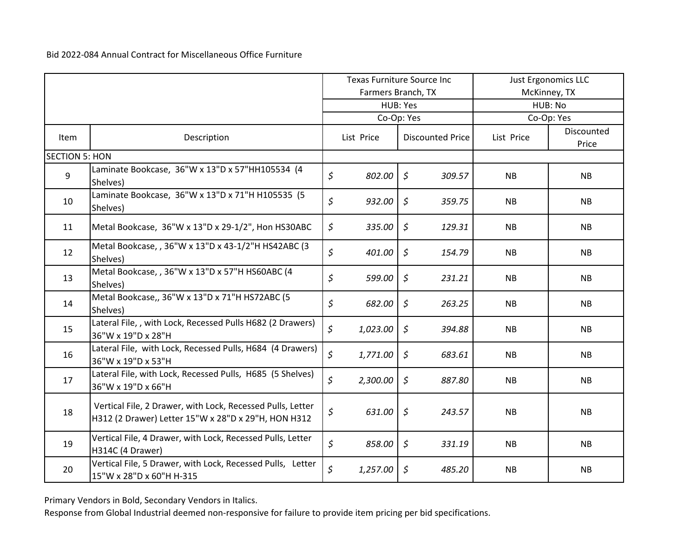|                       |                                                                                                                   | <b>Texas Furniture Source Inc</b> |                    | <b>Just Ergonomics LLC</b> |        |            |                     |  |
|-----------------------|-------------------------------------------------------------------------------------------------------------------|-----------------------------------|--------------------|----------------------------|--------|------------|---------------------|--|
|                       |                                                                                                                   |                                   | Farmers Branch, TX |                            |        |            | McKinney, TX        |  |
|                       |                                                                                                                   |                                   |                    | HUB: Yes                   |        | HUB: No    |                     |  |
|                       |                                                                                                                   |                                   |                    | Co-Op: Yes                 |        | Co-Op: Yes |                     |  |
| Item                  | Description                                                                                                       |                                   | List Price         | <b>Discounted Price</b>    |        | List Price | Discounted<br>Price |  |
| <b>SECTION 5: HON</b> |                                                                                                                   |                                   |                    |                            |        |            |                     |  |
| 9                     | Laminate Bookcase, 36"W x 13"D x 57"HH105534 (4<br>Shelves)                                                       | \$                                | 802.00             | $\zeta$                    | 309.57 | <b>NB</b>  | <b>NB</b>           |  |
| 10                    | Laminate Bookcase, 36"W x 13"D x 71"H H105535 (5<br>Shelves)                                                      | \$                                | 932.00             | $\zeta$                    | 359.75 | <b>NB</b>  | <b>NB</b>           |  |
| 11                    | Metal Bookcase, 36"W x 13"D x 29-1/2", Hon HS30ABC                                                                | \$                                | 335.00             | $\mathfrak{S}$             | 129.31 | <b>NB</b>  | <b>NB</b>           |  |
| 12                    | Metal Bookcase, , 36"W x 13"D x 43-1/2"H HS42ABC (3<br>Shelves)                                                   | \$                                | 401.00             | $\zeta$                    | 154.79 | <b>NB</b>  | <b>NB</b>           |  |
| 13                    | Metal Bookcase, , 36"W x 13"D x 57"H HS60ABC (4<br>Shelves)                                                       | \$                                | 599.00             | $\zeta$                    | 231.21 | <b>NB</b>  | NB                  |  |
| 14                    | Metal Bookcase,, 36"W x 13"D x 71"H HS72ABC (5<br>Shelves)                                                        | \$                                | 682.00             | $\zeta$                    | 263.25 | <b>NB</b>  | <b>NB</b>           |  |
| 15                    | Lateral File,, with Lock, Recessed Pulls H682 (2 Drawers)<br>36"W x 19"D x 28"H                                   | \$                                | 1,023.00           | $\zeta$                    | 394.88 | <b>NB</b>  | <b>NB</b>           |  |
| 16                    | Lateral File, with Lock, Recessed Pulls, H684 (4 Drawers)<br>36"W x 19"D x 53"H                                   | \$                                | 1,771.00           | $\mathfrak{S}$             | 683.61 | NB         | <b>NB</b>           |  |
| 17                    | Lateral File, with Lock, Recessed Pulls, H685 (5 Shelves)<br>36"W x 19"D x 66"H                                   | \$                                | 2,300.00           | $\zeta$                    | 887.80 | <b>NB</b>  | <b>NB</b>           |  |
| 18                    | Vertical File, 2 Drawer, with Lock, Recessed Pulls, Letter<br>H312 (2 Drawer) Letter 15"W x 28"D x 29"H, HON H312 | \$                                | 631.00             | $\zeta$                    | 243.57 | <b>NB</b>  | <b>NB</b>           |  |
| 19                    | Vertical File, 4 Drawer, with Lock, Recessed Pulls, Letter<br>H314C (4 Drawer)                                    | \$                                | 858.00             | $\zeta$                    | 331.19 | <b>NB</b>  | <b>NB</b>           |  |
| 20                    | Vertical File, 5 Drawer, with Lock, Recessed Pulls, Letter<br>15"W x 28"D x 60"H H-315                            | \$                                | 1,257.00           | $\mathfrak{S}$             | 485.20 | <b>NB</b>  | <b>NB</b>           |  |

Primary Vendors in Bold, Secondary Vendors in Italics.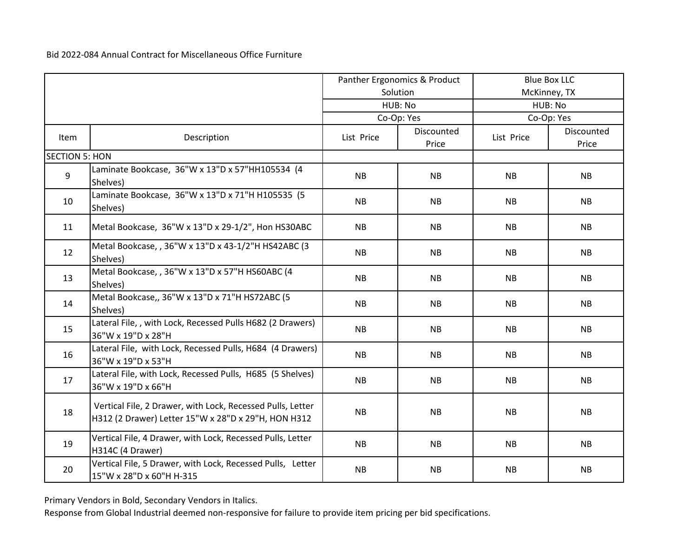|                       |                                                                                                                   | Panther Ergonomics & Product |                     | <b>Blue Box LLC</b> |                     |  |
|-----------------------|-------------------------------------------------------------------------------------------------------------------|------------------------------|---------------------|---------------------|---------------------|--|
|                       |                                                                                                                   |                              | Solution            |                     | McKinney, TX        |  |
|                       |                                                                                                                   |                              | HUB: No             | HUB: No             |                     |  |
|                       |                                                                                                                   |                              | Co-Op: Yes          |                     | Co-Op: Yes          |  |
| Item                  | Description                                                                                                       | List Price                   | Discounted<br>Price | List Price          | Discounted<br>Price |  |
| <b>SECTION 5: HON</b> |                                                                                                                   |                              |                     |                     |                     |  |
| 9                     | Laminate Bookcase, 36"W x 13"D x 57"HH105534 (4<br>Shelves)                                                       | <b>NB</b>                    | <b>NB</b>           | <b>NB</b>           | <b>NB</b>           |  |
| 10                    | Laminate Bookcase, 36"W x 13"D x 71"H H105535 (5<br>Shelves)                                                      | <b>NB</b>                    | <b>NB</b>           | <b>NB</b>           | <b>NB</b>           |  |
| 11                    | Metal Bookcase, 36"W x 13"D x 29-1/2", Hon HS30ABC                                                                | <b>NB</b>                    | <b>NB</b>           | <b>NB</b>           | NB                  |  |
| 12                    | Metal Bookcase, , 36"W x 13"D x 43-1/2"H HS42ABC (3<br>Shelves)                                                   | <b>NB</b>                    | <b>NB</b>           | <b>NB</b>           | <b>NB</b>           |  |
| 13                    | Metal Bookcase, , 36"W x 13"D x 57"H HS60ABC (4<br>Shelves)                                                       | NB                           | <b>NB</b>           | <b>NB</b>           | NB                  |  |
| 14                    | Metal Bookcase,, 36"W x 13"D x 71"H HS72ABC (5<br>Shelves)                                                        | <b>NB</b>                    | <b>NB</b>           | <b>NB</b>           | <b>NB</b>           |  |
| 15                    | Lateral File,, with Lock, Recessed Pulls H682 (2 Drawers)<br>36"W x 19"D x 28"H                                   | <b>NB</b>                    | <b>NB</b>           | <b>NB</b>           | <b>NB</b>           |  |
| 16                    | Lateral File, with Lock, Recessed Pulls, H684 (4 Drawers)<br>36"W x 19"D x 53"H                                   | NB                           | <b>NB</b>           | <b>NB</b>           | NB                  |  |
| 17                    | Lateral File, with Lock, Recessed Pulls, H685 (5 Shelves)<br>36"W x 19"D x 66"H                                   | <b>NB</b>                    | NB                  | NB                  | NB                  |  |
| 18                    | Vertical File, 2 Drawer, with Lock, Recessed Pulls, Letter<br>H312 (2 Drawer) Letter 15"W x 28"D x 29"H, HON H312 | NB                           | <b>NB</b>           | <b>NB</b>           | <b>NB</b>           |  |
| 19                    | Vertical File, 4 Drawer, with Lock, Recessed Pulls, Letter<br>H314C (4 Drawer)                                    | <b>NB</b>                    | <b>NB</b>           | <b>NB</b>           | NB                  |  |
| 20                    | Vertical File, 5 Drawer, with Lock, Recessed Pulls, Letter<br>15"W x 28"D x 60"H H-315                            | <b>NB</b>                    | <b>NB</b>           | <b>NB</b>           | <b>NB</b>           |  |

Primary Vendors in Bold, Secondary Vendors in Italics.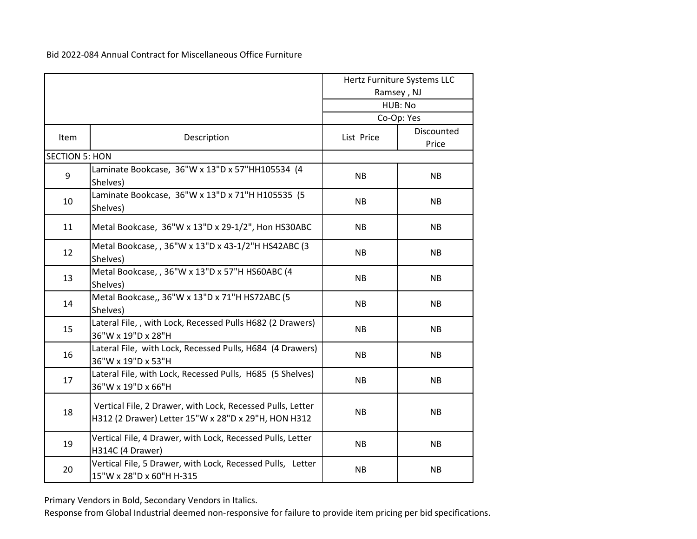|                       |                                                                                                                   |            | Hertz Furniture Systems LLC<br>Ramsey, NJ<br>HUB: No |
|-----------------------|-------------------------------------------------------------------------------------------------------------------|------------|------------------------------------------------------|
|                       |                                                                                                                   |            | Co-Op: Yes                                           |
| Item                  | Description                                                                                                       | List Price | Discounted<br>Price                                  |
| <b>SECTION 5: HON</b> |                                                                                                                   |            |                                                      |
| 9                     | Laminate Bookcase, 36"W x 13"D x 57"HH105534 (4<br>Shelves)                                                       | <b>NB</b>  | <b>NB</b>                                            |
| 10                    | Laminate Bookcase, 36"W x 13"D x 71"H H105535 (5<br>Shelves)                                                      | <b>NB</b>  | <b>NB</b>                                            |
| 11                    | Metal Bookcase, 36"W x 13"D x 29-1/2", Hon HS30ABC                                                                | <b>NB</b>  | <b>NB</b>                                            |
| 12                    | Metal Bookcase, , 36"W x 13"D x 43-1/2"H HS42ABC (3<br>Shelves)                                                   | <b>NB</b>  | <b>NB</b>                                            |
| 13                    | Metal Bookcase, , 36"W x 13"D x 57"H HS60ABC (4<br>Shelves)                                                       | <b>NB</b>  | <b>NB</b>                                            |
| 14                    | Metal Bookcase,, 36"W x 13"D x 71"H HS72ABC (5<br>Shelves)                                                        | <b>NB</b>  | <b>NB</b>                                            |
| 15                    | Lateral File,, with Lock, Recessed Pulls H682 (2 Drawers)<br>36"W x 19"D x 28"H                                   | <b>NB</b>  | <b>NB</b>                                            |
| 16                    | Lateral File, with Lock, Recessed Pulls, H684 (4 Drawers)<br>36"W x 19"D x 53"H                                   | <b>NB</b>  | <b>NB</b>                                            |
| 17                    | Lateral File, with Lock, Recessed Pulls, H685 (5 Shelves)<br>36"W x 19"D x 66"H                                   | <b>NB</b>  | <b>NB</b>                                            |
| 18                    | Vertical File, 2 Drawer, with Lock, Recessed Pulls, Letter<br>H312 (2 Drawer) Letter 15"W x 28"D x 29"H, HON H312 | <b>NB</b>  | <b>NB</b>                                            |
| 19                    | Vertical File, 4 Drawer, with Lock, Recessed Pulls, Letter<br>H314C (4 Drawer)                                    | <b>NB</b>  | <b>NB</b>                                            |
| 20                    | Vertical File, 5 Drawer, with Lock, Recessed Pulls, Letter<br>15"W x 28"D x 60"H H-315                            | <b>NB</b>  | <b>NB</b>                                            |

Primary Vendors in Bold, Secondary Vendors in Italics.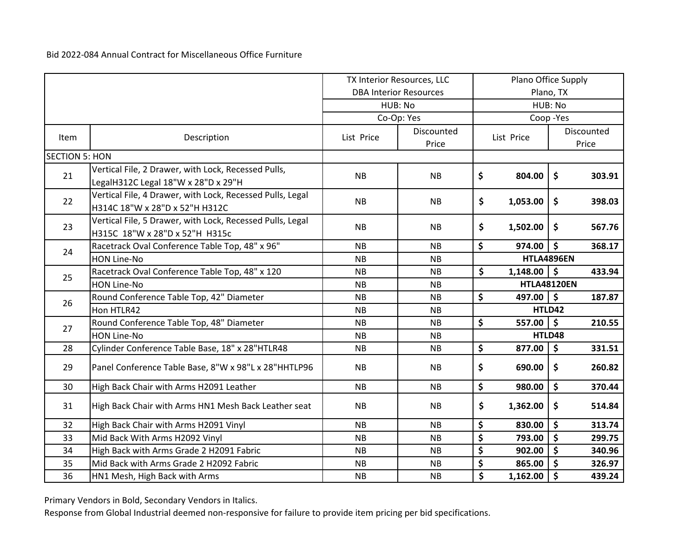|                       |                                                                                             | TX Interior Resources, LLC |                               | Plano Office Supply |                    |                      |                     |
|-----------------------|---------------------------------------------------------------------------------------------|----------------------------|-------------------------------|---------------------|--------------------|----------------------|---------------------|
|                       |                                                                                             |                            | <b>DBA Interior Resources</b> |                     |                    | Plano, TX            |                     |
|                       |                                                                                             |                            | HUB: No                       | HUB: No             |                    |                      |                     |
|                       |                                                                                             |                            | Co-Op: Yes                    |                     |                    | Coop-Yes             |                     |
| Item                  | Description                                                                                 | List Price                 | Discounted<br>Price           |                     | List Price         |                      | Discounted<br>Price |
| <b>SECTION 5: HON</b> |                                                                                             |                            |                               |                     |                    |                      |                     |
| 21                    | Vertical File, 2 Drawer, with Lock, Recessed Pulls,<br>LegalH312C Legal 18"W x 28"D x 29"H  | <b>NB</b>                  | <b>NB</b>                     | \$                  | 804.00             | \$                   | 303.91              |
| 22                    | Vertical File, 4 Drawer, with Lock, Recessed Pulls, Legal<br>H314C 18"W x 28"D x 52"H H312C | <b>NB</b>                  | <b>NB</b>                     | \$                  | 1,053.00           | \$                   | 398.03              |
| 23                    | Vertical File, 5 Drawer, with Lock, Recessed Pulls, Legal<br>H315C 18"W x 28"D x 52"H H315c | <b>NB</b>                  | <b>NB</b>                     | \$                  | 1,502.00           | \$                   | 567.76              |
| 24                    | Racetrack Oval Conference Table Top, 48" x 96"                                              | <b>NB</b>                  | <b>NB</b>                     | \$                  | 974.00             | $\boldsymbol{\zeta}$ | 368.17              |
|                       | HON Line-No                                                                                 | <b>NB</b>                  | <b>NB</b>                     |                     |                    | HTLA4896EN           |                     |
| 25                    | Racetrack Oval Conference Table Top, 48" x 120                                              | <b>NB</b>                  | <b>NB</b>                     | \$                  | $1,148.00$ \$      |                      | 433.94              |
|                       | <b>HON Line-No</b>                                                                          | <b>NB</b>                  | <b>NB</b>                     |                     | <b>HTLA48120EN</b> |                      |                     |
|                       | Round Conference Table Top, 42" Diameter                                                    | <b>NB</b>                  | <b>NB</b>                     | \$                  | 497.00 $\vert$ \$  |                      | 187.87              |
| 26                    | Hon HTLR42                                                                                  | <b>NB</b>                  | <b>NB</b>                     |                     |                    | HTLD42               |                     |
| 27                    | Round Conference Table Top, 48" Diameter                                                    | <b>NB</b>                  | <b>NB</b>                     | \$                  | 557.00             | $\mathsf{S}$         | 210.55              |
|                       | <b>HON Line-No</b>                                                                          | <b>NB</b>                  | <b>NB</b>                     |                     |                    | HTLD48               |                     |
| 28                    | Cylinder Conference Table Base, 18" x 28"HTLR48                                             | <b>NB</b>                  | <b>NB</b>                     | \$                  | 877.00             | \$                   | 331.51              |
| 29                    | Panel Conference Table Base, 8"W x 98"L x 28"HHTLP96                                        | <b>NB</b>                  | <b>NB</b>                     | \$                  | 690.00             | \$                   | 260.82              |
| 30                    | High Back Chair with Arms H2091 Leather                                                     | NB                         | <b>NB</b>                     | \$                  | 980.00             | \$                   | 370.44              |
| 31                    | High Back Chair with Arms HN1 Mesh Back Leather seat                                        | <b>NB</b>                  | <b>NB</b>                     | \$                  | 1,362.00           | \$                   | 514.84              |
| 32                    | High Back Chair with Arms H2091 Vinyl                                                       | <b>NB</b>                  | <b>NB</b>                     | \$                  | 830.00             | \$                   | 313.74              |
| 33                    | Mid Back With Arms H2092 Vinyl                                                              | <b>NB</b>                  | <b>NB</b>                     | \$                  | 793.00             | \$                   | 299.75              |
| 34                    | High Back with Arms Grade 2 H2091 Fabric                                                    | <b>NB</b>                  | <b>NB</b>                     | \$                  | 902.00             | \$                   | 340.96              |
| 35                    | Mid Back with Arms Grade 2 H2092 Fabric                                                     | <b>NB</b>                  | <b>NB</b>                     | \$                  | 865.00             | \$                   | 326.97              |
| 36                    | HN1 Mesh, High Back with Arms                                                               | NB                         | <b>NB</b>                     | \$                  | 1,162.00           | $\zeta$              | 439.24              |

Primary Vendors in Bold, Secondary Vendors in Italics.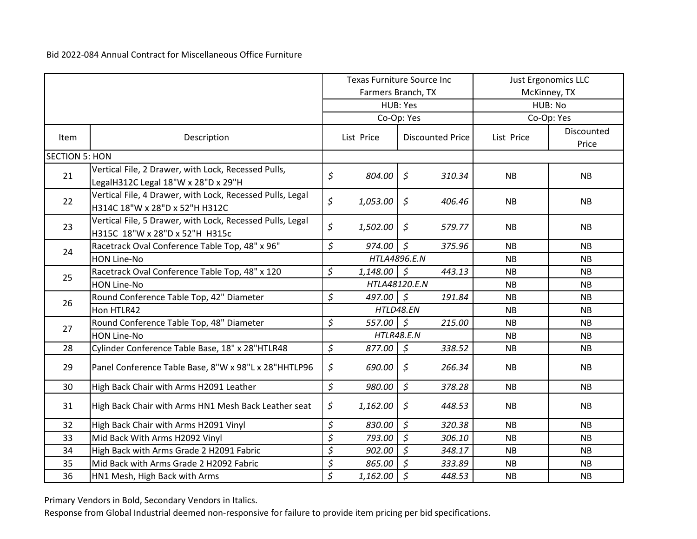|                       |                                                                                             | Texas Furniture Source Inc |                    | <b>Just Ergonomics LLC</b> |        |              |                     |
|-----------------------|---------------------------------------------------------------------------------------------|----------------------------|--------------------|----------------------------|--------|--------------|---------------------|
|                       |                                                                                             |                            | Farmers Branch, TX |                            |        | McKinney, TX |                     |
|                       |                                                                                             |                            |                    | HUB: Yes                   |        | HUB: No      |                     |
|                       |                                                                                             |                            | Co-Op: Yes         |                            |        |              | Co-Op: Yes          |
| Item                  | Description                                                                                 |                            | List Price         | <b>Discounted Price</b>    |        | List Price   | Discounted<br>Price |
| <b>SECTION 5: HON</b> |                                                                                             |                            |                    |                            |        |              |                     |
| 21                    | Vertical File, 2 Drawer, with Lock, Recessed Pulls,<br>LegalH312C Legal 18"W x 28"D x 29"H  | \$                         | 804.00             | $\zeta$                    | 310.34 | <b>NB</b>    | <b>NB</b>           |
| 22                    | Vertical File, 4 Drawer, with Lock, Recessed Pulls, Legal<br>H314C 18"W x 28"D x 52"H H312C | \$                         | 1,053.00           | $\mathsf{S}$               | 406.46 | <b>NB</b>    | <b>NB</b>           |
| 23                    | Vertical File, 5 Drawer, with Lock, Recessed Pulls, Legal<br>H315C 18"W x 28"D x 52"H H315c | \$                         | 1,502.00           | $\zeta$                    | 579.77 | <b>NB</b>    | <b>NB</b>           |
| 24                    | Racetrack Oval Conference Table Top, 48" x 96"                                              | \$                         | 974.00             | $\mathsf{S}$               | 375.96 | <b>NB</b>    | <b>NB</b>           |
|                       | <b>HON Line-No</b>                                                                          |                            | HTLA4896.E.N       |                            |        | <b>NB</b>    | <b>NB</b>           |
| 25                    | Racetrack Oval Conference Table Top, 48" x 120                                              | \$                         | $1,148.00$ \$      |                            | 443.13 | <b>NB</b>    | <b>NB</b>           |
|                       | <b>HON Line-No</b>                                                                          |                            | HTLA48120.E.N      |                            |        | <b>NB</b>    | <b>NB</b>           |
| 26                    | Round Conference Table Top, 42" Diameter                                                    | \$                         | 497.00 \$          |                            | 191.84 | <b>NB</b>    | NB                  |
|                       | Hon HTLR42                                                                                  |                            | HTLD48.EN          |                            |        | <b>NB</b>    | <b>NB</b>           |
| 27                    | Round Conference Table Top, 48" Diameter                                                    | \$                         | 557.00             | $\mathcal{S}$              | 215.00 | <b>NB</b>    | <b>NB</b>           |
|                       | <b>HON Line-No</b>                                                                          |                            | <b>HTLR48.E.N</b>  |                            |        | <b>NB</b>    | <b>NB</b>           |
| 28                    | Cylinder Conference Table Base, 18" x 28"HTLR48                                             | $\zeta$                    | 877.00             | $\sqrt{5}$                 | 338.52 | <b>NB</b>    | <b>NB</b>           |
| 29                    | Panel Conference Table Base, 8"W x 98"L x 28"HHTLP96                                        | \$                         | 690.00             | $\zeta$                    | 266.34 | <b>NB</b>    | <b>NB</b>           |
| 30                    | High Back Chair with Arms H2091 Leather                                                     | \$                         | 980.00             | $\zeta$                    | 378.28 | <b>NB</b>    | <b>NB</b>           |
| 31                    | High Back Chair with Arms HN1 Mesh Back Leather seat                                        | \$                         | 1,162.00           | $\zeta$                    | 448.53 | <b>NB</b>    | <b>NB</b>           |
| 32                    | High Back Chair with Arms H2091 Vinyl                                                       | \$                         | 830.00             | $\mathfrak{S}$             | 320.38 | <b>NB</b>    | <b>NB</b>           |
| 33                    | Mid Back With Arms H2092 Vinyl                                                              | \$                         | 793.00             | $\zeta$                    | 306.10 | <b>NB</b>    | <b>NB</b>           |
| 34                    | High Back with Arms Grade 2 H2091 Fabric                                                    | \$                         | 902.00             | $\zeta$                    | 348.17 | <b>NB</b>    | <b>NB</b>           |
| 35                    | Mid Back with Arms Grade 2 H2092 Fabric                                                     | \$                         | 865.00             | 5                          | 333.89 | <b>NB</b>    | <b>NB</b>           |
| 36                    | HN1 Mesh, High Back with Arms                                                               | $\zeta$                    | 1,162.00           | $\zeta$                    | 448.53 | <b>NB</b>    | <b>NB</b>           |

Primary Vendors in Bold, Secondary Vendors in Italics.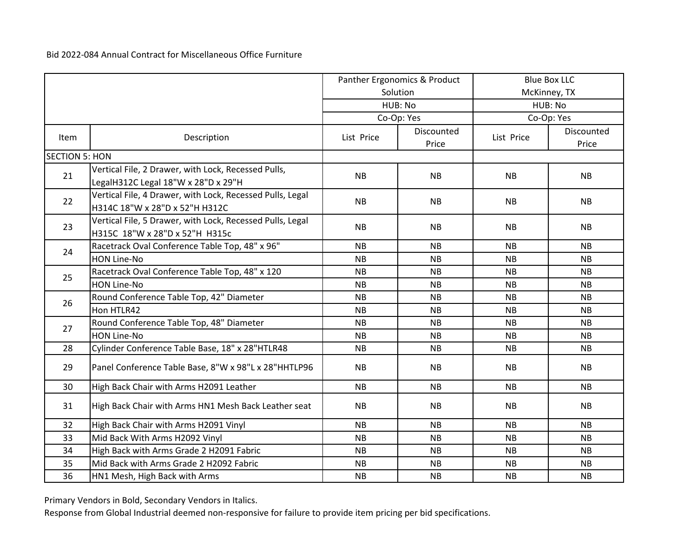|                       |                                                                                             | Panther Ergonomics & Product |                     |            | <b>Blue Box LLC</b> |  |
|-----------------------|---------------------------------------------------------------------------------------------|------------------------------|---------------------|------------|---------------------|--|
|                       |                                                                                             |                              | Solution            |            | McKinney, TX        |  |
|                       |                                                                                             |                              | HUB: No             | HUB: No    |                     |  |
|                       |                                                                                             |                              | Co-Op: Yes          |            | Co-Op: Yes          |  |
| Item                  | Description                                                                                 | List Price                   | Discounted<br>Price | List Price | Discounted<br>Price |  |
| <b>SECTION 5: HON</b> |                                                                                             |                              |                     |            |                     |  |
| 21                    | Vertical File, 2 Drawer, with Lock, Recessed Pulls,<br>LegalH312C Legal 18"W x 28"D x 29"H  | <b>NB</b>                    | <b>NB</b>           | <b>NB</b>  | <b>NB</b>           |  |
| 22                    | Vertical File, 4 Drawer, with Lock, Recessed Pulls, Legal<br>H314C 18"W x 28"D x 52"H H312C | <b>NB</b>                    | <b>NB</b>           | <b>NB</b>  | <b>NB</b>           |  |
| 23                    | Vertical File, 5 Drawer, with Lock, Recessed Pulls, Legal<br>H315C 18"W x 28"D x 52"H H315c | <b>NB</b>                    | <b>NB</b>           | <b>NB</b>  | <b>NB</b>           |  |
|                       | Racetrack Oval Conference Table Top, 48" x 96"                                              | <b>NB</b>                    | <b>NB</b>           | <b>NB</b>  | <b>NB</b>           |  |
| 24                    | <b>HON Line-No</b>                                                                          | NB                           | <b>NB</b>           | <b>NB</b>  | <b>NB</b>           |  |
| 25                    | Racetrack Oval Conference Table Top, 48" x 120                                              | <b>NB</b>                    | <b>NB</b>           | <b>NB</b>  | <b>NB</b>           |  |
|                       | <b>HON Line-No</b>                                                                          | <b>NB</b>                    | <b>NB</b>           | <b>NB</b>  | <b>NB</b>           |  |
| 26                    | Round Conference Table Top, 42" Diameter                                                    | <b>NB</b>                    | <b>NB</b>           | <b>NB</b>  | <b>NB</b>           |  |
|                       | Hon HTLR42                                                                                  | <b>NB</b>                    | <b>NB</b>           | <b>NB</b>  | <b>NB</b>           |  |
| 27                    | Round Conference Table Top, 48" Diameter                                                    | <b>NB</b>                    | <b>NB</b>           | <b>NB</b>  | <b>NB</b>           |  |
|                       | <b>HON Line-No</b>                                                                          | <b>NB</b>                    | <b>NB</b>           | <b>NB</b>  | <b>NB</b>           |  |
| 28                    | Cylinder Conference Table Base, 18" x 28"HTLR48                                             | <b>NB</b>                    | <b>NB</b>           | <b>NB</b>  | <b>NB</b>           |  |
| 29                    | Panel Conference Table Base, 8"W x 98"L x 28"HHTLP96                                        | <b>NB</b>                    | <b>NB</b>           | <b>NB</b>  | <b>NB</b>           |  |
| 30                    | High Back Chair with Arms H2091 Leather                                                     | <b>NB</b>                    | <b>NB</b>           | <b>NB</b>  | <b>NB</b>           |  |
| 31                    | High Back Chair with Arms HN1 Mesh Back Leather seat                                        | <b>NB</b>                    | <b>NB</b>           | <b>NB</b>  | <b>NB</b>           |  |
| 32                    | High Back Chair with Arms H2091 Vinyl                                                       | <b>NB</b>                    | <b>NB</b>           | <b>NB</b>  | <b>NB</b>           |  |
| 33                    | Mid Back With Arms H2092 Vinyl                                                              | NB                           | <b>NB</b>           | <b>NB</b>  | <b>NB</b>           |  |
| 34                    | High Back with Arms Grade 2 H2091 Fabric                                                    | <b>NB</b>                    | <b>NB</b>           | <b>NB</b>  | <b>NB</b>           |  |
| 35                    | Mid Back with Arms Grade 2 H2092 Fabric                                                     | <b>NB</b>                    | <b>NB</b>           | NB.        | <b>NB</b>           |  |
| 36                    | HN1 Mesh, High Back with Arms                                                               | <b>NB</b>                    | <b>NB</b>           | <b>NB</b>  | <b>NB</b>           |  |

Primary Vendors in Bold, Secondary Vendors in Italics.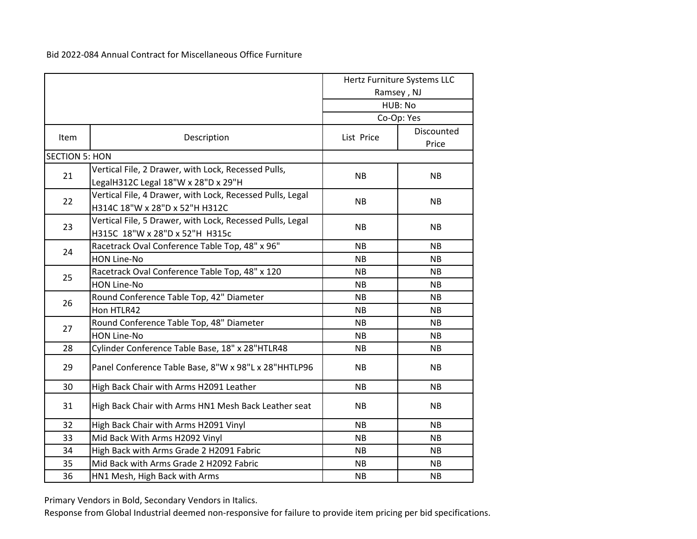|                       |                                                                                             |            | Hertz Furniture Systems LLC<br>Ramsey, NJ<br>HUB: No<br>Co-Op: Yes |
|-----------------------|---------------------------------------------------------------------------------------------|------------|--------------------------------------------------------------------|
| Item                  | Description                                                                                 | List Price | Discounted<br>Price                                                |
| <b>SECTION 5: HON</b> |                                                                                             |            |                                                                    |
| 21                    | Vertical File, 2 Drawer, with Lock, Recessed Pulls,<br>LegalH312C Legal 18"W x 28"D x 29"H  | <b>NB</b>  | <b>NB</b>                                                          |
| 22                    | Vertical File, 4 Drawer, with Lock, Recessed Pulls, Legal<br>H314C 18"W x 28"D x 52"H H312C | <b>NB</b>  | <b>NB</b>                                                          |
| 23                    | Vertical File, 5 Drawer, with Lock, Recessed Pulls, Legal<br>H315C 18"W x 28"D x 52"H H315c | <b>NB</b>  | <b>NB</b>                                                          |
| 24                    | Racetrack Oval Conference Table Top, 48" x 96"                                              | <b>NB</b>  | <b>NB</b>                                                          |
|                       | <b>HON Line-No</b>                                                                          | <b>NB</b>  | <b>NB</b>                                                          |
| 25                    | Racetrack Oval Conference Table Top, 48" x 120                                              | <b>NB</b>  | <b>NB</b>                                                          |
|                       | <b>HON Line-No</b>                                                                          | <b>NB</b>  | <b>NB</b>                                                          |
| 26                    | Round Conference Table Top, 42" Diameter                                                    | <b>NB</b>  | <b>NB</b>                                                          |
|                       | Hon HTLR42                                                                                  | <b>NB</b>  | <b>NB</b>                                                          |
| 27                    | Round Conference Table Top, 48" Diameter                                                    | <b>NB</b>  | <b>NB</b>                                                          |
|                       | <b>HON Line-No</b>                                                                          | <b>NB</b>  | <b>NB</b>                                                          |
| 28                    | Cylinder Conference Table Base, 18" x 28"HTLR48                                             | <b>NB</b>  | <b>NB</b>                                                          |
| 29                    | Panel Conference Table Base, 8"W x 98"L x 28"HHTLP96                                        | <b>NB</b>  | <b>NB</b>                                                          |
| 30                    | High Back Chair with Arms H2091 Leather                                                     | <b>NB</b>  | <b>NB</b>                                                          |
| 31                    | High Back Chair with Arms HN1 Mesh Back Leather seat                                        | <b>NB</b>  | <b>NB</b>                                                          |
| 32                    | High Back Chair with Arms H2091 Vinyl                                                       | <b>NB</b>  | <b>NB</b>                                                          |
| 33                    | Mid Back With Arms H2092 Vinyl                                                              | <b>NB</b>  | <b>NB</b>                                                          |
| 34                    | High Back with Arms Grade 2 H2091 Fabric                                                    | <b>NB</b>  | <b>NB</b>                                                          |
| 35                    | Mid Back with Arms Grade 2 H2092 Fabric                                                     | NB.        | NB.                                                                |
| 36                    | HN1 Mesh, High Back with Arms                                                               | <b>NB</b>  | <b>NB</b>                                                          |

Primary Vendors in Bold, Secondary Vendors in Italics.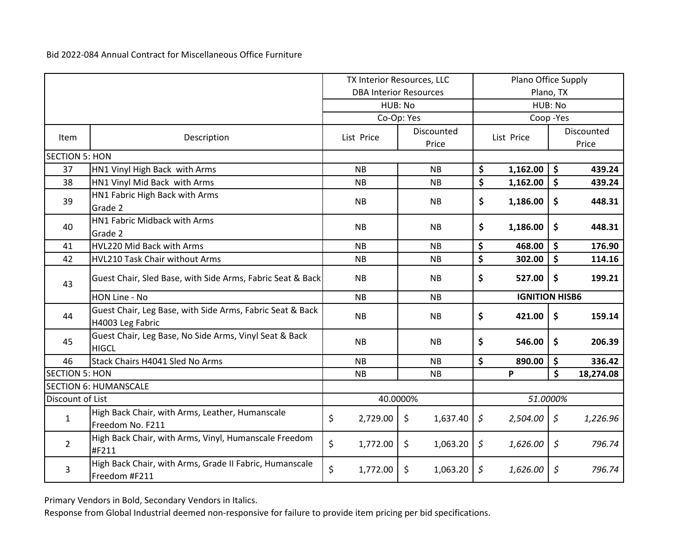|                       |                                                                               | TX Interior Resources, LLC |                               |                                 | Plano Office Supply |                       |                     |
|-----------------------|-------------------------------------------------------------------------------|----------------------------|-------------------------------|---------------------------------|---------------------|-----------------------|---------------------|
|                       |                                                                               |                            | <b>DBA Interior Resources</b> |                                 |                     | Plano, TX             |                     |
|                       |                                                                               |                            | HUB: No                       |                                 |                     | HUB: No               |                     |
|                       |                                                                               |                            | Co-Op: Yes                    |                                 |                     | Coop-Yes              |                     |
| Item                  | Description                                                                   | List Price                 | Discounted<br>Price           |                                 | List Price          |                       | Discounted<br>Price |
| <b>SECTION 5: HON</b> |                                                                               |                            |                               |                                 |                     |                       |                     |
| 37                    | HN1 Vinyl High Back with Arms                                                 | <b>NB</b>                  | <b>NB</b>                     | \$                              | 1,162.00            | \$                    | 439.24              |
| 38                    | HN1 Vinyl Mid Back with Arms                                                  | <b>NB</b>                  | <b>NB</b>                     | \$                              | 1,162.00            | \$                    | 439.24              |
| 39                    | HN1 Fabric High Back with Arms                                                | <b>NB</b>                  | <b>NB</b>                     | \$                              | 1,186.00            | \$                    | 448.31              |
|                       | Grade 2                                                                       |                            |                               |                                 |                     |                       |                     |
| 40                    | HN1 Fabric Midback with Arms                                                  | <b>NB</b>                  | <b>NB</b>                     | \$                              | 1,186.00            | \$                    | 448.31              |
|                       | Grade 2                                                                       |                            |                               |                                 |                     |                       |                     |
| 41                    | HVL220 Mid Back with Arms                                                     | <b>NB</b>                  | <b>NB</b>                     | \$                              | 468.00              | \$                    | 176.90              |
| 42                    | HVL210 Task Chair without Arms                                                | NB                         | <b>NB</b>                     | $\overline{\boldsymbol{\zeta}}$ | 302.00              | \$                    | 114.16              |
| 43                    | Guest Chair, Sled Base, with Side Arms, Fabric Seat & Back                    | <b>NB</b>                  | <b>NB</b>                     | \$                              | 527.00              | \$                    | 199.21              |
|                       | HON Line - No                                                                 | NB                         | <b>NB</b>                     |                                 |                     | <b>IGNITION HISB6</b> |                     |
| 44                    | Guest Chair, Leg Base, with Side Arms, Fabric Seat & Back<br>H4003 Leg Fabric | <b>NB</b>                  | <b>NB</b>                     | \$                              | 421.00              | \$                    | 159.14              |
| 45                    | Guest Chair, Leg Base, No Side Arms, Vinyl Seat & Back<br><b>HIGCL</b>        | <b>NB</b>                  | <b>NB</b>                     | \$                              | 546.00              | \$                    | 206.39              |
| 46                    | Stack Chairs H4041 Sled No Arms                                               | <b>NB</b>                  | <b>NB</b>                     | \$                              | 890.00              | \$                    | 336.42              |
| <b>SECTION 5: HON</b> |                                                                               | <b>NB</b>                  | <b>NB</b>                     |                                 | P                   | \$                    | 18,274.08           |
|                       | <b>SECTION 6: HUMANSCALE</b>                                                  |                            |                               |                                 |                     |                       |                     |
| Discount of List      |                                                                               |                            | 40.0000%                      | 51.0000%                        |                     |                       |                     |
| $\mathbf{1}$          | High Back Chair, with Arms, Leather, Humanscale                               | \$<br>2,729.00             | \$<br>1,637.40                | $\varsigma$                     | 2,504.00            | \$                    | 1,226.96            |
|                       | Freedom No. F211                                                              |                            |                               |                                 |                     |                       |                     |
| $\overline{2}$        | High Back Chair, with Arms, Vinyl, Humanscale Freedom<br>#F211                | \$<br>1,772.00             | \$<br>1,063.20                | \$                              | 1,626.00            | \$                    | 796.74              |
| 3                     | High Back Chair, with Arms, Grade II Fabric, Humanscale<br>Freedom #F211      | \$<br>1,772.00             | \$<br>1,063.20                | \$                              | 1,626.00            | \$                    | 796.74              |

Primary Vendors in Bold, Secondary Vendors in Italics.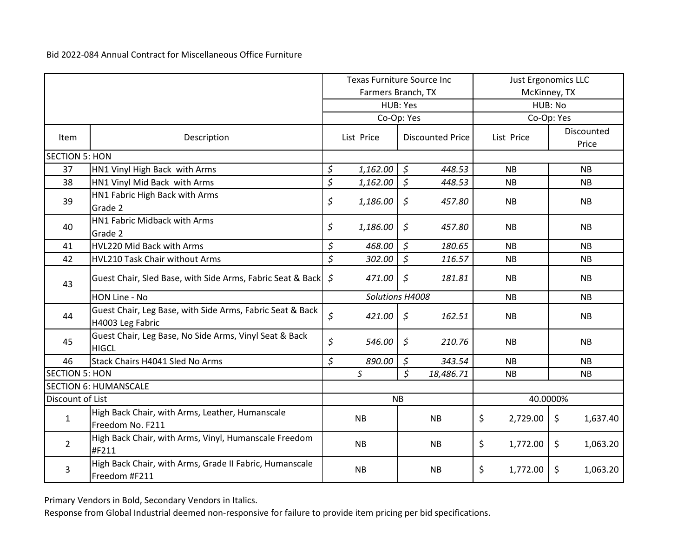|                       |                                                                               | <b>Texas Furniture Source Inc</b> |                    |                    | <b>Just Ergonomics LLC</b> |           |              |            |                     |
|-----------------------|-------------------------------------------------------------------------------|-----------------------------------|--------------------|--------------------|----------------------------|-----------|--------------|------------|---------------------|
|                       |                                                                               |                                   | Farmers Branch, TX |                    |                            |           | McKinney, TX |            |                     |
|                       |                                                                               |                                   | HUB: Yes           |                    |                            | HUB: No   |              |            |                     |
|                       |                                                                               |                                   | Co-Op: Yes         |                    |                            |           |              | Co-Op: Yes |                     |
| <b>Item</b>           | Description                                                                   |                                   | List Price         |                    | <b>Discounted Price</b>    |           | List Price   |            | Discounted<br>Price |
| <b>SECTION 5: HON</b> |                                                                               |                                   |                    |                    |                            |           |              |            |                     |
| 37                    | HN1 Vinyl High Back with Arms                                                 | \$                                | 1,162.00           | $\mathcal{S}$      | 448.53                     |           | <b>NB</b>    |            | <b>NB</b>           |
| 38                    | HN1 Vinyl Mid Back with Arms                                                  | \$                                | 1,162.00           | $\sqrt{5}$         | 448.53                     |           | NB           |            | NB                  |
| 39                    | HN1 Fabric High Back with Arms<br>Grade 2                                     | \$                                | 1,186.00           | $\mathfrak{S}$     | 457.80                     |           | NB           |            | <b>NB</b>           |
| 40                    | HN1 Fabric Midback with Arms<br>Grade 2                                       | \$                                | 1,186.00           | $\varsigma$        | 457.80                     |           | <b>NB</b>    |            | <b>NB</b>           |
| 41                    | HVL220 Mid Back with Arms                                                     | \$                                | 468.00             | $\zeta$            | 180.65                     |           | <b>NB</b>    |            | <b>NB</b>           |
| 42                    | HVL210 Task Chair without Arms                                                | \$                                | 302.00             | $\zeta$            | 116.57                     |           | <b>NB</b>    |            | <b>NB</b>           |
| 43                    | Guest Chair, Sled Base, with Side Arms, Fabric Seat & Back                    | \$                                | 471.00             | $\zeta$            | 181.81                     |           | <b>NB</b>    |            | <b>NB</b>           |
|                       | HON Line - No                                                                 |                                   | Solutions H4008    |                    |                            |           | <b>NB</b>    |            | <b>NB</b>           |
| 44                    | Guest Chair, Leg Base, with Side Arms, Fabric Seat & Back<br>H4003 Leg Fabric | \$                                | 421.00             | $\zeta$            | 162.51                     |           | <b>NB</b>    |            | <b>NB</b>           |
| 45                    | Guest Chair, Leg Base, No Side Arms, Vinyl Seat & Back<br><b>HIGCL</b>        | \$                                | 546.00             | $\mathfrak{S}$     | 210.76                     | <b>NB</b> |              |            | <b>NB</b>           |
| 46                    | Stack Chairs H4041 Sled No Arms                                               | \$                                | 890.00             | $\zeta$            | 343.54                     |           | <b>NB</b>    |            | NB                  |
| <b>SECTION 5: HON</b> |                                                                               |                                   | $\mathsf{S}$       | $\mathsf{\hat{S}}$ | 18,486.71                  | NB        |              |            | NB                  |
|                       | <b>SECTION 6: HUMANSCALE</b>                                                  |                                   |                    |                    |                            |           |              |            |                     |
| Discount of List      |                                                                               | 40.0000%<br><b>NB</b>             |                    |                    |                            |           |              |            |                     |
| $\mathbf{1}$          | High Back Chair, with Arms, Leather, Humanscale<br>Freedom No. F211           |                                   | <b>NB</b>          |                    | <b>NB</b>                  | \$        | 2,729.00     | \$         | 1,637.40            |
| $\overline{2}$        | High Back Chair, with Arms, Vinyl, Humanscale Freedom<br>#F211                |                                   | <b>NB</b>          |                    | <b>NB</b>                  | \$        | 1,772.00     | \$         | 1,063.20            |
| 3                     | High Back Chair, with Arms, Grade II Fabric, Humanscale<br>Freedom #F211      |                                   | <b>NB</b>          |                    | <b>NB</b>                  | \$        | 1,772.00     | \$         | 1,063.20            |

Primary Vendors in Bold, Secondary Vendors in Italics.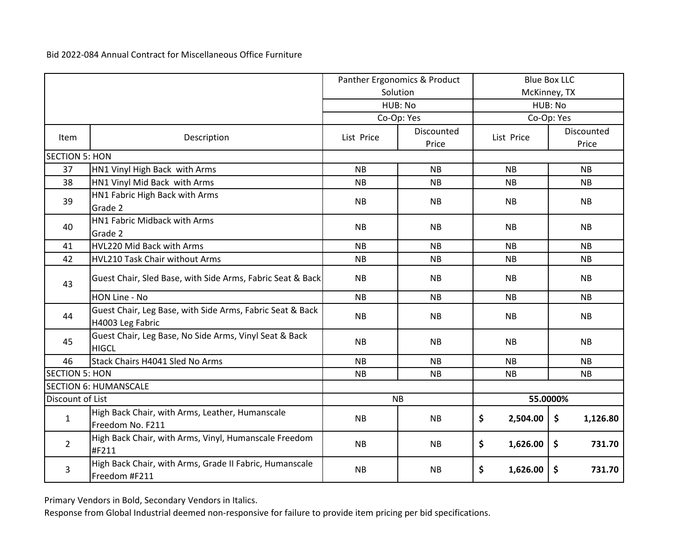|                       |                                                                               |            | Panther Ergonomics & Product |                | <b>Blue Box LLC</b> |  |
|-----------------------|-------------------------------------------------------------------------------|------------|------------------------------|----------------|---------------------|--|
|                       |                                                                               |            | Solution                     |                | McKinney, TX        |  |
|                       |                                                                               |            | HUB: No                      |                | HUB: No             |  |
|                       |                                                                               |            | Co-Op: Yes                   |                | Co-Op: Yes          |  |
| Item                  | Description                                                                   | List Price | Discounted<br>Price          | List Price     | Discounted<br>Price |  |
| <b>SECTION 5: HON</b> |                                                                               |            |                              |                |                     |  |
| 37                    | HN1 Vinyl High Back with Arms                                                 | <b>NB</b>  | <b>NB</b>                    | <b>NB</b>      | <b>NB</b>           |  |
| 38                    | HN1 Vinyl Mid Back with Arms                                                  | <b>NB</b>  | <b>NB</b>                    | <b>NB</b>      | <b>NB</b>           |  |
| 39                    | HN1 Fabric High Back with Arms                                                | <b>NB</b>  | <b>NB</b>                    | <b>NB</b>      | <b>NB</b>           |  |
|                       | Grade 2                                                                       |            |                              |                |                     |  |
| 40                    | HN1 Fabric Midback with Arms                                                  | <b>NB</b>  | <b>NB</b>                    | <b>NB</b>      | <b>NB</b>           |  |
|                       | Grade 2                                                                       |            |                              |                |                     |  |
| 41                    | HVL220 Mid Back with Arms                                                     | <b>NB</b>  | <b>NB</b>                    | <b>NB</b>      | <b>NB</b>           |  |
| 42                    | HVL210 Task Chair without Arms                                                | <b>NB</b>  | <b>NB</b>                    | <b>NB</b>      | NB                  |  |
| 43                    | Guest Chair, Sled Base, with Side Arms, Fabric Seat & Back                    | <b>NB</b>  | <b>NB</b>                    | <b>NB</b>      | <b>NB</b>           |  |
|                       | HON Line - No                                                                 | <b>NB</b>  | <b>NB</b>                    | <b>NB</b>      | <b>NB</b>           |  |
| 44                    | Guest Chair, Leg Base, with Side Arms, Fabric Seat & Back<br>H4003 Leg Fabric | <b>NB</b>  | <b>NB</b>                    | <b>NB</b>      | <b>NB</b>           |  |
| 45                    | Guest Chair, Leg Base, No Side Arms, Vinyl Seat & Back<br><b>HIGCL</b>        | <b>NB</b>  | <b>NB</b>                    | <b>NB</b>      | <b>NB</b>           |  |
| 46                    | Stack Chairs H4041 Sled No Arms                                               | <b>NB</b>  | <b>NB</b>                    | <b>NB</b>      | <b>NB</b>           |  |
| <b>SECTION 5: HON</b> |                                                                               | <b>NB</b>  | <b>NB</b>                    | NB             | NB                  |  |
|                       | <b>SECTION 6: HUMANSCALE</b>                                                  |            |                              |                |                     |  |
| Discount of List      |                                                                               | <b>NB</b>  |                              |                | 55.0000%            |  |
| $\mathbf{1}$          | High Back Chair, with Arms, Leather, Humanscale<br>Freedom No. F211           | <b>NB</b>  | NB                           | \$<br>2,504.00 | \$<br>1,126.80      |  |
| $\overline{2}$        | High Back Chair, with Arms, Vinyl, Humanscale Freedom<br>#F211                | <b>NB</b>  | <b>NB</b>                    | \$<br>1,626.00 | \$<br>731.70        |  |
| 3                     | High Back Chair, with Arms, Grade II Fabric, Humanscale<br>Freedom #F211      | <b>NB</b>  | <b>NB</b>                    | \$<br>1,626.00 | \$<br>731.70        |  |

Primary Vendors in Bold, Secondary Vendors in Italics.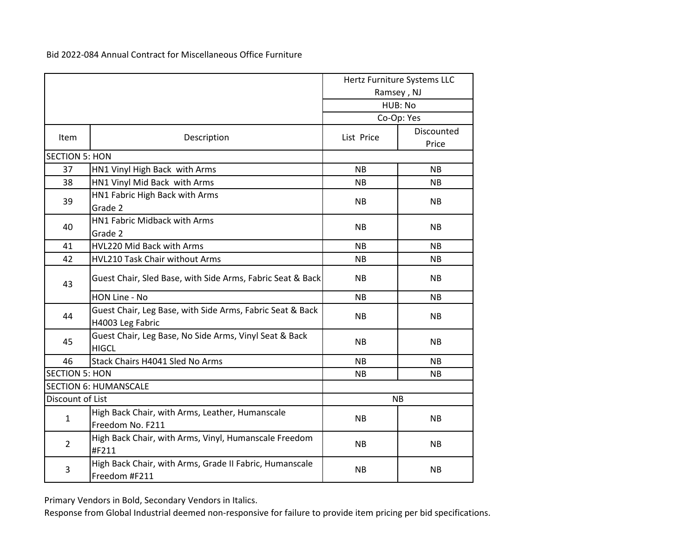|                       |                                                                               |            | Hertz Furniture Systems LLC |
|-----------------------|-------------------------------------------------------------------------------|------------|-----------------------------|
|                       |                                                                               |            | Ramsey, NJ                  |
|                       |                                                                               |            | HUB: No                     |
|                       |                                                                               |            | Co-Op: Yes                  |
| <b>Item</b>           | Description                                                                   | List Price | Discounted<br>Price         |
| <b>SECTION 5: HON</b> |                                                                               |            |                             |
| 37                    | HN1 Vinyl High Back with Arms                                                 | <b>NB</b>  | <b>NB</b>                   |
| 38                    | HN1 Vinyl Mid Back with Arms                                                  | <b>NB</b>  | <b>NB</b>                   |
|                       | HN1 Fabric High Back with Arms                                                |            |                             |
| 39                    | Grade 2                                                                       | <b>NB</b>  | <b>NB</b>                   |
|                       | HN1 Fabric Midback with Arms                                                  |            |                             |
| 40                    | Grade 2                                                                       | <b>NB</b>  | <b>NB</b>                   |
| 41                    | HVL220 Mid Back with Arms                                                     | NB.        | <b>NB</b>                   |
| 42                    | HVL210 Task Chair without Arms                                                | <b>NB</b>  | <b>NB</b>                   |
| 43                    | Guest Chair, Sled Base, with Side Arms, Fabric Seat & Back                    | <b>NB</b>  | <b>NB</b>                   |
|                       | HON Line - No                                                                 | <b>NB</b>  | <b>NB</b>                   |
| 44                    | Guest Chair, Leg Base, with Side Arms, Fabric Seat & Back<br>H4003 Leg Fabric | <b>NB</b>  | <b>NB</b>                   |
| 45                    | Guest Chair, Leg Base, No Side Arms, Vinyl Seat & Back<br><b>HIGCL</b>        | <b>NB</b>  | <b>NB</b>                   |
| 46                    | Stack Chairs H4041 Sled No Arms                                               | <b>NB</b>  | <b>NB</b>                   |
| <b>SECTION 5: HON</b> |                                                                               | <b>NB</b>  | <b>NB</b>                   |
|                       | <b>SECTION 6: HUMANSCALE</b>                                                  |            |                             |
| Discount of List      |                                                                               |            | <b>NB</b>                   |
| $\mathbf{1}$          | High Back Chair, with Arms, Leather, Humanscale                               | <b>NB</b>  | <b>NB</b>                   |
|                       | Freedom No. F211                                                              |            |                             |
| $\overline{2}$        | High Back Chair, with Arms, Vinyl, Humanscale Freedom                         | <b>NB</b>  | <b>NB</b>                   |
|                       | #F211                                                                         |            |                             |
| 3                     | High Back Chair, with Arms, Grade II Fabric, Humanscale<br>Freedom #F211      | <b>NB</b>  | <b>NB</b>                   |

Primary Vendors in Bold, Secondary Vendors in Italics.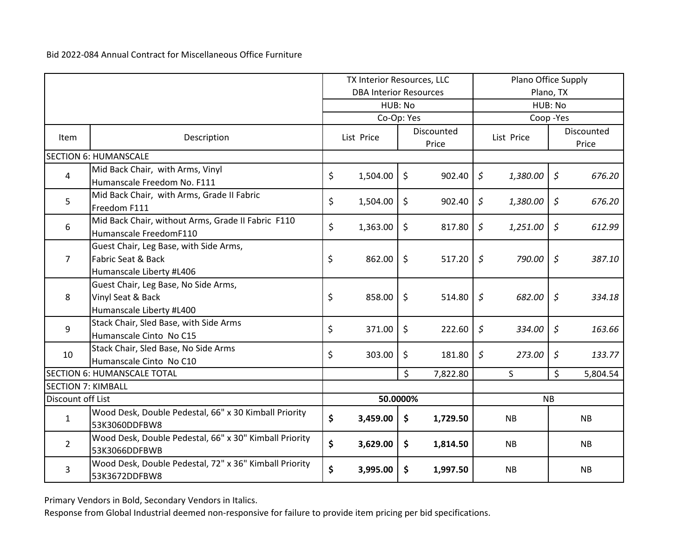|                           |                                                                                                     | TX Interior Resources, LLC |                               | Plano Office Supply |                            |             |            |                |                     |
|---------------------------|-----------------------------------------------------------------------------------------------------|----------------------------|-------------------------------|---------------------|----------------------------|-------------|------------|----------------|---------------------|
|                           |                                                                                                     |                            | <b>DBA Interior Resources</b> |                     |                            | Plano, TX   |            |                |                     |
|                           |                                                                                                     |                            | HUB: No                       |                     | HUB: No                    |             |            |                |                     |
|                           |                                                                                                     |                            | Co-Op: Yes                    |                     |                            |             | Coop-Yes   |                |                     |
| Item                      | Description                                                                                         |                            | List Price                    |                     | <b>Discounted</b><br>Price |             | List Price |                | Discounted<br>Price |
|                           | <b>SECTION 6: HUMANSCALE</b>                                                                        |                            |                               |                     |                            |             |            |                |                     |
| 4                         | Mid Back Chair, with Arms, Vinyl<br>Humanscale Freedom No. F111                                     | \$                         | 1,504.00                      | $\zeta$             | 902.40                     | $\zeta$     | 1,380.00   | $\zeta$        | 676.20              |
| 5                         | Mid Back Chair, with Arms, Grade II Fabric<br>Freedom F111                                          | \$                         | 1,504.00                      | \$                  | 902.40                     | \$          | 1,380.00   | \$             | 676.20              |
| 6                         | Mid Back Chair, without Arms, Grade II Fabric F110<br>Humanscale FreedomF110                        | \$                         | 1,363.00                      | \$                  | 817.80                     | \$          | 1,251.00   | \$             | 612.99              |
| $\overline{7}$            | Guest Chair, Leg Base, with Side Arms,<br><b>Fabric Seat &amp; Back</b><br>Humanscale Liberty #L406 | \$                         | 862.00                        | \$                  | 517.20                     | $\varsigma$ | 790.00     | $\varsigma$    | 387.10              |
| 8                         | Guest Chair, Leg Base, No Side Arms,<br>Vinyl Seat & Back<br>Humanscale Liberty #L400               | \$                         | 858.00                        | \$                  | 514.80                     | $\zeta$     | 682.00     | $\mathfrak{S}$ | 334.18              |
| 9                         | Stack Chair, Sled Base, with Side Arms<br>Humanscale Cinto No C15                                   | \$                         | 371.00                        | \$                  | 222.60                     | \$          | 334.00     | $\zeta$        | 163.66              |
| 10                        | Stack Chair, Sled Base, No Side Arms<br>Humanscale Cinto No C10                                     | \$                         | 303.00                        | \$                  | 181.80                     | \$          | 273.00     | \$             | 133.77              |
|                           | <b>SECTION 6: HUMANSCALE TOTAL</b>                                                                  |                            |                               | \$                  | 7,822.80                   |             | S          | \$             | 5,804.54            |
| <b>SECTION 7: KIMBALL</b> |                                                                                                     |                            |                               |                     |                            |             |            |                |                     |
| Discount off List         |                                                                                                     |                            | 50.0000%                      |                     |                            |             |            | <b>NB</b>      |                     |
| $\mathbf{1}$              | Wood Desk, Double Pedestal, 66" x 30 Kimball Priority<br>53K3060DDFBW8                              | \$                         | 3,459.00                      | \$                  | 1,729.50                   |             | NB         |                | <b>NB</b>           |
| $\overline{2}$            | Wood Desk, Double Pedestal, 66" x 30" Kimball Priority<br>53K3066DDFBWB                             | \$                         | 3,629.00                      | \$                  | 1,814.50                   |             | <b>NB</b>  |                | <b>NB</b>           |
| 3                         | Wood Desk, Double Pedestal, 72" x 36" Kimball Priority<br>53K3672DDFBW8                             | \$                         | 3,995.00                      | \$                  | 1,997.50                   |             | <b>NB</b>  |                | NB                  |

Primary Vendors in Bold, Secondary Vendors in Italics.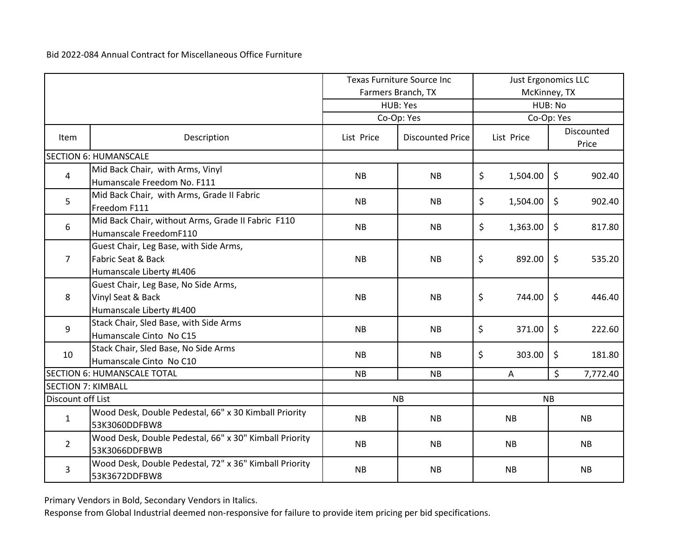|                           |                                                                                          | <b>Texas Furniture Source Inc</b> |                         | <b>Just Ergonomics LLC</b> |                |           |                     |
|---------------------------|------------------------------------------------------------------------------------------|-----------------------------------|-------------------------|----------------------------|----------------|-----------|---------------------|
|                           |                                                                                          |                                   | Farmers Branch, TX      |                            | McKinney, TX   |           |                     |
|                           |                                                                                          |                                   | HUB: Yes                | HUB: No<br>Co-Op: Yes      |                |           |                     |
|                           |                                                                                          |                                   | Co-Op: Yes              |                            |                |           |                     |
| Item                      | Description                                                                              | List Price                        | <b>Discounted Price</b> |                            | List Price     |           | Discounted<br>Price |
|                           | <b>SECTION 6: HUMANSCALE</b>                                                             |                                   |                         |                            |                |           |                     |
| $\overline{4}$            | Mid Back Chair, with Arms, Vinyl<br>Humanscale Freedom No. F111                          | <b>NB</b>                         | <b>NB</b>               | \$                         | 1,504.00       | \$        | 902.40              |
| 5                         | Mid Back Chair, with Arms, Grade II Fabric<br>Freedom F111                               | <b>NB</b>                         | <b>NB</b>               | \$                         | 1,504.00       | \$        | 902.40              |
| 6                         | Mid Back Chair, without Arms, Grade II Fabric F110<br>Humanscale FreedomF110             | <b>NB</b>                         | <b>NB</b>               | \$                         | 1,363.00       | \$        | 817.80              |
| $\overline{7}$            | Guest Chair, Leg Base, with Side Arms,<br>Fabric Seat & Back<br>Humanscale Liberty #L406 | <b>NB</b>                         | <b>NB</b>               | \$                         | 892.00         | $\zeta$   | 535.20              |
| 8                         | Guest Chair, Leg Base, No Side Arms,<br>Vinyl Seat & Back<br>Humanscale Liberty #L400    | <b>NB</b>                         | <b>NB</b>               | \$                         | 744.00         | \$        | 446.40              |
| 9                         | Stack Chair, Sled Base, with Side Arms<br>Humanscale Cinto No C15                        | <b>NB</b>                         | <b>NB</b>               | \$                         | 371.00         | \$        | 222.60              |
| 10                        | Stack Chair, Sled Base, No Side Arms<br>Humanscale Cinto No C10                          | <b>NB</b>                         | <b>NB</b>               | \$                         | 303.00         | \$        | 181.80              |
|                           | <b>SECTION 6: HUMANSCALE TOTAL</b>                                                       | <b>NB</b>                         | <b>NB</b>               |                            | $\overline{A}$ | \$        | 7,772.40            |
| <b>SECTION 7: KIMBALL</b> |                                                                                          |                                   |                         |                            |                |           |                     |
| Discount off List         |                                                                                          | <b>NB</b>                         |                         |                            |                | <b>NB</b> |                     |
| $\mathbf{1}$              | Wood Desk, Double Pedestal, 66" x 30 Kimball Priority<br>53K3060DDFBW8                   | <b>NB</b>                         | <b>NB</b>               |                            | <b>NB</b>      |           | NB                  |
| $\overline{2}$            | Wood Desk, Double Pedestal, 66" x 30" Kimball Priority<br>53K3066DDFBWB                  | <b>NB</b>                         | <b>NB</b>               |                            | <b>NB</b>      |           | <b>NB</b>           |
| 3                         | Wood Desk, Double Pedestal, 72" x 36" Kimball Priority<br>53K3672DDFBW8                  | <b>NB</b>                         | <b>NB</b>               |                            | <b>NB</b>      |           | <b>NB</b>           |

Primary Vendors in Bold, Secondary Vendors in Italics.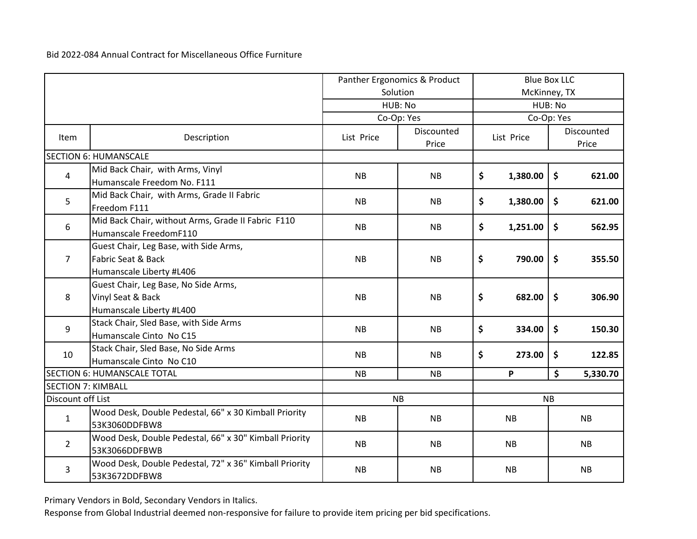|                           |                                                                                          | Panther Ergonomics & Product |                            | <b>Blue Box LLC</b> |              |                     |                            |
|---------------------------|------------------------------------------------------------------------------------------|------------------------------|----------------------------|---------------------|--------------|---------------------|----------------------------|
|                           |                                                                                          |                              | Solution                   |                     | McKinney, TX |                     |                            |
|                           |                                                                                          |                              | HUB: No                    | HUB: No             |              |                     |                            |
|                           |                                                                                          |                              | Co-Op: Yes                 |                     | Co-Op: Yes   |                     |                            |
| Item                      | Description                                                                              | List Price                   | <b>Discounted</b><br>Price |                     | List Price   |                     | <b>Discounted</b><br>Price |
|                           | <b>SECTION 6: HUMANSCALE</b>                                                             |                              |                            |                     |              |                     |                            |
| 4                         | Mid Back Chair, with Arms, Vinyl<br>Humanscale Freedom No. F111                          | <b>NB</b>                    | <b>NB</b>                  | \$                  | 1,380.00     | \$                  | 621.00                     |
| 5                         | Mid Back Chair, with Arms, Grade II Fabric<br>Freedom F111                               | <b>NB</b>                    | <b>NB</b>                  | \$                  | 1,380.00     | \$                  | 621.00                     |
| 6                         | Mid Back Chair, without Arms, Grade II Fabric F110<br>Humanscale FreedomF110             | <b>NB</b>                    | <b>NB</b>                  | \$                  | 1,251.00     | \$                  | 562.95                     |
| $\overline{7}$            | Guest Chair, Leg Base, with Side Arms,<br>Fabric Seat & Back<br>Humanscale Liberty #L406 | <b>NB</b>                    | <b>NB</b>                  | \$                  | 790.00       | $\ddot{\bm{\zeta}}$ | 355.50                     |
| 8                         | Guest Chair, Leg Base, No Side Arms,<br>Vinyl Seat & Back<br>Humanscale Liberty #L400    | <b>NB</b>                    | <b>NB</b>                  | \$                  | 682.00       | \$                  | 306.90                     |
| 9                         | Stack Chair, Sled Base, with Side Arms<br>Humanscale Cinto No C15                        | <b>NB</b>                    | <b>NB</b>                  | \$                  | 334.00       | \$                  | 150.30                     |
| 10                        | Stack Chair, Sled Base, No Side Arms<br>Humanscale Cinto No C10                          | <b>NB</b>                    | <b>NB</b>                  | \$                  | 273.00       | \$                  | 122.85                     |
|                           | <b>SECTION 6: HUMANSCALE TOTAL</b>                                                       | <b>NB</b>                    | NB                         |                     | P            | \$                  | 5,330.70                   |
| <b>SECTION 7: KIMBALL</b> |                                                                                          |                              |                            |                     |              |                     |                            |
| Discount off List         |                                                                                          | <b>NB</b>                    |                            |                     |              | <b>NB</b>           |                            |
| $\mathbf{1}$              | Wood Desk, Double Pedestal, 66" x 30 Kimball Priority<br>53K3060DDFBW8                   | <b>NB</b>                    | <b>NB</b>                  |                     | <b>NB</b>    |                     | <b>NB</b>                  |
| $\overline{2}$            | Wood Desk, Double Pedestal, 66" x 30" Kimball Priority<br>53K3066DDFBWB                  | <b>NB</b>                    | <b>NB</b>                  |                     | <b>NB</b>    |                     | <b>NB</b>                  |
| 3                         | Wood Desk, Double Pedestal, 72" x 36" Kimball Priority<br>53K3672DDFBW8                  | <b>NB</b>                    | <b>NB</b>                  |                     | <b>NB</b>    |                     | <b>NB</b>                  |

Primary Vendors in Bold, Secondary Vendors in Italics.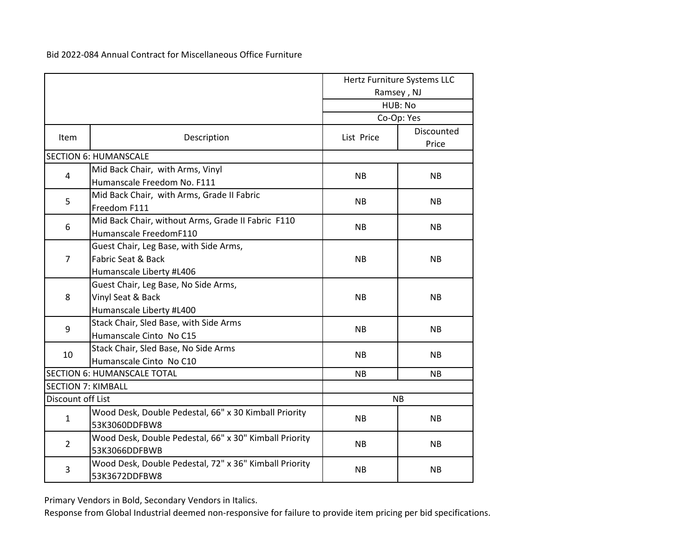|                           |                                                                 |            | Hertz Furniture Systems LLC<br>Ramsey, NJ |  |
|---------------------------|-----------------------------------------------------------------|------------|-------------------------------------------|--|
|                           |                                                                 |            | HUB: No                                   |  |
|                           |                                                                 |            | Co-Op: Yes                                |  |
| Item                      | Description                                                     | List Price | Discounted<br>Price                       |  |
|                           | <b>SECTION 6: HUMANSCALE</b>                                    |            |                                           |  |
| 4                         | Mid Back Chair, with Arms, Vinyl<br>Humanscale Freedom No. F111 | <b>NB</b>  | <b>NB</b>                                 |  |
|                           |                                                                 |            |                                           |  |
| 5                         | Mid Back Chair, with Arms, Grade II Fabric<br>Freedom F111      | <b>NB</b>  | <b>NB</b>                                 |  |
| 6                         | Mid Back Chair, without Arms, Grade II Fabric F110              | <b>NB</b>  | <b>NB</b>                                 |  |
|                           | Humanscale FreedomF110                                          |            |                                           |  |
|                           | Guest Chair, Leg Base, with Side Arms,                          |            |                                           |  |
| 7                         | Fabric Seat & Back                                              | <b>NB</b>  | <b>NB</b>                                 |  |
|                           | Humanscale Liberty #L406                                        |            |                                           |  |
|                           | Guest Chair, Leg Base, No Side Arms,                            |            |                                           |  |
| 8                         | Vinyl Seat & Back                                               | <b>NB</b>  | <b>NB</b>                                 |  |
|                           | Humanscale Liberty #L400                                        |            |                                           |  |
| 9                         | Stack Chair, Sled Base, with Side Arms                          | <b>NB</b>  | <b>NB</b>                                 |  |
|                           | Humanscale Cinto No C15                                         |            |                                           |  |
| 10                        | Stack Chair, Sled Base, No Side Arms                            | <b>NB</b>  | <b>NB</b>                                 |  |
|                           | Humanscale Cinto No C10                                         |            |                                           |  |
|                           | <b>SECTION 6: HUMANSCALE TOTAL</b>                              | <b>NB</b>  | <b>NB</b>                                 |  |
| <b>SECTION 7: KIMBALL</b> |                                                                 |            |                                           |  |
| Discount off List         |                                                                 |            | <b>NB</b>                                 |  |
| 1                         | Wood Desk, Double Pedestal, 66" x 30 Kimball Priority           | <b>NB</b>  | <b>NB</b>                                 |  |
|                           | 53K3060DDFBW8                                                   |            |                                           |  |
| $\overline{2}$            | Wood Desk, Double Pedestal, 66" x 30" Kimball Priority          | <b>NB</b>  | <b>NB</b>                                 |  |
|                           | 53K3066DDFBWB                                                   |            |                                           |  |
| 3                         | Wood Desk, Double Pedestal, 72" x 36" Kimball Priority          | <b>NB</b>  | <b>NB</b>                                 |  |
|                           | 53K3672DDFBW8                                                   |            |                                           |  |

Primary Vendors in Bold, Secondary Vendors in Italics.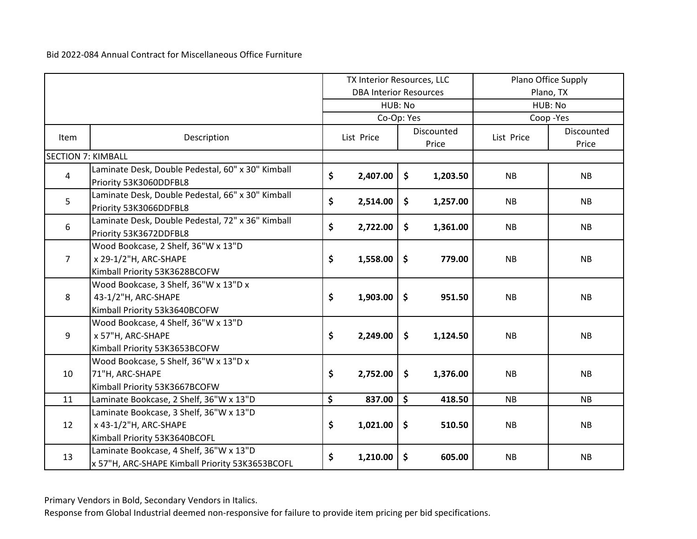|                           |                                                                                                   | TX Interior Resources, LLC    |                     | Plano Office Supply |            |                     |
|---------------------------|---------------------------------------------------------------------------------------------------|-------------------------------|---------------------|---------------------|------------|---------------------|
|                           |                                                                                                   | <b>DBA Interior Resources</b> |                     |                     | Plano, TX  |                     |
|                           |                                                                                                   |                               | HUB: No             |                     | HUB: No    |                     |
|                           |                                                                                                   |                               | Co-Op: Yes          |                     |            | Coop-Yes            |
| <b>Item</b>               | Description                                                                                       | List Price                    |                     | Discounted<br>Price | List Price | Discounted<br>Price |
| <b>SECTION 7: KIMBALL</b> |                                                                                                   |                               |                     |                     |            |                     |
| $\overline{a}$            | Laminate Desk, Double Pedestal, 60" x 30" Kimball<br>Priority 53K3060DDFBL8                       | \$<br>2,407.00                | \$                  | 1,203.50            | <b>NB</b>  | <b>NB</b>           |
| 5                         | Laminate Desk, Double Pedestal, 66" x 30" Kimball<br>Priority 53K3066DDFBL8                       | \$<br>2,514.00                | \$                  | 1,257.00            | <b>NB</b>  | NB                  |
| 6                         | Laminate Desk, Double Pedestal, 72" x 36" Kimball<br>Priority 53K3672DDFBL8                       | \$<br>2,722.00                | \$                  | 1,361.00            | <b>NB</b>  | NB                  |
| $7^{\circ}$               | Wood Bookcase, 2 Shelf, 36"W x 13"D<br>x 29-1/2"H, ARC-SHAPE<br>Kimball Priority 53K3628BCOFW     | \$<br>1,558.00                | \$                  | 779.00              | <b>NB</b>  | NB                  |
| 8                         | Wood Bookcase, 3 Shelf, 36"W x 13"D x<br>43-1/2"H, ARC-SHAPE<br>Kimball Priority 53k3640BCOFW     | \$<br>1,903.00                | \$                  | 951.50              | <b>NB</b>  | NB                  |
| 9                         | Wood Bookcase, 4 Shelf, 36"W x 13"D<br>x 57"H, ARC-SHAPE<br>Kimball Priority 53K3653BCOFW         | \$<br>2,249.00                | \$                  | 1,124.50            | NB         | NB                  |
| 10                        | Wood Bookcase, 5 Shelf, 36"W x 13"D x<br>71"H, ARC-SHAPE<br>Kimball Priority 53K3667BCOFW         | \$<br>2,752.00                | $\mathsf{\$}$       | 1,376.00            | <b>NB</b>  | <b>NB</b>           |
| 11                        | Laminate Bookcase, 2 Shelf, 36"W x 13"D                                                           | \$<br>837.00                  | $\ddot{\bm{\zeta}}$ | 418.50              | <b>NB</b>  | <b>NB</b>           |
| 12                        | Laminate Bookcase, 3 Shelf, 36"W x 13"D<br>x 43-1/2"H, ARC-SHAPE<br>Kimball Priority 53K3640BCOFL | \$<br>1,021.00                | \$                  | 510.50              | NB         | NB                  |
| 13                        | Laminate Bookcase, 4 Shelf, 36"W x 13"D<br>x 57"H, ARC-SHAPE Kimball Priority 53K3653BCOFL        | \$<br>1,210.00                | \$                  | 605.00              | <b>NB</b>  | <b>NB</b>           |

Primary Vendors in Bold, Secondary Vendors in Italics.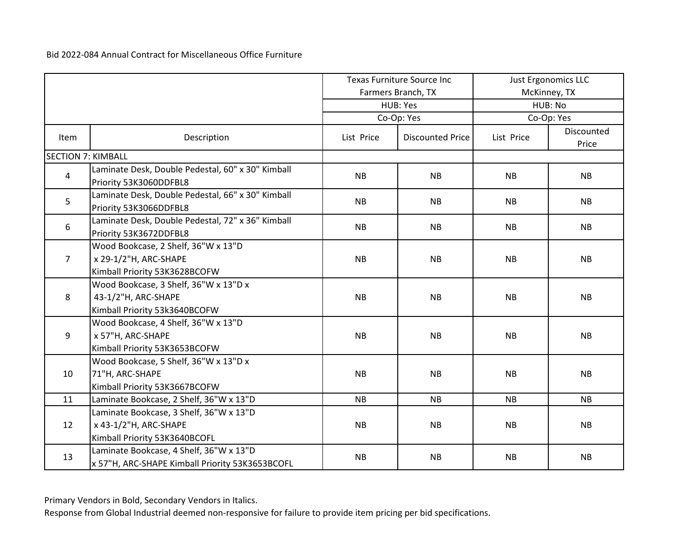|                           |                                                                                                   |            | <b>Texas Furniture Source Inc</b> | Just Ergonomics LLC |                     |  |
|---------------------------|---------------------------------------------------------------------------------------------------|------------|-----------------------------------|---------------------|---------------------|--|
|                           |                                                                                                   |            | Farmers Branch, TX                |                     | McKinney, TX        |  |
|                           |                                                                                                   |            | HUB: Yes                          |                     | HUB: No             |  |
|                           |                                                                                                   |            | Co-Op: Yes                        |                     | Co-Op: Yes          |  |
| <b>Item</b>               | Description                                                                                       | List Price | <b>Discounted Price</b>           | List Price          | Discounted<br>Price |  |
| <b>SECTION 7: KIMBALL</b> |                                                                                                   |            |                                   |                     |                     |  |
| $\overline{4}$            | Laminate Desk, Double Pedestal, 60" x 30" Kimball<br>Priority 53K3060DDFBL8                       | <b>NB</b>  | <b>NB</b>                         | <b>NB</b>           | <b>NB</b>           |  |
| 5                         | Laminate Desk, Double Pedestal, 66" x 30" Kimball<br>Priority 53K3066DDFBL8                       | NB         | <b>NB</b>                         | <b>NB</b>           | <b>NB</b>           |  |
| 6                         | Laminate Desk, Double Pedestal, 72" x 36" Kimball<br>Priority 53K3672DDFBL8                       | <b>NB</b>  | <b>NB</b>                         | <b>NB</b>           | <b>NB</b>           |  |
| $\overline{7}$            | Wood Bookcase, 2 Shelf, 36"W x 13"D<br>x 29-1/2"H, ARC-SHAPE<br>Kimball Priority 53K3628BCOFW     | <b>NB</b>  | <b>NB</b>                         | <b>NB</b>           | <b>NB</b>           |  |
| 8                         | Wood Bookcase, 3 Shelf, 36"W x 13"D x<br>43-1/2"H, ARC-SHAPE<br>Kimball Priority 53k3640BCOFW     | <b>NB</b>  | <b>NB</b>                         | <b>NB</b>           | <b>NB</b>           |  |
| 9                         | Wood Bookcase, 4 Shelf, 36"W x 13"D<br>x 57"H, ARC-SHAPE<br>Kimball Priority 53K3653BCOFW         | <b>NB</b>  | <b>NB</b>                         | <b>NB</b>           | <b>NB</b>           |  |
| 10                        | Wood Bookcase, 5 Shelf, 36"W x 13"D x<br>71"H, ARC-SHAPE<br>Kimball Priority 53K3667BCOFW         | <b>NB</b>  | <b>NB</b>                         | <b>NB</b>           | <b>NB</b>           |  |
| 11                        | Laminate Bookcase, 2 Shelf, 36"W x 13"D                                                           | <b>NB</b>  | <b>NB</b>                         | <b>NB</b>           | <b>NB</b>           |  |
| 12                        | Laminate Bookcase, 3 Shelf, 36"W x 13"D<br>x 43-1/2"H, ARC-SHAPE<br>Kimball Priority 53K3640BCOFL | <b>NB</b>  | NB                                | <b>NB</b>           | NB                  |  |
| 13                        | Laminate Bookcase, 4 Shelf, 36"W x 13"D<br>x 57"H, ARC-SHAPE Kimball Priority 53K3653BCOFL        | <b>NB</b>  | <b>NB</b>                         | <b>NB</b>           | <b>NB</b>           |  |

Primary Vendors in Bold, Secondary Vendors in Italics.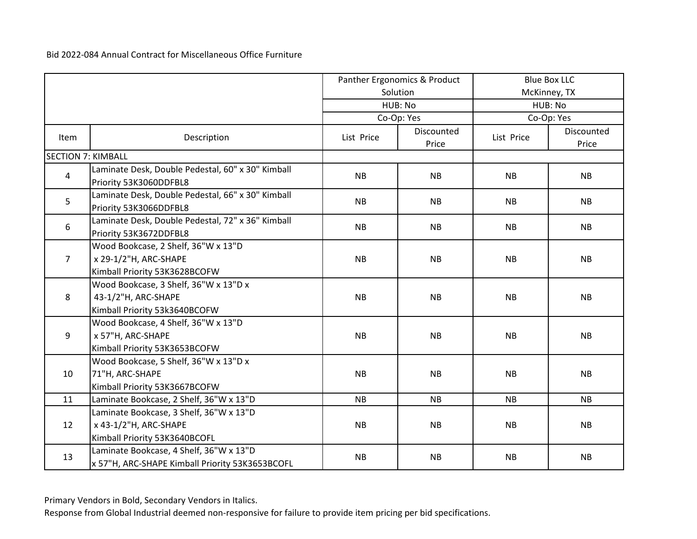|                           |                                                                                                   |            | Panther Ergonomics & Product |            | <b>Blue Box LLC</b> |  |  |
|---------------------------|---------------------------------------------------------------------------------------------------|------------|------------------------------|------------|---------------------|--|--|
|                           |                                                                                                   |            | Solution                     |            | McKinney, TX        |  |  |
|                           |                                                                                                   |            | HUB: No                      |            | HUB: No             |  |  |
|                           |                                                                                                   |            | Co-Op: Yes                   |            | Co-Op: Yes          |  |  |
| <b>Item</b>               | Description                                                                                       | List Price | Discounted<br>Price          | List Price | Discounted<br>Price |  |  |
| <b>SECTION 7: KIMBALL</b> |                                                                                                   |            |                              |            |                     |  |  |
| $\overline{a}$            | Laminate Desk, Double Pedestal, 60" x 30" Kimball<br>Priority 53K3060DDFBL8                       | <b>NB</b>  | <b>NB</b>                    | <b>NB</b>  | <b>NB</b>           |  |  |
| 5                         | Laminate Desk, Double Pedestal, 66" x 30" Kimball<br>Priority 53K3066DDFBL8                       | NB         | <b>NB</b>                    | <b>NB</b>  | <b>NB</b>           |  |  |
| 6                         | Laminate Desk, Double Pedestal, 72" x 36" Kimball<br>Priority 53K3672DDFBL8                       | <b>NB</b>  | <b>NB</b>                    | <b>NB</b>  | <b>NB</b>           |  |  |
| $\overline{7}$            | Wood Bookcase, 2 Shelf, 36"W x 13"D<br>x 29-1/2"H, ARC-SHAPE<br>Kimball Priority 53K3628BCOFW     | <b>NB</b>  | <b>NB</b>                    | <b>NB</b>  | <b>NB</b>           |  |  |
| 8                         | Wood Bookcase, 3 Shelf, 36"W x 13"D x<br>43-1/2"H, ARC-SHAPE<br>Kimball Priority 53k3640BCOFW     | <b>NB</b>  | <b>NB</b>                    | <b>NB</b>  | <b>NB</b>           |  |  |
| 9                         | Wood Bookcase, 4 Shelf, 36"W x 13"D<br>x 57"H, ARC-SHAPE<br>Kimball Priority 53K3653BCOFW         | NB         | NB                           | <b>NB</b>  | NB                  |  |  |
| 10                        | Wood Bookcase, 5 Shelf, 36"W x 13"D x<br>71"H, ARC-SHAPE<br>Kimball Priority 53K3667BCOFW         | <b>NB</b>  | <b>NB</b>                    | <b>NB</b>  | <b>NB</b>           |  |  |
| 11                        | Laminate Bookcase, 2 Shelf, 36"W x 13"D                                                           | <b>NB</b>  | <b>NB</b>                    | <b>NB</b>  | NB                  |  |  |
| 12                        | Laminate Bookcase, 3 Shelf, 36"W x 13"D<br>x 43-1/2"H, ARC-SHAPE<br>Kimball Priority 53K3640BCOFL | <b>NB</b>  | <b>NB</b>                    | <b>NB</b>  | <b>NB</b>           |  |  |
| 13                        | Laminate Bookcase, 4 Shelf, 36"W x 13"D<br>x 57"H, ARC-SHAPE Kimball Priority 53K3653BCOFL        | <b>NB</b>  | <b>NB</b>                    | <b>NB</b>  | <b>NB</b>           |  |  |

Primary Vendors in Bold, Secondary Vendors in Italics.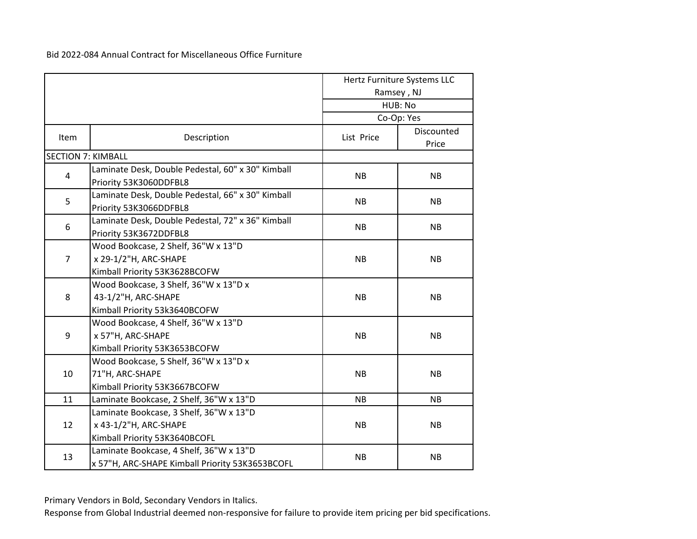|                           |                                                                                                   |            | Hertz Furniture Systems LLC |
|---------------------------|---------------------------------------------------------------------------------------------------|------------|-----------------------------|
|                           |                                                                                                   |            | Ramsey, NJ                  |
|                           |                                                                                                   |            | HUB: No                     |
|                           |                                                                                                   |            | Co-Op: Yes                  |
| Item                      | Description                                                                                       | List Price | Discounted<br>Price         |
| <b>SECTION 7: KIMBALL</b> |                                                                                                   |            |                             |
| 4                         | Laminate Desk, Double Pedestal, 60" x 30" Kimball<br>Priority 53K3060DDFBL8                       | <b>NB</b>  | <b>NB</b>                   |
| 5                         | Laminate Desk, Double Pedestal, 66" x 30" Kimball<br>Priority 53K3066DDFBL8                       | <b>NB</b>  | <b>NB</b>                   |
| 6                         | Laminate Desk, Double Pedestal, 72" x 36" Kimball<br>Priority 53K3672DDFBL8                       | <b>NB</b>  | <b>NB</b>                   |
| 7                         | Wood Bookcase, 2 Shelf, 36"W x 13"D<br>x 29-1/2"H, ARC-SHAPE<br>Kimball Priority 53K3628BCOFW     | <b>NB</b>  | <b>NB</b>                   |
| 8                         | Wood Bookcase, 3 Shelf, 36"W x 13"D x<br>43-1/2"H, ARC-SHAPE<br>Kimball Priority 53k3640BCOFW     | <b>NB</b>  | <b>NB</b>                   |
| 9                         | Wood Bookcase, 4 Shelf, 36"W x 13"D<br>x 57"H, ARC-SHAPE<br>Kimball Priority 53K3653BCOFW         | <b>NB</b>  | <b>NB</b>                   |
| 10                        | Wood Bookcase, 5 Shelf, 36"W x 13"D x<br>71"H, ARC-SHAPE<br>Kimball Priority 53K3667BCOFW         | <b>NB</b>  | <b>NB</b>                   |
| 11                        | Laminate Bookcase, 2 Shelf, 36"W x 13"D                                                           | <b>NB</b>  | <b>NB</b>                   |
| 12                        | Laminate Bookcase, 3 Shelf, 36"W x 13"D<br>x 43-1/2"H, ARC-SHAPE<br>Kimball Priority 53K3640BCOFL | <b>NB</b>  | <b>NB</b>                   |
| 13                        | Laminate Bookcase, 4 Shelf, 36"W x 13"D<br>x 57"H, ARC-SHAPE Kimball Priority 53K3653BCOFL        | <b>NB</b>  | <b>NB</b>                   |

Primary Vendors in Bold, Secondary Vendors in Italics.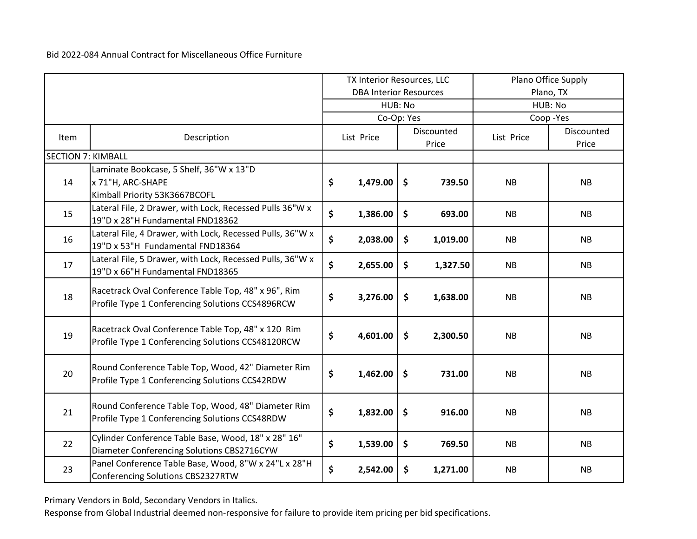|                           |                                                                                                         | TX Interior Resources, LLC |                               | Plano Office Supply |                     |            |                     |  |
|---------------------------|---------------------------------------------------------------------------------------------------------|----------------------------|-------------------------------|---------------------|---------------------|------------|---------------------|--|
|                           |                                                                                                         |                            | <b>DBA Interior Resources</b> |                     |                     | Plano, TX  |                     |  |
|                           |                                                                                                         |                            | HUB: No                       |                     |                     | HUB: No    |                     |  |
|                           |                                                                                                         |                            | Co-Op: Yes                    |                     |                     |            | Coop-Yes            |  |
| Item                      | Description                                                                                             |                            | List Price                    |                     | Discounted<br>Price | List Price | Discounted<br>Price |  |
| <b>SECTION 7: KIMBALL</b> |                                                                                                         |                            |                               |                     |                     |            |                     |  |
|                           | Laminate Bookcase, 5 Shelf, 36"W x 13"D                                                                 |                            |                               |                     |                     |            |                     |  |
| 14                        | x 71"H, ARC-SHAPE                                                                                       | \$                         | 1,479.00                      | \$                  | 739.50              | <b>NB</b>  | <b>NB</b>           |  |
|                           | Kimball Priority 53K3667BCOFL                                                                           |                            |                               |                     |                     |            |                     |  |
| 15                        | Lateral File, 2 Drawer, with Lock, Recessed Pulls 36"W x<br>19"D x 28"H Fundamental FND18362            | \$                         | 1,386.00                      | \$                  | 693.00              | <b>NB</b>  | NB                  |  |
| 16                        | Lateral File, 4 Drawer, with Lock, Recessed Pulls, 36"W x<br>19"D x 53"H Fundamental FND18364           | \$                         | 2,038.00                      | \$                  | 1,019.00            | <b>NB</b>  | NB                  |  |
| 17                        | Lateral File, 5 Drawer, with Lock, Recessed Pulls, 36"W x<br>19"D x 66"H Fundamental FND18365           | \$                         | 2,655.00                      | \$                  | 1,327.50            | <b>NB</b>  | <b>NB</b>           |  |
| 18                        | Racetrack Oval Conference Table Top, 48" x 96", Rim<br>Profile Type 1 Conferencing Solutions CCS4896RCW | \$                         | 3,276.00                      | \$                  | 1,638.00            | <b>NB</b>  | <b>NB</b>           |  |
| 19                        | Racetrack Oval Conference Table Top, 48" x 120 Rim<br>Profile Type 1 Conferencing Solutions CCS48120RCW | \$                         | 4,601.00                      | $\ddot{\bm{\zeta}}$ | 2,300.50            | <b>NB</b>  | <b>NB</b>           |  |
| 20                        | Round Conference Table Top, Wood, 42" Diameter Rim<br>Profile Type 1 Conferencing Solutions CCS42RDW    | \$                         | 1,462.00                      | $\ddot{\bm{\zeta}}$ | 731.00              | <b>NB</b>  | NB                  |  |
| 21                        | Round Conference Table Top, Wood, 48" Diameter Rim<br>Profile Type 1 Conferencing Solutions CCS48RDW    | \$                         | 1,832.00                      | \$                  | 916.00              | <b>NB</b>  | <b>NB</b>           |  |
| 22                        | Cylinder Conference Table Base, Wood, 18" x 28" 16"<br>Diameter Conferencing Solutions CBS2716CYW       | \$                         | 1,539.00                      | \$                  | 769.50              | <b>NB</b>  | NB                  |  |
| 23                        | Panel Conference Table Base, Wood, 8"W x 24"L x 28"H<br>Conferencing Solutions CBS2327RTW               | \$                         | 2,542.00                      | $\mathsf{S}$        | 1,271.00            | <b>NB</b>  | <b>NB</b>           |  |

Primary Vendors in Bold, Secondary Vendors in Italics.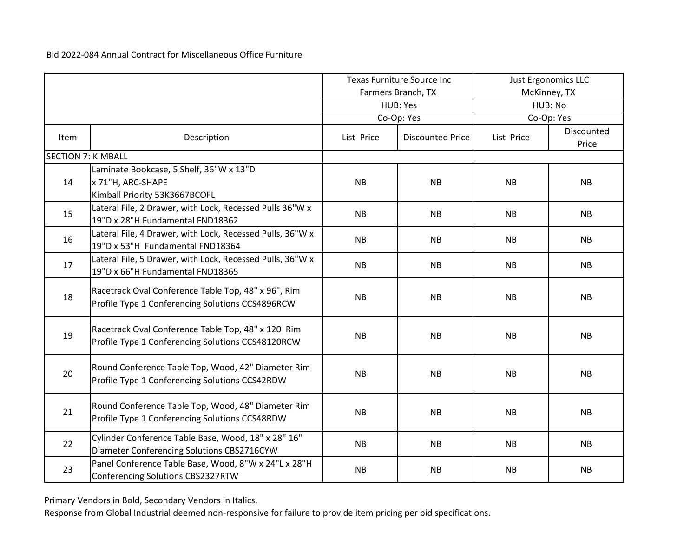|                           |                                                                                                         |            | <b>Texas Furniture Source Inc</b> | <b>Just Ergonomics LLC</b> |                     |  |
|---------------------------|---------------------------------------------------------------------------------------------------------|------------|-----------------------------------|----------------------------|---------------------|--|
|                           |                                                                                                         |            | Farmers Branch, TX                |                            | McKinney, TX        |  |
|                           |                                                                                                         |            | HUB: Yes                          |                            | HUB: No             |  |
|                           |                                                                                                         |            | Co-Op: Yes                        |                            | Co-Op: Yes          |  |
| Item                      | Description                                                                                             | List Price | <b>Discounted Price</b>           | List Price                 | Discounted<br>Price |  |
| <b>SECTION 7: KIMBALL</b> |                                                                                                         |            |                                   |                            |                     |  |
|                           | Laminate Bookcase, 5 Shelf, 36"W x 13"D                                                                 |            |                                   |                            |                     |  |
| 14                        | x 71"H, ARC-SHAPE                                                                                       | <b>NB</b>  | <b>NB</b>                         | <b>NB</b>                  | <b>NB</b>           |  |
|                           | Kimball Priority 53K3667BCOFL                                                                           |            |                                   |                            |                     |  |
| 15                        | Lateral File, 2 Drawer, with Lock, Recessed Pulls 36"W x<br>19"D x 28"H Fundamental FND18362            | <b>NB</b>  | <b>NB</b>                         | <b>NB</b>                  | <b>NB</b>           |  |
| 16                        | Lateral File, 4 Drawer, with Lock, Recessed Pulls, 36"W x<br>19"D x 53"H Fundamental FND18364           | <b>NB</b>  | <b>NB</b>                         | <b>NB</b>                  | NB                  |  |
| 17                        | Lateral File, 5 Drawer, with Lock, Recessed Pulls, 36"W x<br>19"D x 66"H Fundamental FND18365           | <b>NB</b>  | <b>NB</b>                         | <b>NB</b>                  | <b>NB</b>           |  |
| 18                        | Racetrack Oval Conference Table Top, 48" x 96", Rim<br>Profile Type 1 Conferencing Solutions CCS4896RCW | <b>NB</b>  | <b>NB</b>                         | <b>NB</b>                  | <b>NB</b>           |  |
| 19                        | Racetrack Oval Conference Table Top, 48" x 120 Rim<br>Profile Type 1 Conferencing Solutions CCS48120RCW | <b>NB</b>  | <b>NB</b>                         | <b>NB</b>                  | <b>NB</b>           |  |
| 20                        | Round Conference Table Top, Wood, 42" Diameter Rim<br>Profile Type 1 Conferencing Solutions CCS42RDW    | <b>NB</b>  | <b>NB</b>                         | <b>NB</b>                  | NB                  |  |
| 21                        | Round Conference Table Top, Wood, 48" Diameter Rim<br>Profile Type 1 Conferencing Solutions CCS48RDW    | <b>NB</b>  | <b>NB</b>                         | <b>NB</b>                  | <b>NB</b>           |  |
| 22                        | Cylinder Conference Table Base, Wood, 18" x 28" 16"<br>Diameter Conferencing Solutions CBS2716CYW       | <b>NB</b>  | <b>NB</b>                         | <b>NB</b>                  | NB                  |  |
| 23                        | Panel Conference Table Base, Wood, 8"W x 24"L x 28"H<br>Conferencing Solutions CBS2327RTW               | <b>NB</b>  | <b>NB</b>                         | <b>NB</b>                  | <b>NB</b>           |  |

Primary Vendors in Bold, Secondary Vendors in Italics.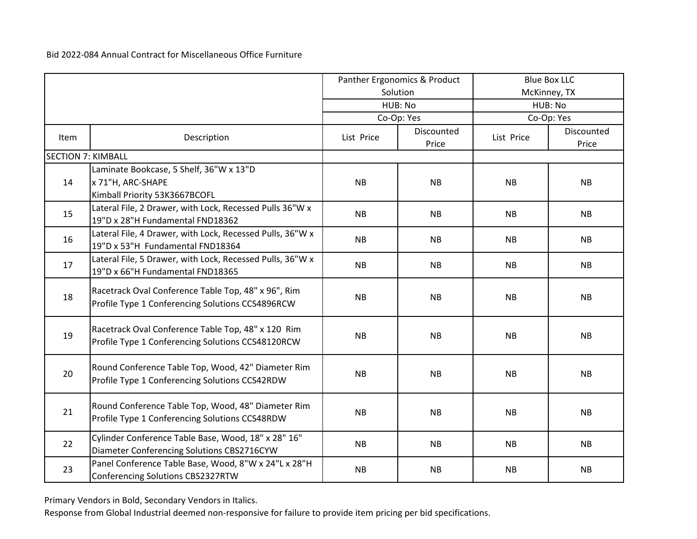|                           |                                                                                                         | Panther Ergonomics & Product |                     |            | <b>Blue Box LLC</b> |
|---------------------------|---------------------------------------------------------------------------------------------------------|------------------------------|---------------------|------------|---------------------|
|                           |                                                                                                         |                              | Solution            |            | McKinney, TX        |
|                           |                                                                                                         |                              | HUB: No             |            | HUB: No             |
|                           |                                                                                                         |                              | Co-Op: Yes          |            | Co-Op: Yes          |
| Item                      | Description                                                                                             | List Price                   | Discounted<br>Price | List Price | Discounted<br>Price |
| <b>SECTION 7: KIMBALL</b> |                                                                                                         |                              |                     |            |                     |
|                           | Laminate Bookcase, 5 Shelf, 36"W x 13"D                                                                 |                              |                     |            |                     |
| 14                        | x 71"H, ARC-SHAPE<br>Kimball Priority 53K3667BCOFL                                                      | <b>NB</b>                    | <b>NB</b>           | <b>NB</b>  | <b>NB</b>           |
| 15                        | Lateral File, 2 Drawer, with Lock, Recessed Pulls 36"W x<br>19"D x 28"H Fundamental FND18362            | <b>NB</b>                    | <b>NB</b>           | <b>NB</b>  | NB                  |
| 16                        | Lateral File, 4 Drawer, with Lock, Recessed Pulls, 36"W x<br>19"D x 53"H Fundamental FND18364           | NB                           | <b>NB</b>           | <b>NB</b>  | NB                  |
| 17                        | Lateral File, 5 Drawer, with Lock, Recessed Pulls, 36"W x<br>19"D x 66"H Fundamental FND18365           | <b>NB</b>                    | <b>NB</b>           | <b>NB</b>  | <b>NB</b>           |
| 18                        | Racetrack Oval Conference Table Top, 48" x 96", Rim<br>Profile Type 1 Conferencing Solutions CCS4896RCW | <b>NB</b>                    | <b>NB</b>           | <b>NB</b>  | <b>NB</b>           |
| 19                        | Racetrack Oval Conference Table Top, 48" x 120 Rim<br>Profile Type 1 Conferencing Solutions CCS48120RCW | <b>NB</b>                    | <b>NB</b>           | <b>NB</b>  | <b>NB</b>           |
| 20                        | Round Conference Table Top, Wood, 42" Diameter Rim<br>Profile Type 1 Conferencing Solutions CCS42RDW    | <b>NB</b>                    | <b>NB</b>           | <b>NB</b>  | <b>NB</b>           |
| 21                        | Round Conference Table Top, Wood, 48" Diameter Rim<br>Profile Type 1 Conferencing Solutions CCS48RDW    | <b>NB</b>                    | <b>NB</b>           | <b>NB</b>  | <b>NB</b>           |
| 22                        | Cylinder Conference Table Base, Wood, 18" x 28" 16"<br>Diameter Conferencing Solutions CBS2716CYW       | <b>NB</b>                    | <b>NB</b>           | <b>NB</b>  | NB                  |
| 23                        | Panel Conference Table Base, Wood, 8"W x 24"L x 28"H<br>Conferencing Solutions CBS2327RTW               | <b>NB</b>                    | <b>NB</b>           | <b>NB</b>  | <b>NB</b>           |

Primary Vendors in Bold, Secondary Vendors in Italics.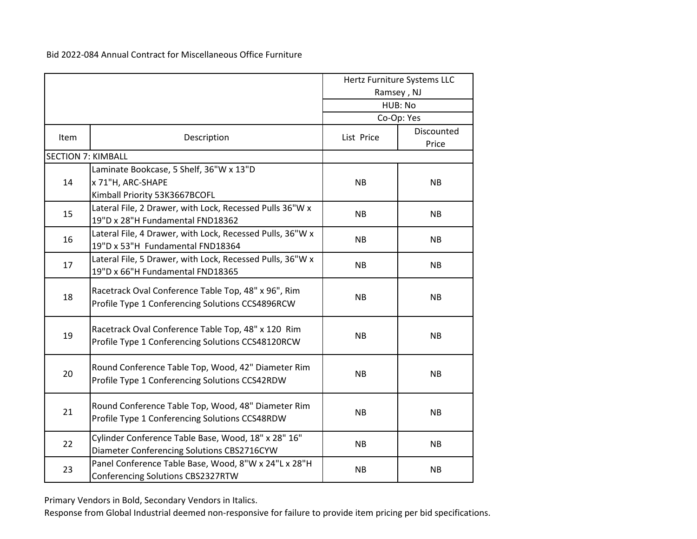|                           |                                                                                                         |            | Hertz Furniture Systems LLC<br>Ramsey, NJ<br>HUB: No<br>Co-Op: Yes |
|---------------------------|---------------------------------------------------------------------------------------------------------|------------|--------------------------------------------------------------------|
| Item                      | Description                                                                                             | List Price | Discounted<br>Price                                                |
| <b>SECTION 7: KIMBALL</b> |                                                                                                         |            |                                                                    |
| 14                        | Laminate Bookcase, 5 Shelf, 36"W x 13"D<br>x 71"H, ARC-SHAPE<br>Kimball Priority 53K3667BCOFL           | <b>NB</b>  | <b>NB</b>                                                          |
| 15                        | Lateral File, 2 Drawer, with Lock, Recessed Pulls 36"W x<br>19"D x 28"H Fundamental FND18362            | <b>NB</b>  | <b>NB</b>                                                          |
| 16                        | Lateral File, 4 Drawer, with Lock, Recessed Pulls, 36"W x<br>19"D x 53"H Fundamental FND18364           | <b>NB</b>  | <b>NB</b>                                                          |
| 17                        | Lateral File, 5 Drawer, with Lock, Recessed Pulls, 36"W x<br>19"D x 66"H Fundamental FND18365           | <b>NB</b>  | <b>NB</b>                                                          |
| 18                        | Racetrack Oval Conference Table Top, 48" x 96", Rim<br>Profile Type 1 Conferencing Solutions CCS4896RCW | <b>NB</b>  | <b>NB</b>                                                          |
| 19                        | Racetrack Oval Conference Table Top, 48" x 120 Rim<br>Profile Type 1 Conferencing Solutions CCS48120RCW | <b>NB</b>  | <b>NB</b>                                                          |
| 20                        | Round Conference Table Top, Wood, 42" Diameter Rim<br>Profile Type 1 Conferencing Solutions CCS42RDW    | <b>NB</b>  | <b>NB</b>                                                          |
| 21                        | Round Conference Table Top, Wood, 48" Diameter Rim<br>Profile Type 1 Conferencing Solutions CCS48RDW    | <b>NB</b>  | <b>NB</b>                                                          |
| 22                        | Cylinder Conference Table Base, Wood, 18" x 28" 16"<br>Diameter Conferencing Solutions CBS2716CYW       | <b>NB</b>  | <b>NB</b>                                                          |
| 23                        | Panel Conference Table Base, Wood, 8"W x 24"L x 28"H<br>Conferencing Solutions CBS2327RTW               | NB         | <b>NB</b>                                                          |

Primary Vendors in Bold, Secondary Vendors in Italics.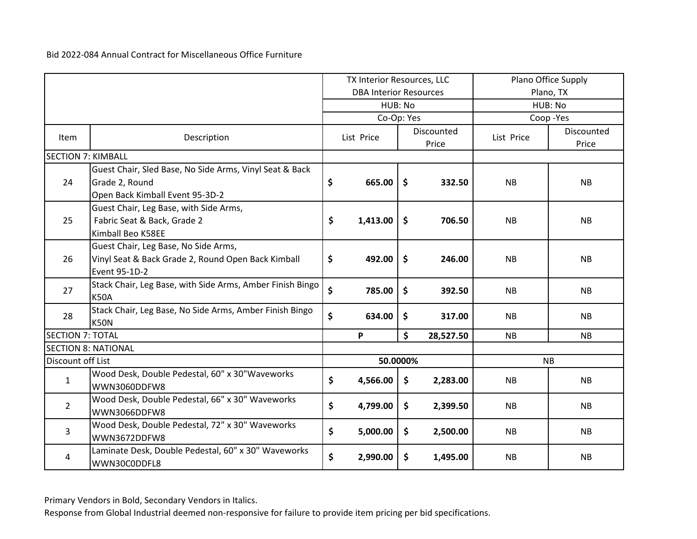|                           |                                                           | TX Interior Resources, LLC    |            | Plano Office Supply |                     |            |                     |
|---------------------------|-----------------------------------------------------------|-------------------------------|------------|---------------------|---------------------|------------|---------------------|
|                           |                                                           | <b>DBA Interior Resources</b> |            | Plano, TX           |                     |            |                     |
|                           |                                                           |                               | HUB: No    |                     | HUB: No             |            |                     |
|                           |                                                           |                               | Co-Op: Yes |                     |                     |            | Coop-Yes            |
| <b>Item</b>               | Description                                               |                               | List Price |                     | Discounted<br>Price | List Price | Discounted<br>Price |
| <b>SECTION 7: KIMBALL</b> |                                                           |                               |            |                     |                     |            |                     |
|                           | Guest Chair, Sled Base, No Side Arms, Vinyl Seat & Back   |                               |            |                     |                     |            |                     |
| 24                        | Grade 2, Round                                            | \$                            | 665.00     | \$                  | 332.50              | <b>NB</b>  | NB                  |
|                           | Open Back Kimball Event 95-3D-2                           |                               |            |                     |                     |            |                     |
|                           | Guest Chair, Leg Base, with Side Arms,                    |                               |            |                     |                     |            |                     |
| 25                        | Fabric Seat & Back, Grade 2                               | \$                            | 1,413.00   | \$                  | 706.50              | <b>NB</b>  | <b>NB</b>           |
|                           | Kimball Beo K58EE                                         |                               |            |                     |                     |            |                     |
|                           | Guest Chair, Leg Base, No Side Arms,                      |                               |            |                     |                     |            |                     |
| 26                        | Vinyl Seat & Back Grade 2, Round Open Back Kimball        | \$                            | 492.00     | $\mathsf{\$}$       | 246.00              | <b>NB</b>  | <b>NB</b>           |
|                           | Event 95-1D-2                                             |                               |            |                     |                     |            |                     |
| 27                        | Stack Chair, Leg Base, with Side Arms, Amber Finish Bingo | \$                            |            |                     |                     |            |                     |
|                           | <b>K50A</b>                                               |                               | 785.00     | $\mathsf{\$}$       | 392.50              | <b>NB</b>  | <b>NB</b>           |
|                           | Stack Chair, Leg Base, No Side Arms, Amber Finish Bingo   | \$                            |            |                     |                     |            |                     |
| 28                        | <b>K50N</b>                                               |                               | 634.00     | $\ddot{\bm{\zeta}}$ | 317.00              | <b>NB</b>  | <b>NB</b>           |
| <b>SECTION 7: TOTAL</b>   |                                                           |                               | P          | \$                  | 28,527.50           | NB         | NB                  |
|                           | <b>SECTION 8: NATIONAL</b>                                |                               |            |                     |                     |            |                     |
| Discount off List         |                                                           |                               | 50.0000%   |                     |                     |            | <b>NB</b>           |
| $\mathbf{1}$              | Wood Desk, Double Pedestal, 60" x 30"Waveworks            | \$                            | 4,566.00   | \$                  | 2,283.00            | <b>NB</b>  | <b>NB</b>           |
|                           | WWN3060DDFW8                                              |                               |            |                     |                     |            |                     |
| $\overline{2}$            | Wood Desk, Double Pedestal, 66" x 30" Waveworks           | \$                            | 4,799.00   | \$                  | 2,399.50            | <b>NB</b>  | <b>NB</b>           |
|                           | WWN3066DDFW8                                              |                               |            |                     |                     |            |                     |
| 3                         | Wood Desk, Double Pedestal, 72" x 30" Waveworks           | \$                            | 5,000.00   | \$                  | 2,500.00            | <b>NB</b>  | <b>NB</b>           |
|                           | WWN3672DDFW8                                              |                               |            |                     |                     |            |                     |
| 4                         | Laminate Desk, Double Pedestal, 60" x 30" Waveworks       | \$                            | 2,990.00   | \$                  | 1,495.00            | <b>NB</b>  | <b>NB</b>           |
|                           | WWN30C0DDFL8                                              |                               |            |                     |                     |            |                     |

Primary Vendors in Bold, Secondary Vendors in Italics.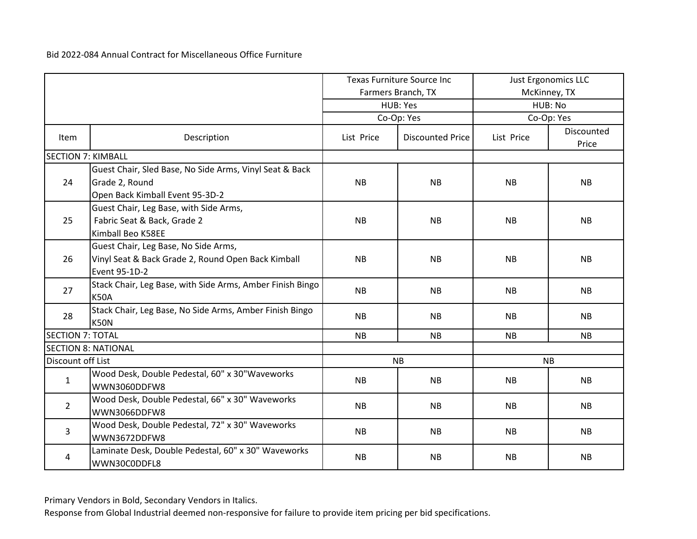|                           |                                                           | <b>Texas Furniture Source Inc</b> |                         |           | <b>Just Ergonomics LLC</b> |  |
|---------------------------|-----------------------------------------------------------|-----------------------------------|-------------------------|-----------|----------------------------|--|
|                           |                                                           |                                   | Farmers Branch, TX      |           | McKinney, TX               |  |
|                           |                                                           |                                   | HUB: Yes                |           | HUB: No                    |  |
|                           |                                                           |                                   | Co-Op: Yes              |           | Co-Op: Yes                 |  |
| Item                      | Description                                               | List Price                        | <b>Discounted Price</b> |           | Discounted<br>Price        |  |
| <b>SECTION 7: KIMBALL</b> |                                                           |                                   |                         |           |                            |  |
|                           | Guest Chair, Sled Base, No Side Arms, Vinyl Seat & Back   |                                   |                         |           |                            |  |
| 24                        | Grade 2, Round                                            | <b>NB</b>                         | <b>NB</b>               | <b>NB</b> | NB                         |  |
|                           | Open Back Kimball Event 95-3D-2                           |                                   |                         |           |                            |  |
|                           | Guest Chair, Leg Base, with Side Arms,                    |                                   |                         |           |                            |  |
| 25                        | Fabric Seat & Back, Grade 2                               | <b>NB</b>                         | <b>NB</b>               | <b>NB</b> | <b>NB</b>                  |  |
|                           | Kimball Beo K58EE                                         |                                   |                         |           |                            |  |
|                           | Guest Chair, Leg Base, No Side Arms,                      |                                   |                         |           |                            |  |
| 26                        | Vinyl Seat & Back Grade 2, Round Open Back Kimball        | <b>NB</b>                         | <b>NB</b>               | <b>NB</b> | <b>NB</b>                  |  |
|                           | Event 95-1D-2                                             |                                   |                         |           |                            |  |
| 27                        | Stack Chair, Leg Base, with Side Arms, Amber Finish Bingo | <b>NB</b>                         | <b>NB</b>               | <b>NB</b> | <b>NB</b>                  |  |
|                           | <b>K50A</b>                                               |                                   |                         |           |                            |  |
| 28                        | Stack Chair, Leg Base, No Side Arms, Amber Finish Bingo   | <b>NB</b>                         | <b>NB</b>               | <b>NB</b> | <b>NB</b>                  |  |
|                           | <b>K50N</b>                                               |                                   |                         |           |                            |  |
| <b>SECTION 7: TOTAL</b>   |                                                           | NB                                | <b>NB</b>               | <b>NB</b> | NB                         |  |
|                           | <b>SECTION 8: NATIONAL</b>                                |                                   |                         |           |                            |  |
| Discount off List         |                                                           |                                   | <b>NB</b>               |           | <b>NB</b>                  |  |
| $\mathbf{1}$              | Wood Desk, Double Pedestal, 60" x 30"Waveworks            | <b>NB</b>                         | <b>NB</b>               | <b>NB</b> | <b>NB</b>                  |  |
|                           | WWN3060DDFW8                                              |                                   |                         |           |                            |  |
| $2^{\circ}$               | Wood Desk, Double Pedestal, 66" x 30" Waveworks           | <b>NB</b>                         | <b>NB</b>               | <b>NB</b> | <b>NB</b>                  |  |
|                           | WWN3066DDFW8                                              |                                   |                         |           |                            |  |
| 3                         | Wood Desk, Double Pedestal, 72" x 30" Waveworks           | <b>NB</b>                         | <b>NB</b>               | <b>NB</b> | <b>NB</b>                  |  |
|                           | WWN3672DDFW8                                              |                                   |                         |           |                            |  |
| 4                         | Laminate Desk, Double Pedestal, 60" x 30" Waveworks       | <b>NB</b>                         | <b>NB</b>               | <b>NB</b> | <b>NB</b>                  |  |
|                           | WWN30C0DDFL8                                              |                                   |                         |           |                            |  |

Primary Vendors in Bold, Secondary Vendors in Italics.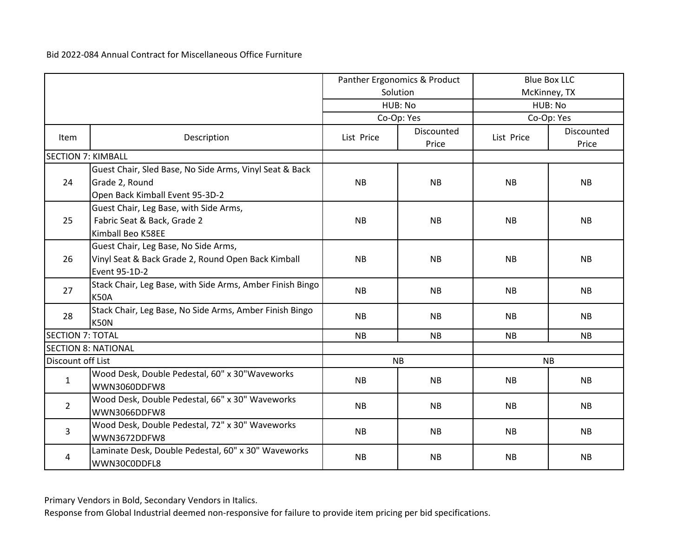|                           |                                                                                                              | Panther Ergonomics & Product |                     |            | <b>Blue Box LLC</b> |  |
|---------------------------|--------------------------------------------------------------------------------------------------------------|------------------------------|---------------------|------------|---------------------|--|
|                           |                                                                                                              |                              | Solution            |            | McKinney, TX        |  |
|                           |                                                                                                              |                              | HUB: No             |            | HUB: No             |  |
|                           |                                                                                                              |                              | Co-Op: Yes          |            | Co-Op: Yes          |  |
| Item                      | Description                                                                                                  | List Price                   | Discounted<br>Price | List Price | Discounted<br>Price |  |
| <b>SECTION 7: KIMBALL</b> |                                                                                                              |                              |                     |            |                     |  |
| 24                        | Guest Chair, Sled Base, No Side Arms, Vinyl Seat & Back<br>Grade 2, Round<br>Open Back Kimball Event 95-3D-2 | <b>NB</b>                    | <b>NB</b>           | <b>NB</b>  | <b>NB</b>           |  |
| 25                        | Guest Chair, Leg Base, with Side Arms,<br>Fabric Seat & Back, Grade 2<br>Kimball Beo K58EE                   | <b>NB</b>                    | <b>NB</b>           | <b>NB</b>  | <b>NB</b>           |  |
| 26                        | Guest Chair, Leg Base, No Side Arms,<br>Vinyl Seat & Back Grade 2, Round Open Back Kimball<br>Event 95-1D-2  | <b>NB</b>                    | <b>NB</b>           | <b>NB</b>  | <b>NB</b>           |  |
| 27                        | Stack Chair, Leg Base, with Side Arms, Amber Finish Bingo<br><b>K50A</b>                                     | <b>NB</b>                    | <b>NB</b>           | <b>NB</b>  | <b>NB</b>           |  |
| 28                        | Stack Chair, Leg Base, No Side Arms, Amber Finish Bingo<br>K50N                                              | <b>NB</b>                    | <b>NB</b>           | <b>NB</b>  | <b>NB</b>           |  |
| <b>SECTION 7: TOTAL</b>   |                                                                                                              | <b>NB</b>                    | <b>NB</b>           | <b>NB</b>  | <b>NB</b>           |  |
|                           | <b>SECTION 8: NATIONAL</b>                                                                                   |                              |                     |            |                     |  |
| Discount off List         |                                                                                                              |                              | <b>NB</b>           |            | <b>NB</b>           |  |
| $\mathbf{1}$              | Wood Desk, Double Pedestal, 60" x 30"Waveworks<br>WWN3060DDFW8                                               | <b>NB</b>                    | <b>NB</b>           | <b>NB</b>  | <b>NB</b>           |  |
| $2^{\circ}$               | Wood Desk, Double Pedestal, 66" x 30" Waveworks<br>WWN3066DDFW8                                              | <b>NB</b>                    | <b>NB</b>           | <b>NB</b>  | <b>NB</b>           |  |
| 3                         | Wood Desk, Double Pedestal, 72" x 30" Waveworks<br>WWN3672DDFW8                                              | <b>NB</b>                    | <b>NB</b>           | <b>NB</b>  | <b>NB</b>           |  |
| 4                         | Laminate Desk, Double Pedestal, 60" x 30" Waveworks<br>WWN30C0DDFL8                                          | <b>NB</b>                    | <b>NB</b>           | <b>NB</b>  | <b>NB</b>           |  |

Primary Vendors in Bold, Secondary Vendors in Italics.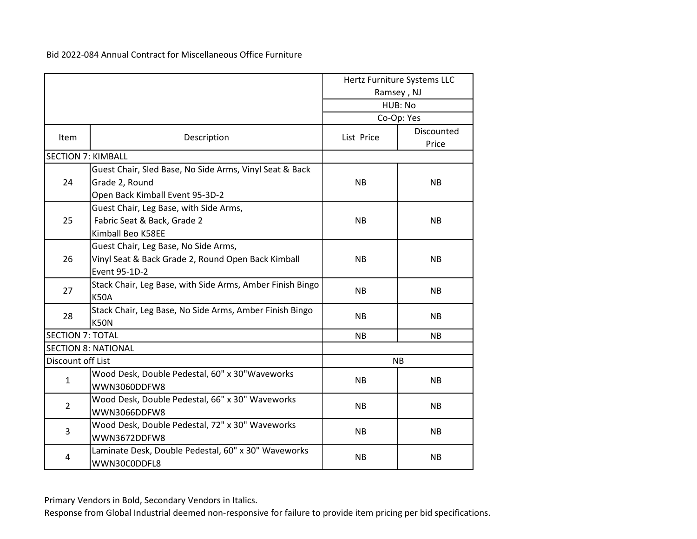|                           |                                                           |            | Hertz Furniture Systems LLC |  |
|---------------------------|-----------------------------------------------------------|------------|-----------------------------|--|
|                           |                                                           | Ramsey, NJ |                             |  |
|                           |                                                           |            | HUB: No                     |  |
|                           |                                                           |            | Co-Op: Yes                  |  |
| <b>Item</b>               | Description                                               | List Price | Discounted<br>Price         |  |
| <b>SECTION 7: KIMBALL</b> |                                                           |            |                             |  |
|                           | Guest Chair, Sled Base, No Side Arms, Vinyl Seat & Back   |            |                             |  |
| 24                        | Grade 2, Round                                            | <b>NB</b>  | <b>NB</b>                   |  |
|                           | Open Back Kimball Event 95-3D-2                           |            |                             |  |
|                           | Guest Chair, Leg Base, with Side Arms,                    |            |                             |  |
| 25                        | Fabric Seat & Back, Grade 2                               | <b>NB</b>  | <b>NB</b>                   |  |
|                           | Kimball Beo K58EE                                         |            |                             |  |
|                           | Guest Chair, Leg Base, No Side Arms,                      |            |                             |  |
| 26                        | Vinyl Seat & Back Grade 2, Round Open Back Kimball        | <b>NB</b>  | <b>NB</b>                   |  |
|                           | Event 95-1D-2                                             |            |                             |  |
|                           | Stack Chair, Leg Base, with Side Arms, Amber Finish Bingo |            |                             |  |
| 27                        | <b>K50A</b>                                               | <b>NB</b>  | <b>NB</b>                   |  |
|                           | Stack Chair, Leg Base, No Side Arms, Amber Finish Bingo   |            |                             |  |
| 28                        | <b>K50N</b>                                               | <b>NB</b>  | <b>NB</b>                   |  |
| <b>SECTION 7: TOTAL</b>   |                                                           | <b>NB</b>  | <b>NB</b>                   |  |
|                           | <b>SECTION 8: NATIONAL</b>                                |            |                             |  |
| Discount off List         |                                                           |            | <b>NB</b>                   |  |
| $\mathbf{1}$              | Wood Desk, Double Pedestal, 60" x 30"Waveworks            | <b>NB</b>  | <b>NB</b>                   |  |
|                           | WWN3060DDFW8                                              |            |                             |  |
| $\overline{2}$            | Wood Desk, Double Pedestal, 66" x 30" Waveworks           | <b>NB</b>  | <b>NB</b>                   |  |
|                           | WWN3066DDFW8                                              |            |                             |  |
|                           | Wood Desk, Double Pedestal, 72" x 30" Waveworks           | <b>NB</b>  | <b>NB</b>                   |  |
| 3                         | WWN3672DDFW8                                              |            |                             |  |
| 4                         | Laminate Desk, Double Pedestal, 60" x 30" Waveworks       | <b>NB</b>  |                             |  |
|                           | WWN30C0DDFL8                                              |            | <b>NB</b>                   |  |

Primary Vendors in Bold, Secondary Vendors in Italics.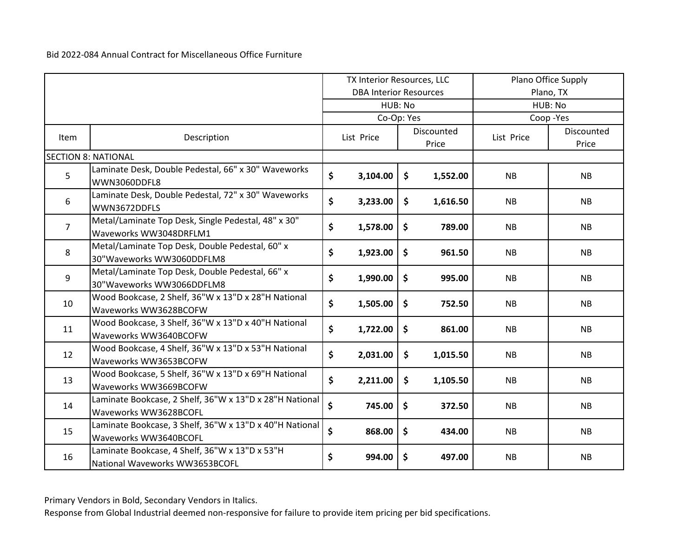|                |                                                                                  | TX Interior Resources, LLC |                               |                     | Plano Office Supply |            |                     |
|----------------|----------------------------------------------------------------------------------|----------------------------|-------------------------------|---------------------|---------------------|------------|---------------------|
|                |                                                                                  |                            | <b>DBA Interior Resources</b> |                     |                     |            | Plano, TX           |
|                |                                                                                  |                            | HUB: No                       |                     |                     | HUB: No    |                     |
|                |                                                                                  |                            | Co-Op: Yes                    |                     |                     |            | Coop-Yes            |
| Item           | Description                                                                      |                            | List Price                    |                     | Discounted<br>Price | List Price | Discounted<br>Price |
|                | <b>SECTION 8: NATIONAL</b>                                                       |                            |                               |                     |                     |            |                     |
| 5              | Laminate Desk, Double Pedestal, 66" x 30" Waveworks<br>WWN3060DDFL8              | \$                         | 3,104.00                      | \$                  | 1,552.00            | <b>NB</b>  | NB                  |
| 6              | Laminate Desk, Double Pedestal, 72" x 30" Waveworks<br>WWN3672DDFLS              | \$                         | 3,233.00                      | \$                  | 1,616.50            | <b>NB</b>  | <b>NB</b>           |
| $\overline{7}$ | Metal/Laminate Top Desk, Single Pedestal, 48" x 30"<br>Waveworks WW3048DRFLM1    | \$                         | 1,578.00                      | \$                  | 789.00              | <b>NB</b>  | <b>NB</b>           |
| 8              | Metal/Laminate Top Desk, Double Pedestal, 60" x<br>30"Waveworks WW3060DDFLM8     | \$                         | 1,923.00                      | $\ddot{\bm{\zeta}}$ | 961.50              | <b>NB</b>  | <b>NB</b>           |
| 9              | Metal/Laminate Top Desk, Double Pedestal, 66" x<br>30"Waveworks WW3066DDFLM8     | \$                         | 1,990.00                      | $\ddot{\bm{\zeta}}$ | 995.00              | <b>NB</b>  | <b>NB</b>           |
| 10             | Wood Bookcase, 2 Shelf, 36"W x 13"D x 28"H National<br>Waveworks WW3628BCOFW     | \$                         | 1,505.00                      | \$                  | 752.50              | <b>NB</b>  | NB                  |
| 11             | Wood Bookcase, 3 Shelf, 36"W x 13"D x 40"H National<br>Waveworks WW3640BCOFW     | \$                         | 1,722.00                      | \$                  | 861.00              | <b>NB</b>  | <b>NB</b>           |
| 12             | Wood Bookcase, 4 Shelf, 36"W x 13"D x 53"H National<br>Waveworks WW3653BCOFW     | \$                         | 2,031.00                      | \$                  | 1,015.50            | <b>NB</b>  | NB                  |
| 13             | Wood Bookcase, 5 Shelf, 36"W x 13"D x 69"H National<br>Waveworks WW3669BCOFW     | \$                         | 2,211.00                      | \$                  | 1,105.50            | <b>NB</b>  | <b>NB</b>           |
| 14             | Laminate Bookcase, 2 Shelf, 36"W x 13"D x 28"H National<br>Waveworks WW3628BCOFL | \$                         | 745.00                        | $\zeta$             | 372.50              | <b>NB</b>  | <b>NB</b>           |
| 15             | Laminate Bookcase, 3 Shelf, 36"W x 13"D x 40"H National<br>Waveworks WW3640BCOFL | \$                         | 868.00                        | \$                  | 434.00              | <b>NB</b>  | <b>NB</b>           |
| 16             | Laminate Bookcase, 4 Shelf, 36"W x 13"D x 53"H<br>National Waveworks WW3653BCOFL | \$                         | 994.00                        | $\frac{1}{2}$       | 497.00              | <b>NB</b>  | <b>NB</b>           |

Primary Vendors in Bold, Secondary Vendors in Italics.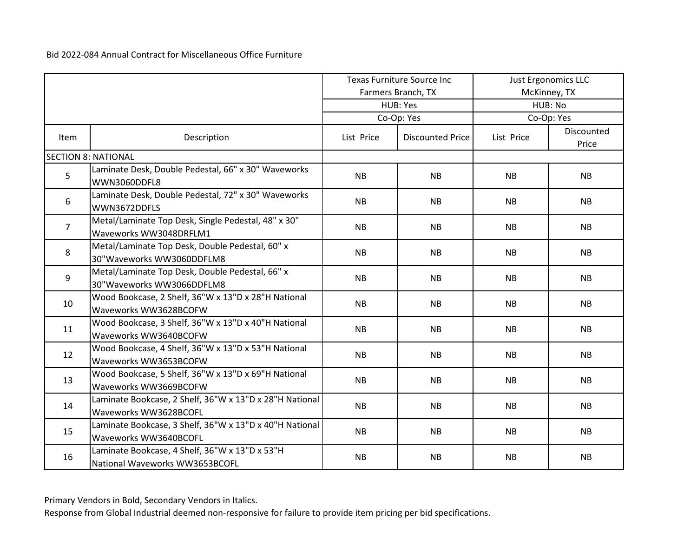|                |                                                                                  | <b>Texas Furniture Source Inc</b> |                         |           | Just Ergonomics LLC |  |
|----------------|----------------------------------------------------------------------------------|-----------------------------------|-------------------------|-----------|---------------------|--|
|                |                                                                                  |                                   | Farmers Branch, TX      |           | McKinney, TX        |  |
|                |                                                                                  |                                   | HUB: Yes                |           | HUB: No             |  |
|                |                                                                                  |                                   | Co-Op: Yes              |           | Co-Op: Yes          |  |
| Item           | Description                                                                      | List Price                        | <b>Discounted Price</b> |           | Discounted<br>Price |  |
|                | <b>SECTION 8: NATIONAL</b>                                                       |                                   |                         |           |                     |  |
| 5              | Laminate Desk, Double Pedestal, 66" x 30" Waveworks<br>WWN3060DDFL8              | <b>NB</b>                         | <b>NB</b>               | <b>NB</b> | <b>NB</b>           |  |
| 6              | Laminate Desk, Double Pedestal, 72" x 30" Waveworks<br>WWN3672DDFLS              | NB                                | NB                      | NB        | NB                  |  |
| $\overline{7}$ | Metal/Laminate Top Desk, Single Pedestal, 48" x 30"<br>Waveworks WW3048DRFLM1    | <b>NB</b>                         | <b>NB</b>               | <b>NB</b> | <b>NB</b>           |  |
| 8              | Metal/Laminate Top Desk, Double Pedestal, 60" x<br>30"Waveworks WW3060DDFLM8     | <b>NB</b>                         | <b>NB</b>               | <b>NB</b> | <b>NB</b>           |  |
| 9              | Metal/Laminate Top Desk, Double Pedestal, 66" x<br>30"Waveworks WW3066DDFLM8     | <b>NB</b>                         | <b>NB</b>               | <b>NB</b> | <b>NB</b>           |  |
| 10             | Wood Bookcase, 2 Shelf, 36"W x 13"D x 28"H National<br>Waveworks WW3628BCOFW     | <b>NB</b>                         | <b>NB</b>               | <b>NB</b> | <b>NB</b>           |  |
| 11             | Wood Bookcase, 3 Shelf, 36"W x 13"D x 40"H National<br>Waveworks WW3640BCOFW     | <b>NB</b>                         | <b>NB</b>               | <b>NB</b> | <b>NB</b>           |  |
| 12             | Wood Bookcase, 4 Shelf, 36"W x 13"D x 53"H National<br>Waveworks WW3653BCOFW     | <b>NB</b>                         | <b>NB</b>               | <b>NB</b> | <b>NB</b>           |  |
| 13             | Wood Bookcase, 5 Shelf, 36"W x 13"D x 69"H National<br>Waveworks WW3669BCOFW     | <b>NB</b>                         | <b>NB</b>               | <b>NB</b> | <b>NB</b>           |  |
| 14             | Laminate Bookcase, 2 Shelf, 36"W x 13"D x 28"H National<br>Waveworks WW3628BCOFL | <b>NB</b>                         | <b>NB</b>               | <b>NB</b> | <b>NB</b>           |  |
| 15             | Laminate Bookcase, 3 Shelf, 36"W x 13"D x 40"H National<br>Waveworks WW3640BCOFL | <b>NB</b>                         | <b>NB</b>               | <b>NB</b> | <b>NB</b>           |  |
| 16             | Laminate Bookcase, 4 Shelf, 36"W x 13"D x 53"H<br>National Waveworks WW3653BCOFL | <b>NB</b>                         | <b>NB</b>               | <b>NB</b> | <b>NB</b>           |  |

Primary Vendors in Bold, Secondary Vendors in Italics.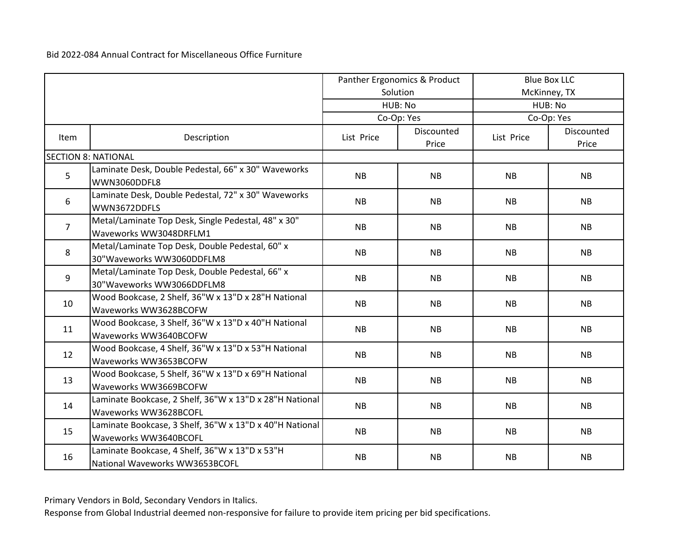|                |                                                                                  | Panther Ergonomics & Product |                     |            | <b>Blue Box LLC</b> |  |
|----------------|----------------------------------------------------------------------------------|------------------------------|---------------------|------------|---------------------|--|
|                |                                                                                  |                              | Solution            |            | McKinney, TX        |  |
|                |                                                                                  |                              | HUB: No             | HUB: No    |                     |  |
|                |                                                                                  |                              | Co-Op: Yes          |            | Co-Op: Yes          |  |
| Item           | Description                                                                      | List Price                   | Discounted<br>Price | List Price | Discounted<br>Price |  |
|                | <b>SECTION 8: NATIONAL</b>                                                       |                              |                     |            |                     |  |
| 5              | Laminate Desk, Double Pedestal, 66" x 30" Waveworks<br>WWN3060DDFL8              | <b>NB</b>                    | <b>NB</b>           | <b>NB</b>  | <b>NB</b>           |  |
| 6              | Laminate Desk, Double Pedestal, 72" x 30" Waveworks<br>WWN3672DDFLS              | <b>NB</b>                    | <b>NB</b>           | <b>NB</b>  | <b>NB</b>           |  |
| $\overline{7}$ | Metal/Laminate Top Desk, Single Pedestal, 48" x 30"<br>Waveworks WW3048DRFLM1    | <b>NB</b>                    | <b>NB</b>           | <b>NB</b>  | NB                  |  |
| 8              | Metal/Laminate Top Desk, Double Pedestal, 60" x<br>30"Waveworks WW3060DDFLM8     | <b>NB</b>                    | <b>NB</b>           | <b>NB</b>  | <b>NB</b>           |  |
| 9              | Metal/Laminate Top Desk, Double Pedestal, 66" x<br>30"Waveworks WW3066DDFLM8     | <b>NB</b>                    | <b>NB</b>           | <b>NB</b>  | <b>NB</b>           |  |
| 10             | Wood Bookcase, 2 Shelf, 36"W x 13"D x 28"H National<br>Waveworks WW3628BCOFW     | <b>NB</b>                    | <b>NB</b>           | <b>NB</b>  | <b>NB</b>           |  |
| 11             | Wood Bookcase, 3 Shelf, 36"W x 13"D x 40"H National<br>Waveworks WW3640BCOFW     | <b>NB</b>                    | <b>NB</b>           | <b>NB</b>  | <b>NB</b>           |  |
| 12             | Wood Bookcase, 4 Shelf, 36"W x 13"D x 53"H National<br>Waveworks WW3653BCOFW     | <b>NB</b>                    | <b>NB</b>           | <b>NB</b>  | <b>NB</b>           |  |
| 13             | Wood Bookcase, 5 Shelf, 36"W x 13"D x 69"H National<br>Waveworks WW3669BCOFW     | <b>NB</b>                    | <b>NB</b>           | <b>NB</b>  | <b>NB</b>           |  |
| 14             | Laminate Bookcase, 2 Shelf, 36"W x 13"D x 28"H National<br>Waveworks WW3628BCOFL | <b>NB</b>                    | <b>NB</b>           | <b>NB</b>  | <b>NB</b>           |  |
| 15             | Laminate Bookcase, 3 Shelf, 36"W x 13"D x 40"H National<br>Waveworks WW3640BCOFL | <b>NB</b>                    | <b>NB</b>           | <b>NB</b>  | <b>NB</b>           |  |
| 16             | Laminate Bookcase, 4 Shelf, 36"W x 13"D x 53"H<br>National Waveworks WW3653BCOFL | <b>NB</b>                    | <b>NB</b>           | <b>NB</b>  | <b>NB</b>           |  |

Primary Vendors in Bold, Secondary Vendors in Italics.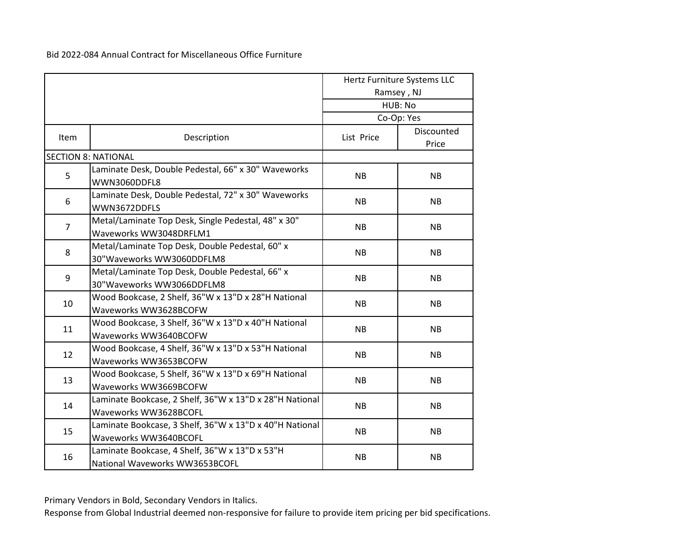|                |                                                                                  |            | Hertz Furniture Systems LLC<br>Ramsey, NJ<br>HUB: No |
|----------------|----------------------------------------------------------------------------------|------------|------------------------------------------------------|
|                |                                                                                  |            | Co-Op: Yes                                           |
| Item           | Description                                                                      | List Price | Discounted<br>Price                                  |
|                | <b>SECTION 8: NATIONAL</b>                                                       |            |                                                      |
| 5              | Laminate Desk, Double Pedestal, 66" x 30" Waveworks<br>WWN3060DDFL8              | <b>NB</b>  | <b>NB</b>                                            |
| 6              | Laminate Desk, Double Pedestal, 72" x 30" Waveworks<br>WWN3672DDFLS              | <b>NB</b>  | <b>NB</b>                                            |
| $\overline{7}$ | Metal/Laminate Top Desk, Single Pedestal, 48" x 30"<br>Waveworks WW3048DRFLM1    | <b>NB</b>  | <b>NB</b>                                            |
| 8              | Metal/Laminate Top Desk, Double Pedestal, 60" x<br>30"Waveworks WW3060DDFLM8     | <b>NB</b>  | <b>NB</b>                                            |
| 9              | Metal/Laminate Top Desk, Double Pedestal, 66" x<br>30"Waveworks WW3066DDFLM8     | <b>NB</b>  | <b>NB</b>                                            |
| 10             | Wood Bookcase, 2 Shelf, 36"W x 13"D x 28"H National<br>Waveworks WW3628BCOFW     | <b>NB</b>  | <b>NB</b>                                            |
| 11             | Wood Bookcase, 3 Shelf, 36"W x 13"D x 40"H National<br>Waveworks WW3640BCOFW     | <b>NB</b>  | <b>NB</b>                                            |
| 12             | Wood Bookcase, 4 Shelf, 36"W x 13"D x 53"H National<br>Waveworks WW3653BCOFW     | <b>NB</b>  | <b>NB</b>                                            |
| 13             | Wood Bookcase, 5 Shelf, 36"W x 13"D x 69"H National<br>Waveworks WW3669BCOFW     | <b>NB</b>  | <b>NB</b>                                            |
| 14             | Laminate Bookcase, 2 Shelf, 36"W x 13"D x 28"H National<br>Waveworks WW3628BCOFL | <b>NB</b>  | <b>NB</b>                                            |
| 15             | Laminate Bookcase, 3 Shelf, 36"W x 13"D x 40"H National<br>Waveworks WW3640BCOFL | <b>NB</b>  | <b>NB</b>                                            |
| 16             | Laminate Bookcase, 4 Shelf, 36"W x 13"D x 53"H<br>National Waveworks WW3653BCOFL | <b>NB</b>  | <b>NB</b>                                            |

Primary Vendors in Bold, Secondary Vendors in Italics.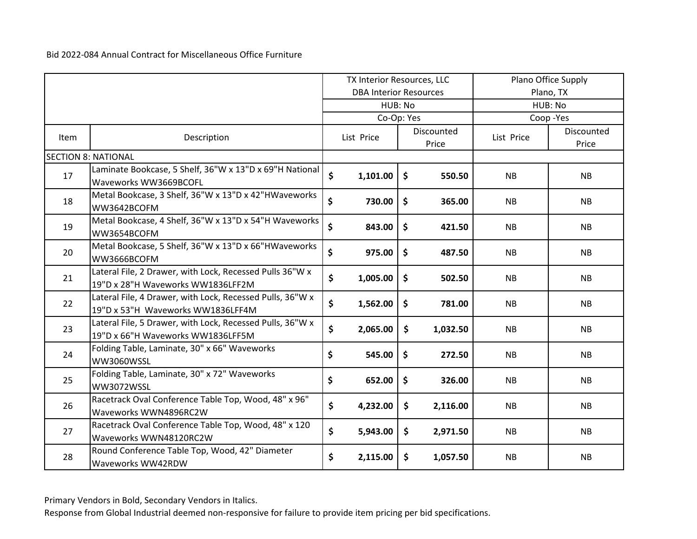|      |                                                                                                | TX Interior Resources, LLC |                               | Plano Office Supply |                     |            |                     |
|------|------------------------------------------------------------------------------------------------|----------------------------|-------------------------------|---------------------|---------------------|------------|---------------------|
|      |                                                                                                |                            | <b>DBA Interior Resources</b> |                     |                     | Plano, TX  |                     |
|      |                                                                                                |                            | HUB: No                       |                     |                     | HUB: No    |                     |
|      |                                                                                                |                            | Co-Op: Yes                    |                     |                     |            | Coop-Yes            |
| Item | Description                                                                                    |                            | List Price                    |                     | Discounted<br>Price | List Price | Discounted<br>Price |
|      | <b>SECTION 8: NATIONAL</b>                                                                     |                            |                               |                     |                     |            |                     |
| 17   | Laminate Bookcase, 5 Shelf, 36"W x 13"D x 69"H National<br>Waveworks WW3669BCOFL               | \$                         | 1,101.00                      | $\ddot{\bm{\zeta}}$ | 550.50              | <b>NB</b>  | <b>NB</b>           |
| 18   | Metal Bookcase, 3 Shelf, 36"W x 13"D x 42"HWaveworks<br>WW3642BCOFM                            | \$                         | 730.00                        | $\mathsf{\$}$       | 365.00              | <b>NB</b>  | <b>NB</b>           |
| 19   | Metal Bookcase, 4 Shelf, 36"W x 13"D x 54"H Waveworks<br>WW3654BCOFM                           | \$                         | 843.00                        | \$                  | 421.50              | <b>NB</b>  | <b>NB</b>           |
| 20   | Metal Bookcase, 5 Shelf, 36"W x 13"D x 66"HWaveworks<br>WW3666BCOFM                            | \$                         | 975.00                        | $\zeta$             | 487.50              | NB         | NB                  |
| 21   | Lateral File, 2 Drawer, with Lock, Recessed Pulls 36"W x<br>19"D x 28"H Waveworks WW1836LFF2M  | \$                         | 1,005.00                      | $\mathsf{S}$        | 502.50              | <b>NB</b>  | <b>NB</b>           |
| 22   | Lateral File, 4 Drawer, with Lock, Recessed Pulls, 36"W x<br>19"D x 53"H Waveworks WW1836LFF4M | \$                         | 1,562.00                      | \$                  | 781.00              | <b>NB</b>  | NB                  |
| 23   | Lateral File, 5 Drawer, with Lock, Recessed Pulls, 36"W x<br>19"D x 66"H Waveworks WW1836LFF5M | \$                         | 2,065.00                      | \$                  | 1,032.50            | <b>NB</b>  | <b>NB</b>           |
| 24   | Folding Table, Laminate, 30" x 66" Waveworks<br>WW3060WSSL                                     | \$                         | 545.00                        | \$                  | 272.50              | <b>NB</b>  | <b>NB</b>           |
| 25   | Folding Table, Laminate, 30" x 72" Waveworks<br>WW3072WSSL                                     | \$                         | 652.00                        | $\zeta$             | 326.00              | <b>NB</b>  | <b>NB</b>           |
| 26   | Racetrack Oval Conference Table Top, Wood, 48" x 96"<br>Waveworks WWN4896RC2W                  | \$                         | 4,232.00                      | $\mathsf{\$}$       | 2,116.00            | <b>NB</b>  | <b>NB</b>           |
| 27   | Racetrack Oval Conference Table Top, Wood, 48" x 120<br>Waveworks WWN48120RC2W                 | \$                         | 5,943.00                      | \$                  | 2,971.50            | NB         | <b>NB</b>           |
| 28   | Round Conference Table Top, Wood, 42" Diameter<br>Waveworks WW42RDW                            | \$                         | 2,115.00                      | \$                  | 1,057.50            | <b>NB</b>  | <b>NB</b>           |

Primary Vendors in Bold, Secondary Vendors in Italics.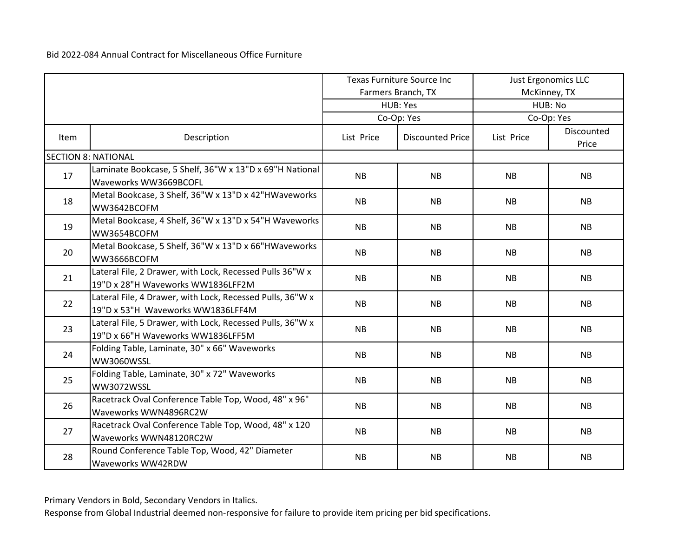|      |                                                                                                | <b>Texas Furniture Source Inc</b> |                         |           | <b>Just Ergonomics LLC</b> |
|------|------------------------------------------------------------------------------------------------|-----------------------------------|-------------------------|-----------|----------------------------|
|      |                                                                                                |                                   | Farmers Branch, TX      |           | McKinney, TX               |
|      |                                                                                                |                                   | HUB: Yes                |           | HUB: No                    |
|      |                                                                                                |                                   | Co-Op: Yes              |           | Co-Op: Yes                 |
| Item | Description                                                                                    | List Price                        | <b>Discounted Price</b> |           | Discounted<br>Price        |
|      | <b>SECTION 8: NATIONAL</b>                                                                     |                                   |                         |           |                            |
| 17   | Laminate Bookcase, 5 Shelf, 36"W x 13"D x 69"H National<br>Waveworks WW3669BCOFL               | <b>NB</b>                         | <b>NB</b>               | <b>NB</b> | <b>NB</b>                  |
| 18   | Metal Bookcase, 3 Shelf, 36"W x 13"D x 42"HWaveworks<br>WW3642BCOFM                            | <b>NB</b>                         | <b>NB</b>               | <b>NB</b> | <b>NB</b>                  |
| 19   | Metal Bookcase, 4 Shelf, 36"W x 13"D x 54"H Waveworks<br>WW3654BCOFM                           | <b>NB</b>                         | <b>NB</b>               | <b>NB</b> | <b>NB</b>                  |
| 20   | Metal Bookcase, 5 Shelf, 36"W x 13"D x 66"HWaveworks<br>WW3666BCOFM                            | <b>NB</b>                         | <b>NB</b>               | <b>NB</b> | <b>NB</b>                  |
| 21   | Lateral File, 2 Drawer, with Lock, Recessed Pulls 36"W x<br>19"D x 28"H Waveworks WW1836LFF2M  | <b>NB</b>                         | <b>NB</b>               | <b>NB</b> | <b>NB</b>                  |
| 22   | Lateral File, 4 Drawer, with Lock, Recessed Pulls, 36"W x<br>19"D x 53"H Waveworks WW1836LFF4M | NB                                | <b>NB</b>               | <b>NB</b> | NB                         |
| 23   | Lateral File, 5 Drawer, with Lock, Recessed Pulls, 36"W x<br>19"D x 66"H Waveworks WW1836LFF5M | <b>NB</b>                         | <b>NB</b>               | <b>NB</b> | <b>NB</b>                  |
| 24   | Folding Table, Laminate, 30" x 66" Waveworks<br>WW3060WSSL                                     | <b>NB</b>                         | <b>NB</b>               | <b>NB</b> | <b>NB</b>                  |
| 25   | Folding Table, Laminate, 30" x 72" Waveworks<br>WW3072WSSL                                     | <b>NB</b>                         | <b>NB</b>               | <b>NB</b> | <b>NB</b>                  |
| 26   | Racetrack Oval Conference Table Top, Wood, 48" x 96"<br>Waveworks WWN4896RC2W                  | <b>NB</b>                         | <b>NB</b>               | <b>NB</b> | NB                         |
| 27   | Racetrack Oval Conference Table Top, Wood, 48" x 120<br>Waveworks WWN48120RC2W                 | <b>NB</b>                         | <b>NB</b>               | <b>NB</b> | <b>NB</b>                  |
| 28   | Round Conference Table Top, Wood, 42" Diameter<br>Waveworks WW42RDW                            | <b>NB</b>                         | <b>NB</b>               | <b>NB</b> | <b>NB</b>                  |

Primary Vendors in Bold, Secondary Vendors in Italics.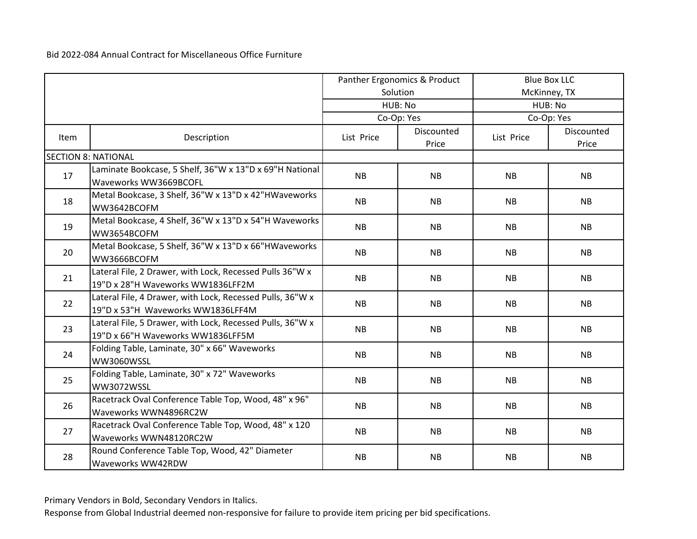|      |                                                                                                | Panther Ergonomics & Product |                     | <b>Blue Box LLC</b> |                     |
|------|------------------------------------------------------------------------------------------------|------------------------------|---------------------|---------------------|---------------------|
|      |                                                                                                |                              | Solution            |                     | McKinney, TX        |
|      |                                                                                                |                              | HUB: No             |                     | HUB: No             |
|      |                                                                                                |                              | Co-Op: Yes          |                     | Co-Op: Yes          |
| Item | Description                                                                                    | List Price                   | Discounted<br>Price |                     | Discounted<br>Price |
|      | <b>SECTION 8: NATIONAL</b>                                                                     |                              |                     |                     |                     |
| 17   | Laminate Bookcase, 5 Shelf, 36"W x 13"D x 69"H National<br>Waveworks WW3669BCOFL               | <b>NB</b>                    | <b>NB</b>           | <b>NB</b>           | <b>NB</b>           |
| 18   | Metal Bookcase, 3 Shelf, 36"W x 13"D x 42"HWaveworks<br>WW3642BCOFM                            | <b>NB</b>                    | <b>NB</b>           | <b>NB</b>           | <b>NB</b>           |
| 19   | Metal Bookcase, 4 Shelf, 36"W x 13"D x 54"H Waveworks<br>WW3654BCOFM                           | <b>NB</b>                    | <b>NB</b>           | <b>NB</b>           | NB                  |
| 20   | Metal Bookcase, 5 Shelf, 36"W x 13"D x 66"HWaveworks<br>WW3666BCOFM                            | NB                           | <b>NB</b>           | <b>NB</b>           | <b>NB</b>           |
| 21   | Lateral File, 2 Drawer, with Lock, Recessed Pulls 36"W x<br>19"D x 28"H Waveworks WW1836LFF2M  | <b>NB</b>                    | <b>NB</b>           | <b>NB</b>           | <b>NB</b>           |
| 22   | Lateral File, 4 Drawer, with Lock, Recessed Pulls, 36"W x<br>19"D x 53"H Waveworks WW1836LFF4M | <b>NB</b>                    | <b>NB</b>           | <b>NB</b>           | <b>NB</b>           |
| 23   | Lateral File, 5 Drawer, with Lock, Recessed Pulls, 36"W x<br>19"D x 66"H Waveworks WW1836LFF5M | <b>NB</b>                    | <b>NB</b>           | <b>NB</b>           | <b>NB</b>           |
| 24   | Folding Table, Laminate, 30" x 66" Waveworks<br>WW3060WSSL                                     | <b>NB</b>                    | <b>NB</b>           | <b>NB</b>           | <b>NB</b>           |
| 25   | Folding Table, Laminate, 30" x 72" Waveworks<br>WW3072WSSL                                     | <b>NB</b>                    | <b>NB</b>           | <b>NB</b>           | <b>NB</b>           |
| 26   | Racetrack Oval Conference Table Top, Wood, 48" x 96"<br>Waveworks WWN4896RC2W                  | <b>NB</b>                    | NB                  | <b>NB</b>           | NB                  |
| 27   | Racetrack Oval Conference Table Top, Wood, 48" x 120<br>Waveworks WWN48120RC2W                 | <b>NB</b>                    | <b>NB</b>           | <b>NB</b>           | <b>NB</b>           |
| 28   | Round Conference Table Top, Wood, 42" Diameter<br>Waveworks WW42RDW                            | <b>NB</b>                    | <b>NB</b>           | <b>NB</b>           | <b>NB</b>           |

Primary Vendors in Bold, Secondary Vendors in Italics.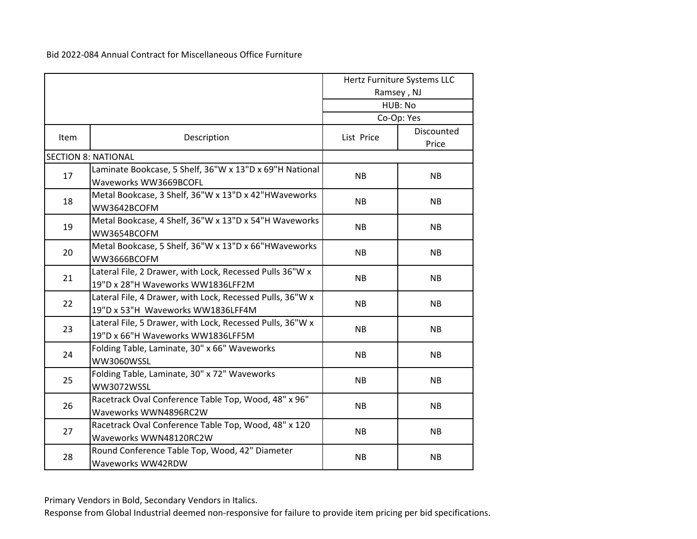|      |                                                                                                |            | Hertz Furniture Systems LLC<br>Ramsey, NJ |
|------|------------------------------------------------------------------------------------------------|------------|-------------------------------------------|
|      |                                                                                                |            | HUB: No<br>Co-Op: Yes                     |
|      |                                                                                                |            |                                           |
| Item | Description                                                                                    | List Price | Discounted<br>Price                       |
|      | <b>SECTION 8: NATIONAL</b>                                                                     |            |                                           |
| 17   | Laminate Bookcase, 5 Shelf, 36"W x 13"D x 69"H National<br>Waveworks WW3669BCOFL               | <b>NB</b>  | <b>NB</b>                                 |
| 18   | Metal Bookcase, 3 Shelf, 36"W x 13"D x 42"HWaveworks<br>WW3642BCOFM                            | <b>NB</b>  | <b>NB</b>                                 |
| 19   | Metal Bookcase, 4 Shelf, 36"W x 13"D x 54"H Waveworks<br>WW3654BCOFM                           | <b>NB</b>  | <b>NB</b>                                 |
| 20   | Metal Bookcase, 5 Shelf, 36"W x 13"D x 66"HWaveworks<br>WW3666BCOFM                            | <b>NB</b>  | <b>NB</b>                                 |
| 21   | Lateral File, 2 Drawer, with Lock, Recessed Pulls 36"W x<br>19"D x 28"H Waveworks WW1836LFF2M  | <b>NB</b>  | <b>NB</b>                                 |
| 22   | Lateral File, 4 Drawer, with Lock, Recessed Pulls, 36"W x<br>19"D x 53"H Waveworks WW1836LFF4M | NB         | <b>NB</b>                                 |
| 23   | Lateral File, 5 Drawer, with Lock, Recessed Pulls, 36"W x<br>19"D x 66"H Waveworks WW1836LFF5M | <b>NB</b>  | <b>NB</b>                                 |
| 24   | Folding Table, Laminate, 30" x 66" Waveworks<br>WW3060WSSL                                     | NB         | <b>NB</b>                                 |
| 25   | Folding Table, Laminate, 30" x 72" Waveworks<br>WW3072WSSL                                     | <b>NB</b>  | <b>NB</b>                                 |
| 26   | Racetrack Oval Conference Table Top, Wood, 48" x 96"<br>Waveworks WWN4896RC2W                  | <b>NB</b>  | <b>NB</b>                                 |
| 27   | Racetrack Oval Conference Table Top, Wood, 48" x 120<br>Waveworks WWN48120RC2W                 | <b>NB</b>  | <b>NB</b>                                 |
| 28   | Round Conference Table Top, Wood, 42" Diameter<br>Waveworks WW42RDW                            | <b>NB</b>  | <b>NB</b>                                 |

Primary Vendors in Bold, Secondary Vendors in Italics.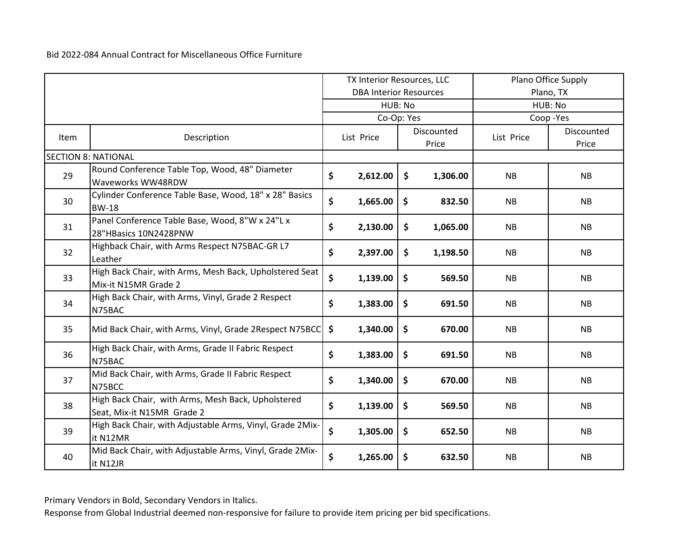|      |                                                                                  | TX Interior Resources, LLC    |                                   |               | Plano Office Supply |                     |           |
|------|----------------------------------------------------------------------------------|-------------------------------|-----------------------------------|---------------|---------------------|---------------------|-----------|
|      |                                                                                  | <b>DBA Interior Resources</b> |                                   | Plano, TX     |                     |                     |           |
|      |                                                                                  | HUB: No                       |                                   | HUB: No       |                     |                     |           |
|      |                                                                                  |                               |                                   | Co-Op: Yes    |                     | Coop-Yes            |           |
| Item | Description                                                                      |                               | Discounted<br>List Price<br>Price |               | List Price          | Discounted<br>Price |           |
|      | <b>SECTION 8: NATIONAL</b>                                                       |                               |                                   |               |                     |                     |           |
| 29   | Round Conference Table Top, Wood, 48" Diameter<br>Waveworks WW48RDW              | \$                            | 2,612.00                          | $\mathsf{S}$  | 1,306.00            | <b>NB</b>           | <b>NB</b> |
| 30   | Cylinder Conference Table Base, Wood, 18" x 28" Basics<br><b>BW-18</b>           | \$                            | 1,665.00                          | \$            | 832.50              | <b>NB</b>           | <b>NB</b> |
| 31   | Panel Conference Table Base, Wood, 8"W x 24"L x<br>28"HBasics 10N2428PNW         | \$                            | 2,130.00                          | \$            | 1,065.00            | <b>NB</b>           | <b>NB</b> |
| 32   | Highback Chair, with Arms Respect N75BAC-GR L7<br>Leather                        | \$                            | 2,397.00                          | \$            | 1,198.50            | NB                  | <b>NB</b> |
| 33   | High Back Chair, with Arms, Mesh Back, Upholstered Seat<br>Mix-it N15MR Grade 2  | \$                            | 1,139.00                          | $\zeta$       | 569.50              | <b>NB</b>           | <b>NB</b> |
| 34   | High Back Chair, with Arms, Vinyl, Grade 2 Respect<br>N75BAC                     | \$                            | 1,383.00                          | \$            | 691.50              | <b>NB</b>           | NB        |
| 35   | Mid Back Chair, with Arms, Vinyl, Grade 2Respect N75BCC                          | \$                            | 1,340.00                          | \$            | 670.00              | <b>NB</b>           | <b>NB</b> |
| 36   | High Back Chair, with Arms, Grade II Fabric Respect<br>N75BAC                    | \$                            | 1,383.00                          | \$            | 691.50              | <b>NB</b>           | NB        |
| 37   | Mid Back Chair, with Arms, Grade II Fabric Respect<br>N75BCC                     | \$                            | 1,340.00                          | \$            | 670.00              | <b>NB</b>           | <b>NB</b> |
| 38   | High Back Chair, with Arms, Mesh Back, Upholstered<br>Seat, Mix-it N15MR Grade 2 | \$                            | 1,139.00                          | $\mathsf{\$}$ | 569.50              | <b>NB</b>           | <b>NB</b> |
| 39   | High Back Chair, with Adjustable Arms, Vinyl, Grade 2Mix-<br>it N12MR            | \$                            | 1,305.00                          | \$            | 652.50              | <b>NB</b>           | <b>NB</b> |
| 40   | Mid Back Chair, with Adjustable Arms, Vinyl, Grade 2Mix-<br>it N12JR             | \$                            | 1,265.00                          | $\frac{1}{2}$ | 632.50              | <b>NB</b>           | <b>NB</b> |

Primary Vendors in Bold, Secondary Vendors in Italics.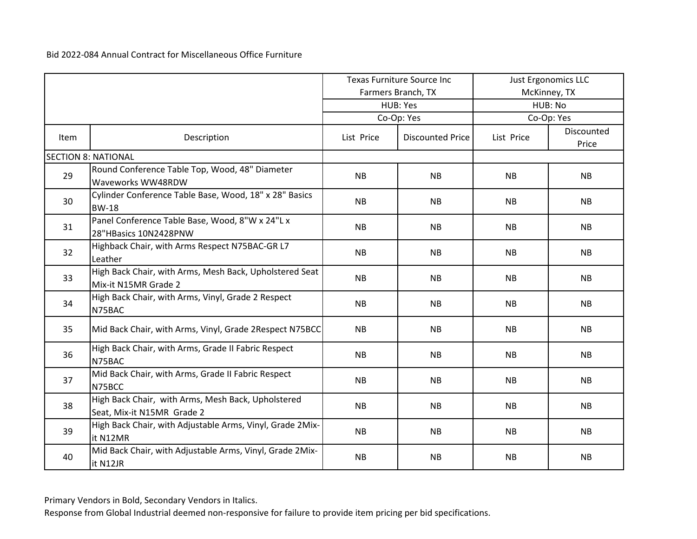|      |                                                                                  | <b>Texas Furniture Source Inc</b> |                         | <b>Just Ergonomics LLC</b> |                     |
|------|----------------------------------------------------------------------------------|-----------------------------------|-------------------------|----------------------------|---------------------|
|      |                                                                                  |                                   | Farmers Branch, TX      |                            | McKinney, TX        |
|      |                                                                                  |                                   | HUB: Yes                |                            | HUB: No             |
|      |                                                                                  |                                   | Co-Op: Yes              |                            | Co-Op: Yes          |
| Item | Description                                                                      | List Price                        | <b>Discounted Price</b> |                            | Discounted<br>Price |
|      | <b>SECTION 8: NATIONAL</b>                                                       |                                   |                         |                            |                     |
| 29   | Round Conference Table Top, Wood, 48" Diameter<br>Waveworks WW48RDW              | <b>NB</b>                         | <b>NB</b>               | <b>NB</b>                  | <b>NB</b>           |
| 30   | Cylinder Conference Table Base, Wood, 18" x 28" Basics<br><b>BW-18</b>           | <b>NB</b>                         | <b>NB</b>               | <b>NB</b>                  | <b>NB</b>           |
| 31   | Panel Conference Table Base, Wood, 8"W x 24"L x<br>28"HBasics 10N2428PNW         | <b>NB</b>                         | <b>NB</b>               | <b>NB</b>                  | NB                  |
| 32   | Highback Chair, with Arms Respect N75BAC-GR L7<br>Leather                        | <b>NB</b>                         | <b>NB</b>               | <b>NB</b>                  | <b>NB</b>           |
| 33   | High Back Chair, with Arms, Mesh Back, Upholstered Seat<br>Mix-it N15MR Grade 2  | <b>NB</b>                         | <b>NB</b>               | <b>NB</b>                  | <b>NB</b>           |
| 34   | High Back Chair, with Arms, Vinyl, Grade 2 Respect<br>N75BAC                     | <b>NB</b>                         | <b>NB</b>               | <b>NB</b>                  | <b>NB</b>           |
| 35   | Mid Back Chair, with Arms, Vinyl, Grade 2Respect N75BCC                          | <b>NB</b>                         | <b>NB</b>               | <b>NB</b>                  | <b>NB</b>           |
| 36   | High Back Chair, with Arms, Grade II Fabric Respect<br>N75BAC                    | <b>NB</b>                         | <b>NB</b>               | <b>NB</b>                  | <b>NB</b>           |
| 37   | Mid Back Chair, with Arms, Grade II Fabric Respect<br>N75BCC                     | <b>NB</b>                         | <b>NB</b>               | <b>NB</b>                  | <b>NB</b>           |
| 38   | High Back Chair, with Arms, Mesh Back, Upholstered<br>Seat, Mix-it N15MR Grade 2 | <b>NB</b>                         | <b>NB</b>               | <b>NB</b>                  | <b>NB</b>           |
| 39   | High Back Chair, with Adjustable Arms, Vinyl, Grade 2Mix-<br>it N12MR            | <b>NB</b>                         | <b>NB</b>               | <b>NB</b>                  | <b>NB</b>           |
| 40   | Mid Back Chair, with Adjustable Arms, Vinyl, Grade 2Mix-<br>it N12JR             | <b>NB</b>                         | <b>NB</b>               | <b>NB</b>                  | <b>NB</b>           |

Primary Vendors in Bold, Secondary Vendors in Italics.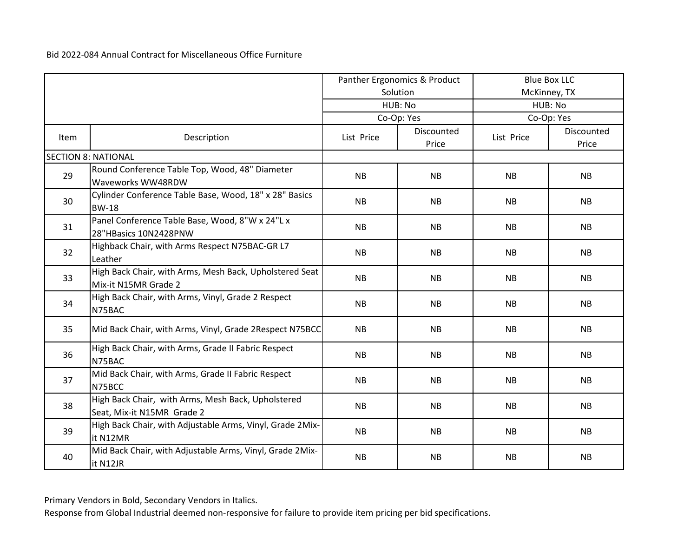|             |                                                                                  | Panther Ergonomics & Product |                     | <b>Blue Box LLC</b> |                     |
|-------------|----------------------------------------------------------------------------------|------------------------------|---------------------|---------------------|---------------------|
|             |                                                                                  |                              | Solution            |                     | McKinney, TX        |
|             |                                                                                  |                              | HUB: No             | HUB: No             |                     |
|             |                                                                                  |                              | Co-Op: Yes          |                     | Co-Op: Yes          |
| <b>Item</b> | Description                                                                      | List Price                   | Discounted<br>Price | List Price          | Discounted<br>Price |
|             | <b>SECTION 8: NATIONAL</b>                                                       |                              |                     |                     |                     |
| 29          | Round Conference Table Top, Wood, 48" Diameter<br>Waveworks WW48RDW              | <b>NB</b>                    | <b>NB</b>           | <b>NB</b>           | <b>NB</b>           |
| 30          | Cylinder Conference Table Base, Wood, 18" x 28" Basics<br><b>BW-18</b>           | <b>NB</b>                    | <b>NB</b>           | <b>NB</b>           | <b>NB</b>           |
| 31          | Panel Conference Table Base, Wood, 8"W x 24"L x<br>28"HBasics 10N2428PNW         | <b>NB</b>                    | <b>NB</b>           | <b>NB</b>           | <b>NB</b>           |
| 32          | Highback Chair, with Arms Respect N75BAC-GR L7<br>Leather                        | <b>NB</b>                    | <b>NB</b>           | <b>NB</b>           | <b>NB</b>           |
| 33          | High Back Chair, with Arms, Mesh Back, Upholstered Seat<br>Mix-it N15MR Grade 2  | <b>NB</b>                    | <b>NB</b>           | <b>NB</b>           | <b>NB</b>           |
| 34          | High Back Chair, with Arms, Vinyl, Grade 2 Respect<br>N75BAC                     | <b>NB</b>                    | <b>NB</b>           | <b>NB</b>           | NB                  |
| 35          | Mid Back Chair, with Arms, Vinyl, Grade 2Respect N75BCC                          | <b>NB</b>                    | <b>NB</b>           | <b>NB</b>           | <b>NB</b>           |
| 36          | High Back Chair, with Arms, Grade II Fabric Respect<br>N75BAC                    | <b>NB</b>                    | <b>NB</b>           | <b>NB</b>           | <b>NB</b>           |
| 37          | Mid Back Chair, with Arms, Grade II Fabric Respect<br>N75BCC                     | <b>NB</b>                    | <b>NB</b>           | <b>NB</b>           | <b>NB</b>           |
| 38          | High Back Chair, with Arms, Mesh Back, Upholstered<br>Seat, Mix-it N15MR Grade 2 | <b>NB</b>                    | <b>NB</b>           | <b>NB</b>           | <b>NB</b>           |
| 39          | High Back Chair, with Adjustable Arms, Vinyl, Grade 2Mix-<br>it N12MR            | <b>NB</b>                    | <b>NB</b>           | <b>NB</b>           | <b>NB</b>           |
| 40          | Mid Back Chair, with Adjustable Arms, Vinyl, Grade 2Mix-<br>it N12JR             | <b>NB</b>                    | <b>NB</b>           | <b>NB</b>           | <b>NB</b>           |

Primary Vendors in Bold, Secondary Vendors in Italics.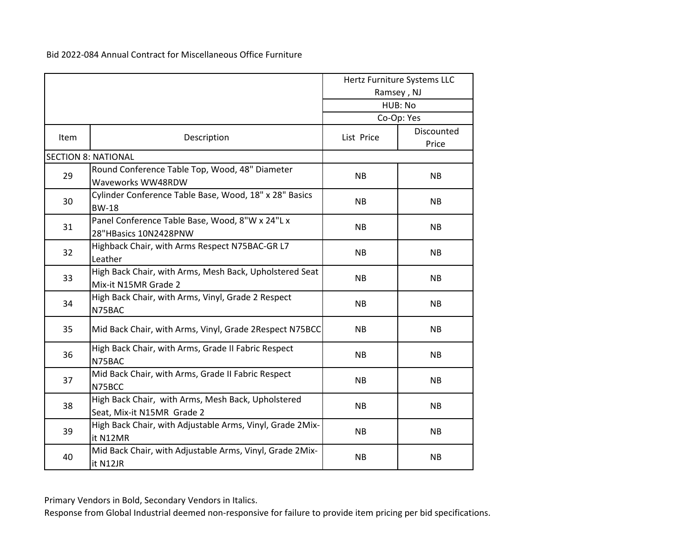|             |                                                                                  |            | Hertz Furniture Systems LLC<br>Ramsey, NJ |
|-------------|----------------------------------------------------------------------------------|------------|-------------------------------------------|
|             |                                                                                  |            | HUB: No<br>Co-Op: Yes                     |
|             |                                                                                  |            |                                           |
| <b>Item</b> | Description                                                                      | List Price | Discounted<br>Price                       |
|             | <b>SECTION 8: NATIONAL</b>                                                       |            |                                           |
| 29          | Round Conference Table Top, Wood, 48" Diameter<br>Waveworks WW48RDW              | <b>NB</b>  | <b>NB</b>                                 |
| 30          | Cylinder Conference Table Base, Wood, 18" x 28" Basics<br><b>BW-18</b>           | <b>NB</b>  | <b>NB</b>                                 |
| 31          | Panel Conference Table Base, Wood, 8"W x 24"L x<br>28"HBasics 10N2428PNW         | <b>NB</b>  | NB                                        |
| 32          | Highback Chair, with Arms Respect N75BAC-GR L7<br>Leather                        | <b>NB</b>  | <b>NB</b>                                 |
| 33          | High Back Chair, with Arms, Mesh Back, Upholstered Seat<br>Mix-it N15MR Grade 2  | <b>NB</b>  | <b>NB</b>                                 |
| 34          | High Back Chair, with Arms, Vinyl, Grade 2 Respect<br>N75BAC                     | <b>NB</b>  | <b>NB</b>                                 |
| 35          | Mid Back Chair, with Arms, Vinyl, Grade 2Respect N75BCC                          | <b>NB</b>  | <b>NB</b>                                 |
| 36          | High Back Chair, with Arms, Grade II Fabric Respect<br>N75BAC                    | <b>NB</b>  | <b>NB</b>                                 |
| 37          | Mid Back Chair, with Arms, Grade II Fabric Respect<br>N75BCC                     | <b>NB</b>  | <b>NB</b>                                 |
| 38          | High Back Chair, with Arms, Mesh Back, Upholstered<br>Seat, Mix-it N15MR Grade 2 | <b>NB</b>  | <b>NB</b>                                 |
| 39          | High Back Chair, with Adjustable Arms, Vinyl, Grade 2Mix-<br>it N12MR            | <b>NB</b>  | <b>NB</b>                                 |
| 40          | Mid Back Chair, with Adjustable Arms, Vinyl, Grade 2Mix-<br>it N12JR             | <b>NB</b>  | <b>NB</b>                                 |

Primary Vendors in Bold, Secondary Vendors in Italics.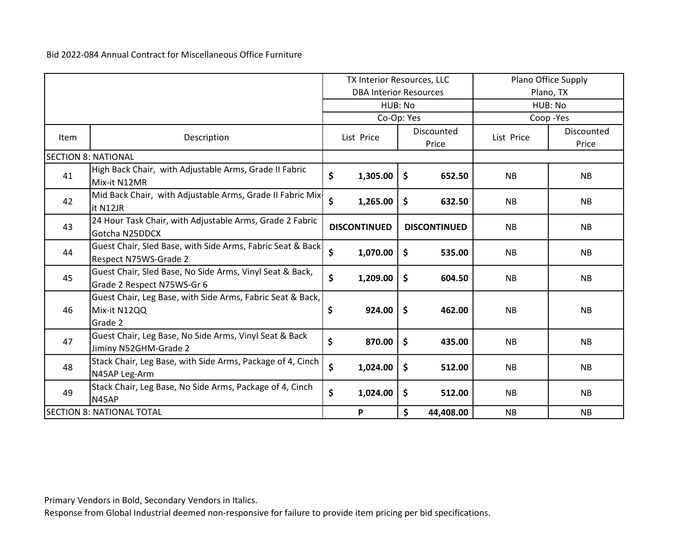|      |                                                                                        | TX Interior Resources, LLC    |                     |                     |                     | Plano Office Supply |                     |
|------|----------------------------------------------------------------------------------------|-------------------------------|---------------------|---------------------|---------------------|---------------------|---------------------|
|      |                                                                                        | <b>DBA Interior Resources</b> |                     |                     |                     | Plano, TX           |                     |
|      | HUB: No                                                                                |                               |                     | HUB: No             |                     |                     |                     |
|      |                                                                                        |                               | Co-Op: Yes          |                     |                     |                     | Coop-Yes            |
| Item | Description                                                                            |                               | List Price          |                     | Discounted<br>Price | List Price          | Discounted<br>Price |
|      | <b>SECTION 8: NATIONAL</b>                                                             |                               |                     |                     |                     |                     |                     |
| 41   | High Back Chair, with Adjustable Arms, Grade II Fabric<br>Mix-it N12MR                 | \$                            | 1,305.00            | \$                  | 652.50              | <b>NB</b>           | NB                  |
| 42   | Mid Back Chair, with Adjustable Arms, Grade II Fabric Mix-<br>it N12JR                 | \$                            | 1,265.00            | $\ddot{\bm{\zeta}}$ | 632.50              | <b>NB</b>           | <b>NB</b>           |
| 43   | 24 Hour Task Chair, with Adjustable Arms, Grade 2 Fabric<br>Gotcha N25DDCX             |                               | <b>DISCONTINUED</b> |                     | <b>DISCONTINUED</b> | <b>NB</b>           | <b>NB</b>           |
| 44   | Guest Chair, Sled Base, with Side Arms, Fabric Seat & Back<br>Respect N75WS-Grade 2    | \$                            | 1,070.00            | $\ddot{\bm{\zeta}}$ | 535.00              | <b>NB</b>           | <b>NB</b>           |
| 45   | Guest Chair, Sled Base, No Side Arms, Vinyl Seat & Back,<br>Grade 2 Respect N75WS-Gr 6 | \$                            | 1,209.00            | $\mathsf{\$}$       | 604.50              | <b>NB</b>           | <b>NB</b>           |
| 46   | Guest Chair, Leg Base, with Side Arms, Fabric Seat & Back,<br>Mix-it N12QQ<br>Grade 2  | \$                            | 924.00              | -\$                 | 462.00              | <b>NB</b>           | <b>NB</b>           |
| 47   | Guest Chair, Leg Base, No Side Arms, Vinyl Seat & Back<br>Jiminy N52GHM-Grade 2        | \$                            | 870.00              | $\mathsf{\$}$       | 435.00              | <b>NB</b>           | <b>NB</b>           |
| 48   | Stack Chair, Leg Base, with Side Arms, Package of 4, Cinch<br>N45AP Leg-Arm            | \$                            | 1,024.00            | $\ddot{\bm{\zeta}}$ | 512.00              | <b>NB</b>           | <b>NB</b>           |
| 49   | Stack Chair, Leg Base, No Side Arms, Package of 4, Cinch<br>N45AP                      | \$                            | 1,024.00            | \$                  | 512.00              | <b>NB</b>           | <b>NB</b>           |
|      | <b>SECTION 8: NATIONAL TOTAL</b>                                                       |                               | P                   | \$                  | 44,408.00           | <b>NB</b>           | <b>NB</b>           |

Primary Vendors in Bold, Secondary Vendors in Italics.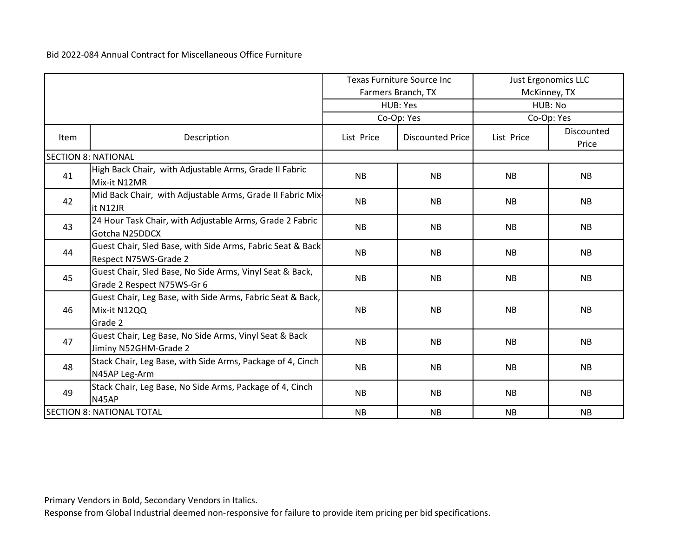|      |                                                                                        | <b>Texas Furniture Source Inc</b><br>Farmers Branch, TX |                         | <b>Just Ergonomics LLC</b><br>McKinney, TX |                     |  |
|------|----------------------------------------------------------------------------------------|---------------------------------------------------------|-------------------------|--------------------------------------------|---------------------|--|
|      |                                                                                        |                                                         | <b>HUB: Yes</b>         | HUB: No                                    |                     |  |
|      |                                                                                        |                                                         | Co-Op: Yes              |                                            | Co-Op: Yes          |  |
| Item | Description                                                                            | List Price                                              | <b>Discounted Price</b> | List Price                                 | Discounted<br>Price |  |
|      | <b>SECTION 8: NATIONAL</b>                                                             |                                                         |                         |                                            |                     |  |
| 41   | High Back Chair, with Adjustable Arms, Grade II Fabric<br>Mix-it N12MR                 | <b>NB</b>                                               | <b>NB</b>               | <b>NB</b>                                  | <b>NB</b>           |  |
| 42   | Mid Back Chair, with Adjustable Arms, Grade II Fabric Mix-<br>it N12JR                 | <b>NB</b>                                               | <b>NB</b>               | <b>NB</b>                                  | <b>NB</b>           |  |
| 43   | 24 Hour Task Chair, with Adjustable Arms, Grade 2 Fabric<br>Gotcha N25DDCX             | <b>NB</b>                                               | <b>NB</b>               | <b>NB</b>                                  | <b>NB</b>           |  |
| 44   | Guest Chair, Sled Base, with Side Arms, Fabric Seat & Back<br>Respect N75WS-Grade 2    | <b>NB</b>                                               | <b>NB</b>               | <b>NB</b>                                  | <b>NB</b>           |  |
| 45   | Guest Chair, Sled Base, No Side Arms, Vinyl Seat & Back,<br>Grade 2 Respect N75WS-Gr 6 | <b>NB</b>                                               | <b>NB</b>               | <b>NB</b>                                  | <b>NB</b>           |  |
| 46   | Guest Chair, Leg Base, with Side Arms, Fabric Seat & Back,<br>Mix-it N12QQ<br>Grade 2  | <b>NB</b>                                               | <b>NB</b>               | <b>NB</b>                                  | <b>NB</b>           |  |
| 47   | Guest Chair, Leg Base, No Side Arms, Vinyl Seat & Back<br>Jiminy N52GHM-Grade 2        | <b>NB</b>                                               | <b>NB</b>               | <b>NB</b>                                  | <b>NB</b>           |  |
| 48   | Stack Chair, Leg Base, with Side Arms, Package of 4, Cinch<br>N45AP Leg-Arm            | <b>NB</b>                                               | <b>NB</b>               | <b>NB</b>                                  | <b>NB</b>           |  |
| 49   | Stack Chair, Leg Base, No Side Arms, Package of 4, Cinch<br>N45AP                      | <b>NB</b>                                               | <b>NB</b>               | <b>NB</b>                                  | <b>NB</b>           |  |
|      | <b>SECTION 8: NATIONAL TOTAL</b>                                                       | <b>NB</b>                                               | <b>NB</b>               | <b>NB</b>                                  | <b>NB</b>           |  |

Primary Vendors in Bold, Secondary Vendors in Italics.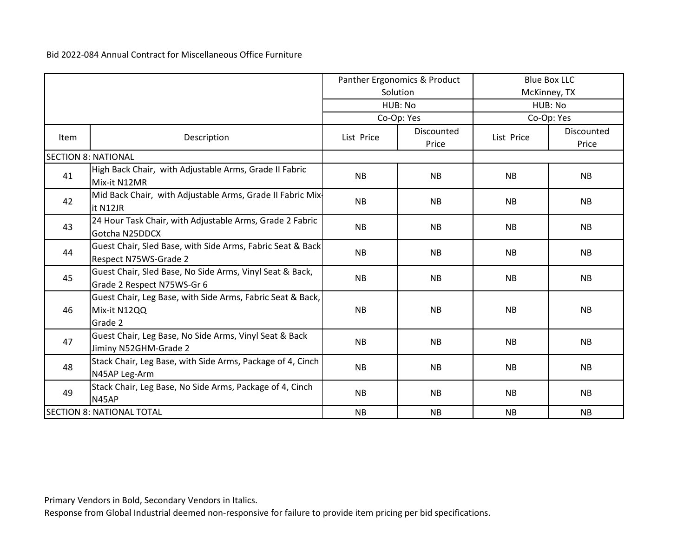|      |                                                                                        | Panther Ergonomics & Product |                     | <b>Blue Box LLC</b> |                     |  |
|------|----------------------------------------------------------------------------------------|------------------------------|---------------------|---------------------|---------------------|--|
|      |                                                                                        |                              | Solution            |                     | McKinney, TX        |  |
|      |                                                                                        |                              | HUB: No             | HUB: No             |                     |  |
|      |                                                                                        |                              | Co-Op: Yes          |                     | Co-Op: Yes          |  |
| Item | Description                                                                            | List Price                   | Discounted<br>Price | List Price          | Discounted<br>Price |  |
|      | <b>SECTION 8: NATIONAL</b>                                                             |                              |                     |                     |                     |  |
| 41   | High Back Chair, with Adjustable Arms, Grade II Fabric<br>Mix-it N12MR                 | <b>NB</b>                    | <b>NB</b>           | <b>NB</b>           | <b>NB</b>           |  |
| 42   | Mid Back Chair, with Adjustable Arms, Grade II Fabric Mix-<br>it N12JR                 | <b>NB</b>                    | <b>NB</b>           | <b>NB</b>           | <b>NB</b>           |  |
| 43   | 24 Hour Task Chair, with Adjustable Arms, Grade 2 Fabric<br>Gotcha N25DDCX             | <b>NB</b>                    | <b>NB</b>           | <b>NB</b>           | <b>NB</b>           |  |
| 44   | Guest Chair, Sled Base, with Side Arms, Fabric Seat & Back<br>Respect N75WS-Grade 2    | <b>NB</b>                    | <b>NB</b>           | <b>NB</b>           | <b>NB</b>           |  |
| 45   | Guest Chair, Sled Base, No Side Arms, Vinyl Seat & Back,<br>Grade 2 Respect N75WS-Gr 6 | <b>NB</b>                    | <b>NB</b>           | <b>NB</b>           | <b>NB</b>           |  |
| 46   | Guest Chair, Leg Base, with Side Arms, Fabric Seat & Back,<br>Mix-it N12QQ<br>Grade 2  | <b>NB</b>                    | <b>NB</b>           | <b>NB</b>           | <b>NB</b>           |  |
| 47   | Guest Chair, Leg Base, No Side Arms, Vinyl Seat & Back<br>Jiminy N52GHM-Grade 2        | <b>NB</b>                    | <b>NB</b>           | <b>NB</b>           | <b>NB</b>           |  |
| 48   | Stack Chair, Leg Base, with Side Arms, Package of 4, Cinch<br>N45AP Leg-Arm            | <b>NB</b>                    | <b>NB</b>           | <b>NB</b>           | <b>NB</b>           |  |
| 49   | Stack Chair, Leg Base, No Side Arms, Package of 4, Cinch<br>N45AP                      | <b>NB</b>                    | <b>NB</b>           | <b>NB</b>           | <b>NB</b>           |  |
|      | <b>SECTION 8: NATIONAL TOTAL</b>                                                       | <b>NB</b>                    | <b>NB</b>           | <b>NB</b>           | <b>NB</b>           |  |

Primary Vendors in Bold, Secondary Vendors in Italics.